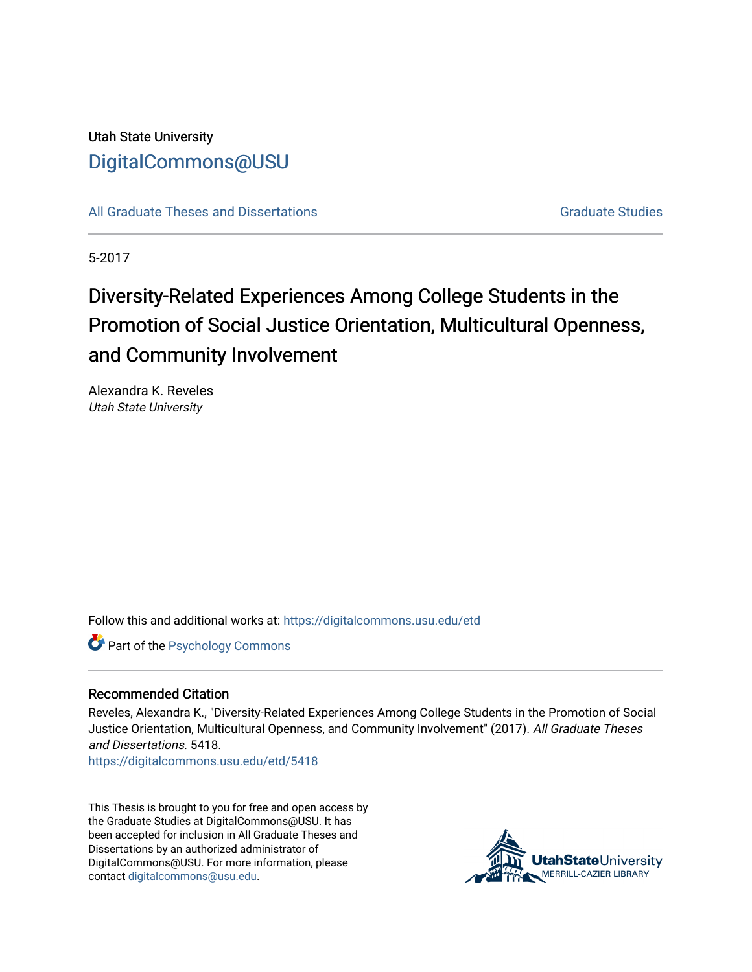Utah State University [DigitalCommons@USU](https://digitalcommons.usu.edu/)

[All Graduate Theses and Dissertations](https://digitalcommons.usu.edu/etd) [Graduate Studies](https://digitalcommons.usu.edu/gradstudies) Graduate Studies

5-2017

# Diversity-Related Experiences Among College Students in the Promotion of Social Justice Orientation, Multicultural Openness, and Community Involvement

Alexandra K. Reveles Utah State University

Follow this and additional works at: [https://digitalcommons.usu.edu/etd](https://digitalcommons.usu.edu/etd?utm_source=digitalcommons.usu.edu%2Fetd%2F5418&utm_medium=PDF&utm_campaign=PDFCoverPages) 

**Part of the Psychology Commons** 

#### Recommended Citation

Reveles, Alexandra K., "Diversity-Related Experiences Among College Students in the Promotion of Social Justice Orientation, Multicultural Openness, and Community Involvement" (2017). All Graduate Theses and Dissertations. 5418.

[https://digitalcommons.usu.edu/etd/5418](https://digitalcommons.usu.edu/etd/5418?utm_source=digitalcommons.usu.edu%2Fetd%2F5418&utm_medium=PDF&utm_campaign=PDFCoverPages)

This Thesis is brought to you for free and open access by the Graduate Studies at DigitalCommons@USU. It has been accepted for inclusion in All Graduate Theses and Dissertations by an authorized administrator of DigitalCommons@USU. For more information, please contact [digitalcommons@usu.edu](mailto:digitalcommons@usu.edu).

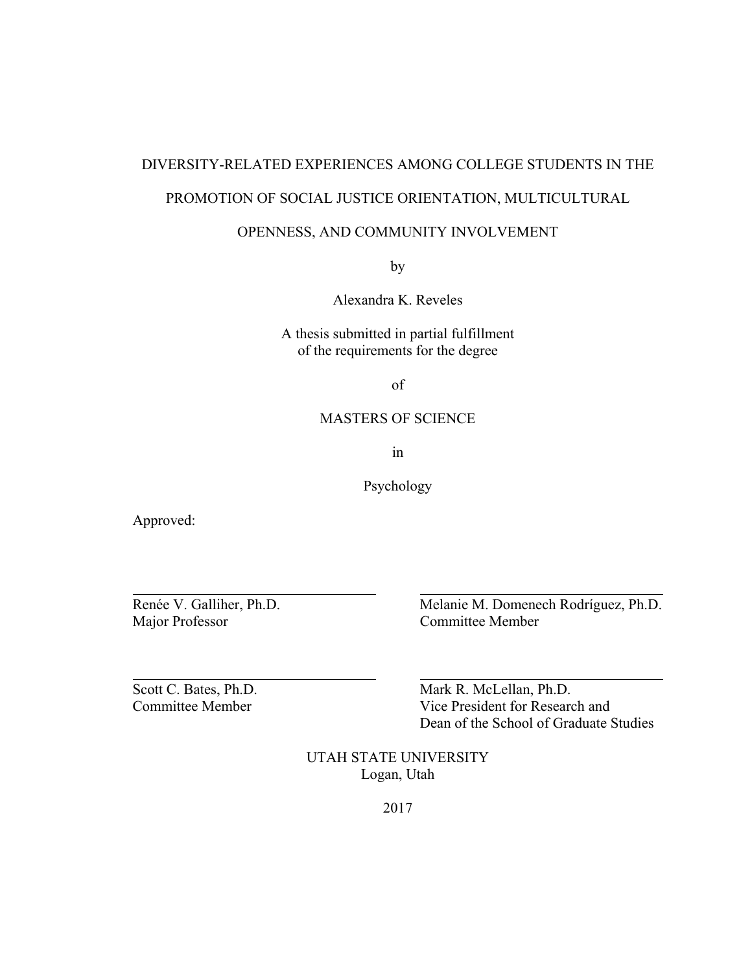# DIVERSITY-RELATED EXPERIENCES AMONG COLLEGE STUDENTS IN THE

# PROMOTION OF SOCIAL JUSTICE ORIENTATION, MULTICULTURAL

# OPENNESS, AND COMMUNITY INVOLVEMENT

by

Alexandra K. Reveles

A thesis submitted in partial fulfillment of the requirements for the degree

of

# MASTERS OF SCIENCE

in

Psychology

Approved:

 $\overline{a}$ 

 $\overline{a}$ 

Major Professor Committee Member

Renée V. Galliher, Ph.D. Melanie M. Domenech Rodríguez, Ph.D.

Scott C. Bates, Ph.D. Mark R. McLellan, Ph.D. Committee Member Vice President for Research and Dean of the School of Graduate Studies

> UTAH STATE UNIVERSITY Logan, Utah

> > 2017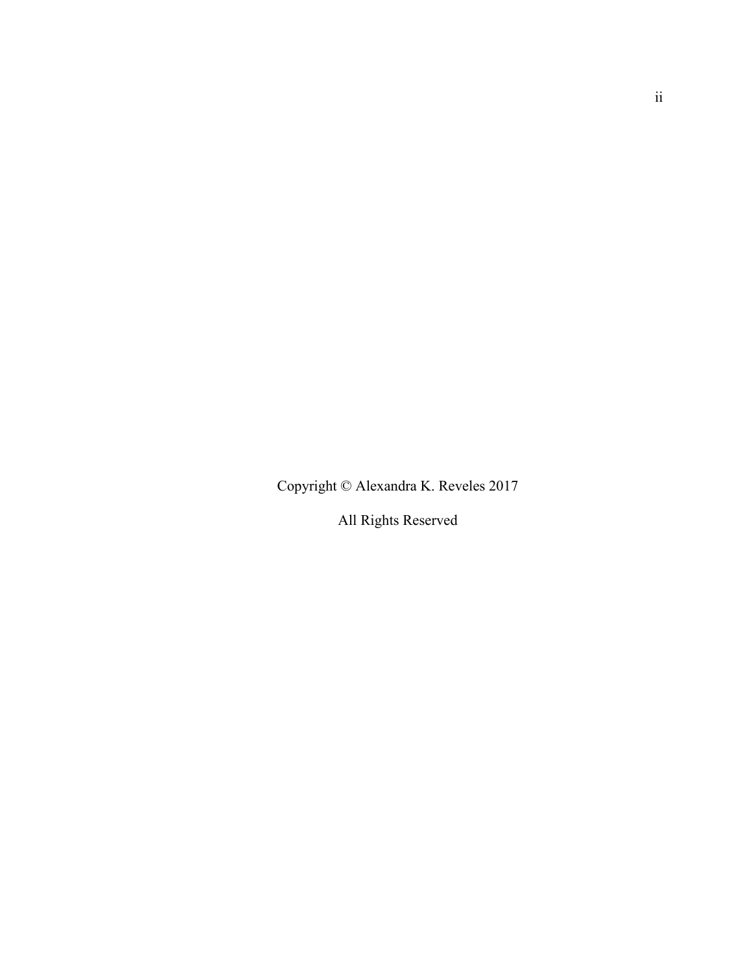Copyright © Alexandra K. Reveles 2017

All Rights Reserved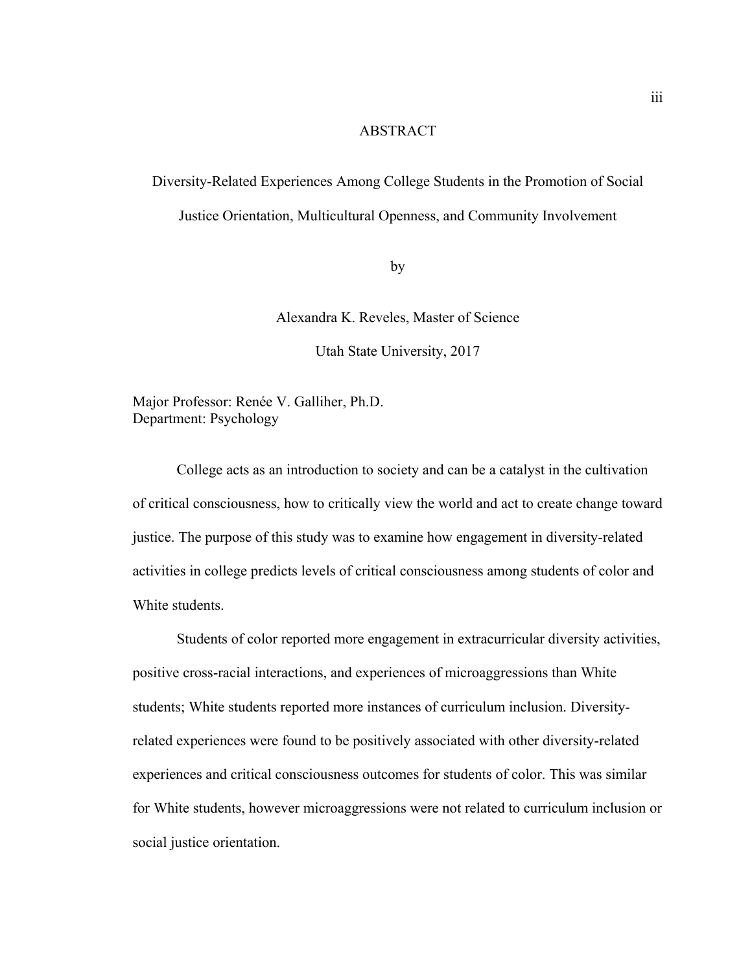#### ABSTRACT

Diversity-Related Experiences Among College Students in the Promotion of Social Justice Orientation, Multicultural Openness, and Community Involvement

by

Alexandra K. Reveles, Master of Science

Utah State University, 2017

Major Professor: Renée V. Galliher, Ph.D. Department: Psychology

 College acts as an introduction to society and can be a catalyst in the cultivation of critical consciousness, how to critically view the world and act to create change toward justice. The purpose of this study was to examine how engagement in diversity-related activities in college predicts levels of critical consciousness among students of color and White students.

 Students of color reported more engagement in extracurricular diversity activities, positive cross-racial interactions, and experiences of microaggressions than White students; White students reported more instances of curriculum inclusion. Diversityrelated experiences were found to be positively associated with other diversity-related experiences and critical consciousness outcomes for students of color. This was similar for White students, however microaggressions were not related to curriculum inclusion or social justice orientation.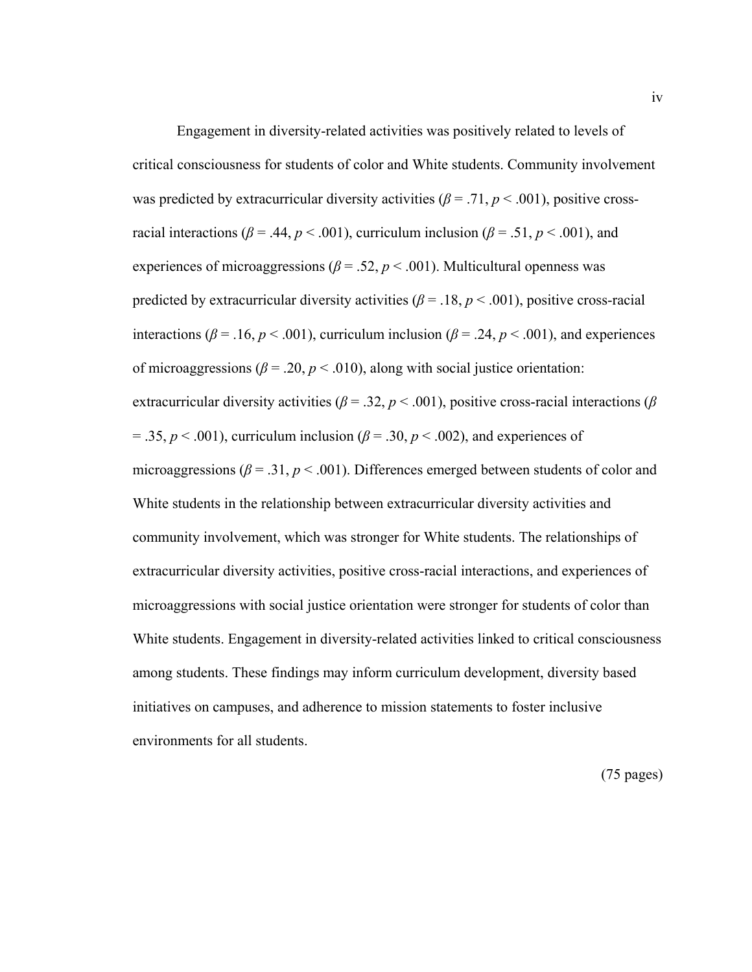Engagement in diversity-related activities was positively related to levels of critical consciousness for students of color and White students. Community involvement was predicted by extracurricular diversity activities ( $\beta$  = .71,  $p$  < .001), positive crossracial interactions ( $\beta$  = .44,  $p$  < .001), curriculum inclusion ( $\beta$  = .51,  $p$  < .001), and experiences of microaggressions ( $\beta$  = .52,  $p$  < .001). Multicultural openness was predicted by extracurricular diversity activities ( $\beta$  = .18,  $p$  < .001), positive cross-racial interactions ( $\beta$  = .16,  $p$  < .001), curriculum inclusion ( $\beta$  = .24,  $p$  < .001), and experiences of microaggressions ( $\beta$  = .20,  $p$  < .010), along with social justice orientation: extracurricular diversity activities ( $\beta$  = .32,  $p$  < .001), positive cross-racial interactions ( $\beta$  $= .35, p < .001$ , curriculum inclusion ( $\beta = .30, p < .002$ ), and experiences of microaggressions ( $\beta$  = .31,  $p$  < .001). Differences emerged between students of color and White students in the relationship between extracurricular diversity activities and community involvement, which was stronger for White students. The relationships of extracurricular diversity activities, positive cross-racial interactions, and experiences of microaggressions with social justice orientation were stronger for students of color than White students. Engagement in diversity-related activities linked to critical consciousness among students. These findings may inform curriculum development, diversity based initiatives on campuses, and adherence to mission statements to foster inclusive environments for all students.

(75 pages)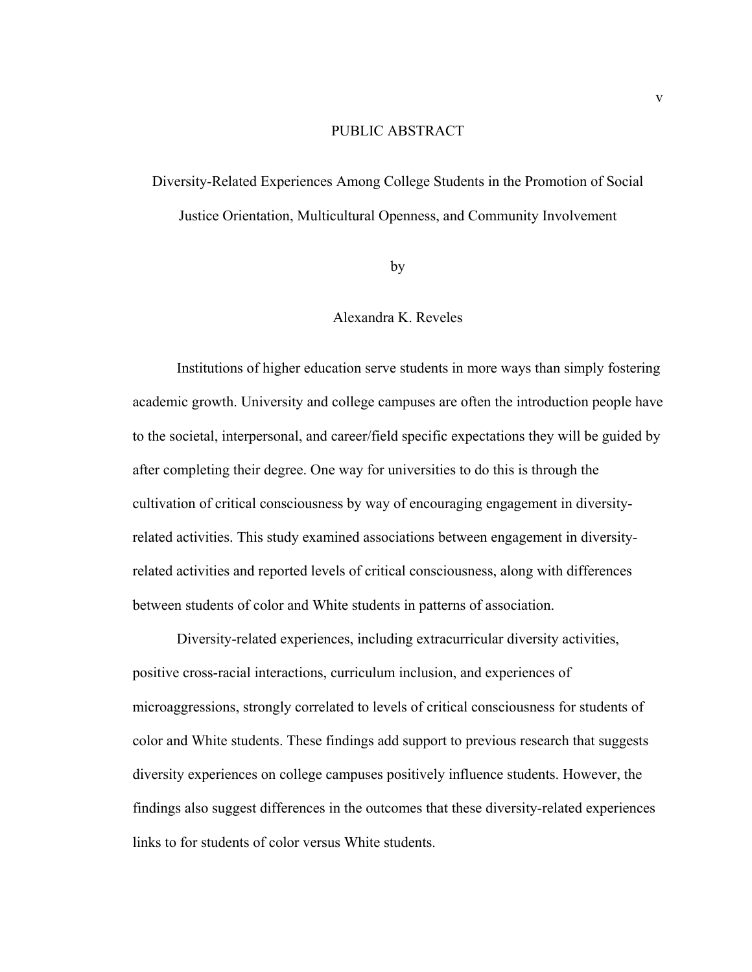#### PUBLIC ABSTRACT

Diversity-Related Experiences Among College Students in the Promotion of Social Justice Orientation, Multicultural Openness, and Community Involvement

by

# Alexandra K. Reveles

 Institutions of higher education serve students in more ways than simply fostering academic growth. University and college campuses are often the introduction people have to the societal, interpersonal, and career/field specific expectations they will be guided by after completing their degree. One way for universities to do this is through the cultivation of critical consciousness by way of encouraging engagement in diversityrelated activities. This study examined associations between engagement in diversityrelated activities and reported levels of critical consciousness, along with differences between students of color and White students in patterns of association.

 Diversity-related experiences, including extracurricular diversity activities, positive cross-racial interactions, curriculum inclusion, and experiences of microaggressions, strongly correlated to levels of critical consciousness for students of color and White students. These findings add support to previous research that suggests diversity experiences on college campuses positively influence students. However, the findings also suggest differences in the outcomes that these diversity-related experiences links to for students of color versus White students.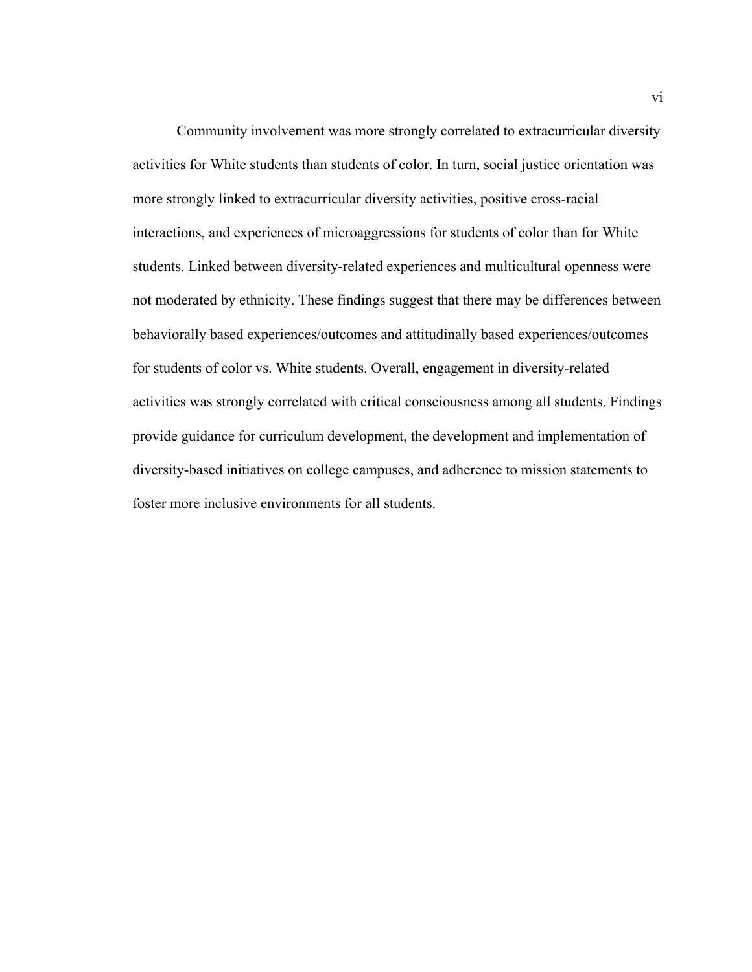Community involvement was more strongly correlated to extracurricular diversity activities for White students than students of color. In turn, social justice orientation was more strongly linked to extracurricular diversity activities, positive cross-racial interactions, and experiences of microaggressions for students of color than for White students. Linked between diversity-related experiences and multicultural openness were not moderated by ethnicity. These findings suggest that there may be differences between behaviorally based experiences/outcomes and attitudinally based experiences/outcomes for students of color vs. White students. Overall, engagement in diversity-related activities was strongly correlated with critical consciousness among all students. Findings provide guidance for curriculum development, the development and implementation of diversity-based initiatives on college campuses, and adherence to mission statements to foster more inclusive environments for all students.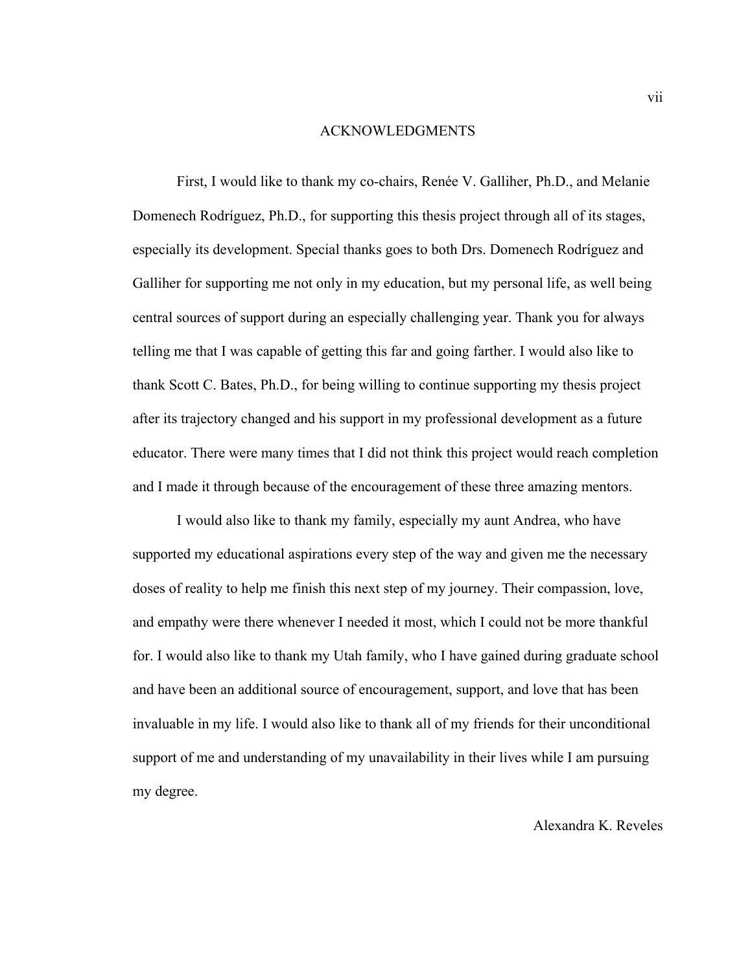#### ACKNOWLEDGMENTS

 First, I would like to thank my co-chairs, Renée V. Galliher, Ph.D., and Melanie Domenech Rodríguez, Ph.D., for supporting this thesis project through all of its stages, especially its development. Special thanks goes to both Drs. Domenech Rodríguez and Galliher for supporting me not only in my education, but my personal life, as well being central sources of support during an especially challenging year. Thank you for always telling me that I was capable of getting this far and going farther. I would also like to thank Scott C. Bates, Ph.D., for being willing to continue supporting my thesis project after its trajectory changed and his support in my professional development as a future educator. There were many times that I did not think this project would reach completion and I made it through because of the encouragement of these three amazing mentors.

I would also like to thank my family, especially my aunt Andrea, who have supported my educational aspirations every step of the way and given me the necessary doses of reality to help me finish this next step of my journey. Their compassion, love, and empathy were there whenever I needed it most, which I could not be more thankful for. I would also like to thank my Utah family, who I have gained during graduate school and have been an additional source of encouragement, support, and love that has been invaluable in my life. I would also like to thank all of my friends for their unconditional support of me and understanding of my unavailability in their lives while I am pursuing my degree.

# Alexandra K. Reveles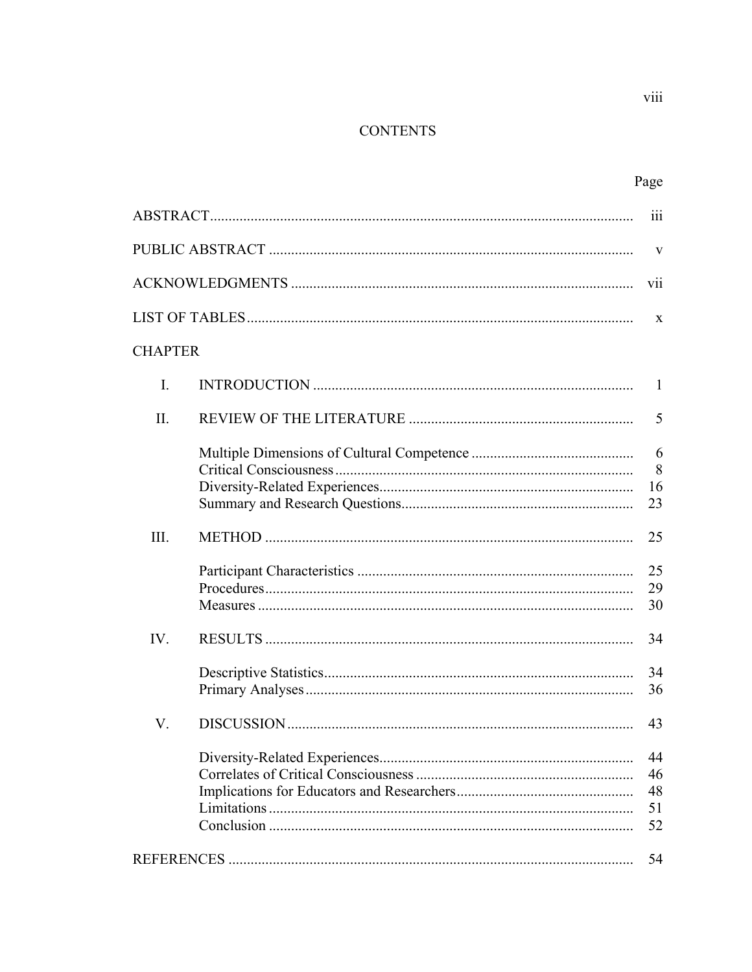# **CONTENTS**

|                | 111                        |
|----------------|----------------------------|
|                | V                          |
|                | vii                        |
|                | X                          |
| <b>CHAPTER</b> |                            |
| I.             | 1                          |
| II.            | 5                          |
|                | 6<br>8<br>16<br>23         |
| III.           | 25                         |
|                | 25<br>29<br>30             |
| IV.            | 34                         |
|                | 34<br>36                   |
| V.             | 43                         |
|                | 44<br>46<br>48<br>51<br>52 |
|                | 54                         |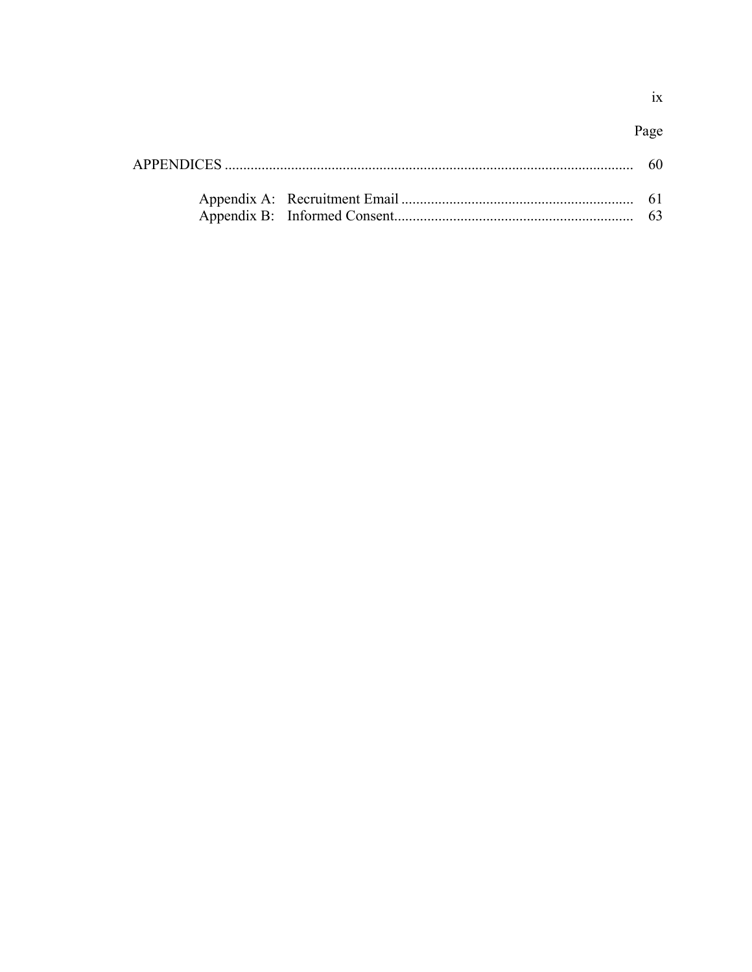Page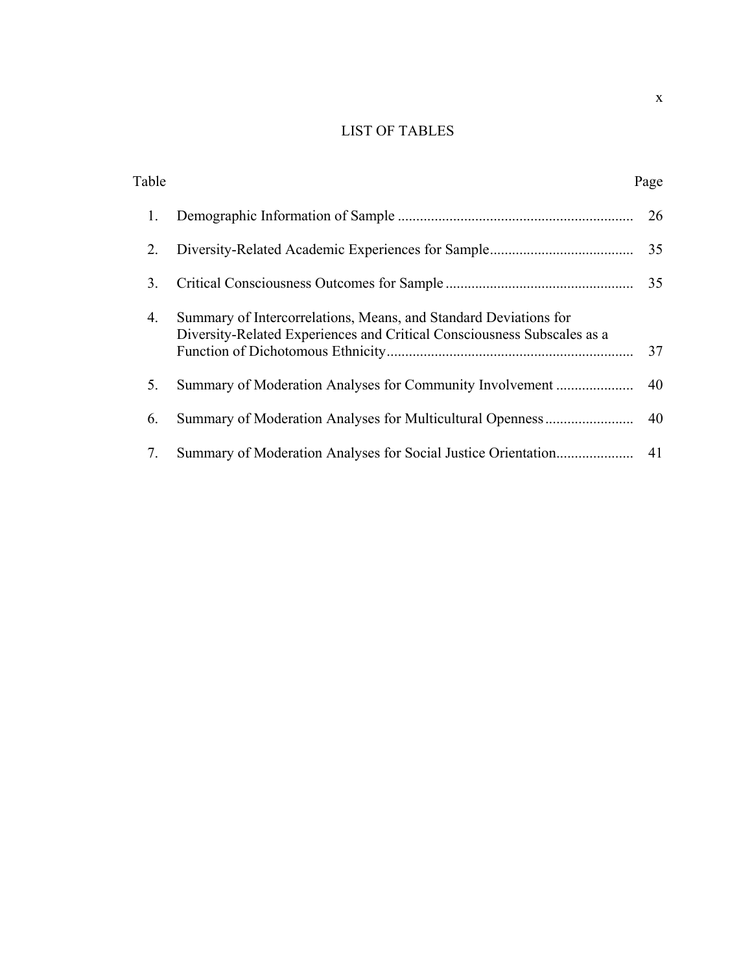# LIST OF TABLES

| Table |                                                                                                                                             | Page |
|-------|---------------------------------------------------------------------------------------------------------------------------------------------|------|
| 1.    |                                                                                                                                             | 26   |
| 2.    |                                                                                                                                             | 35   |
| 3.    |                                                                                                                                             | 35   |
| 4.    | Summary of Intercorrelations, Means, and Standard Deviations for<br>Diversity-Related Experiences and Critical Consciousness Subscales as a | 37   |
| 5.    |                                                                                                                                             |      |
| 6.    |                                                                                                                                             |      |
| 7.    |                                                                                                                                             | 41   |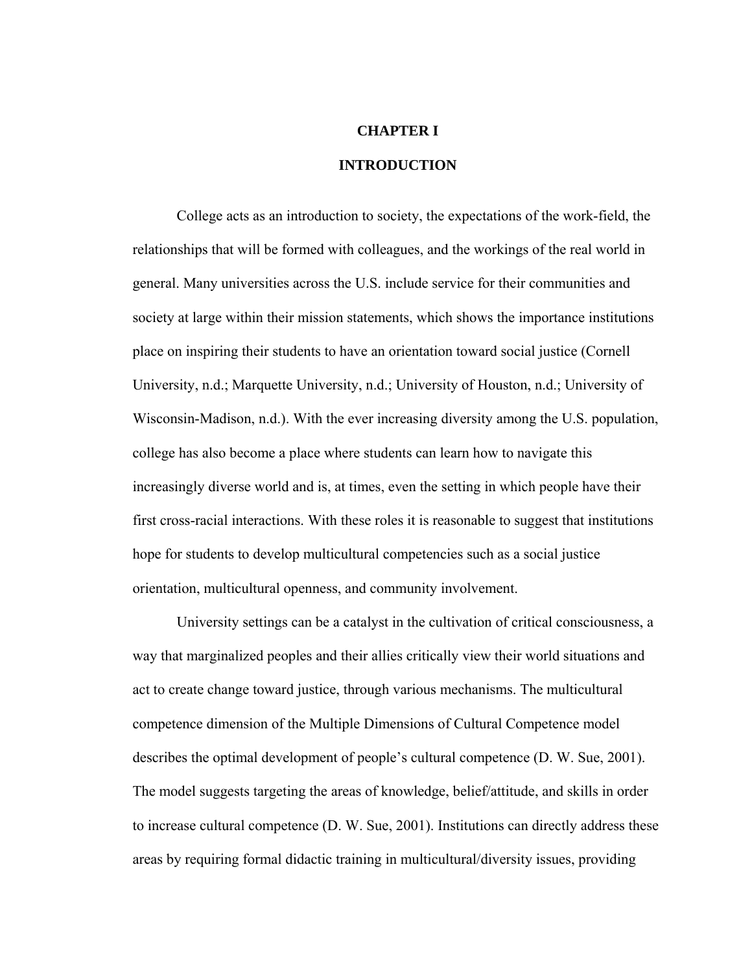## **CHAPTER I**

# **INTRODUCTION**

 College acts as an introduction to society, the expectations of the work-field, the relationships that will be formed with colleagues, and the workings of the real world in general. Many universities across the U.S. include service for their communities and society at large within their mission statements, which shows the importance institutions place on inspiring their students to have an orientation toward social justice (Cornell University, n.d.; Marquette University, n.d.; University of Houston, n.d.; University of Wisconsin-Madison, n.d.). With the ever increasing diversity among the U.S. population, college has also become a place where students can learn how to navigate this increasingly diverse world and is, at times, even the setting in which people have their first cross-racial interactions. With these roles it is reasonable to suggest that institutions hope for students to develop multicultural competencies such as a social justice orientation, multicultural openness, and community involvement.

University settings can be a catalyst in the cultivation of critical consciousness, a way that marginalized peoples and their allies critically view their world situations and act to create change toward justice, through various mechanisms. The multicultural competence dimension of the Multiple Dimensions of Cultural Competence model describes the optimal development of people's cultural competence (D. W. Sue, 2001). The model suggests targeting the areas of knowledge, belief/attitude, and skills in order to increase cultural competence (D. W. Sue, 2001). Institutions can directly address these areas by requiring formal didactic training in multicultural/diversity issues, providing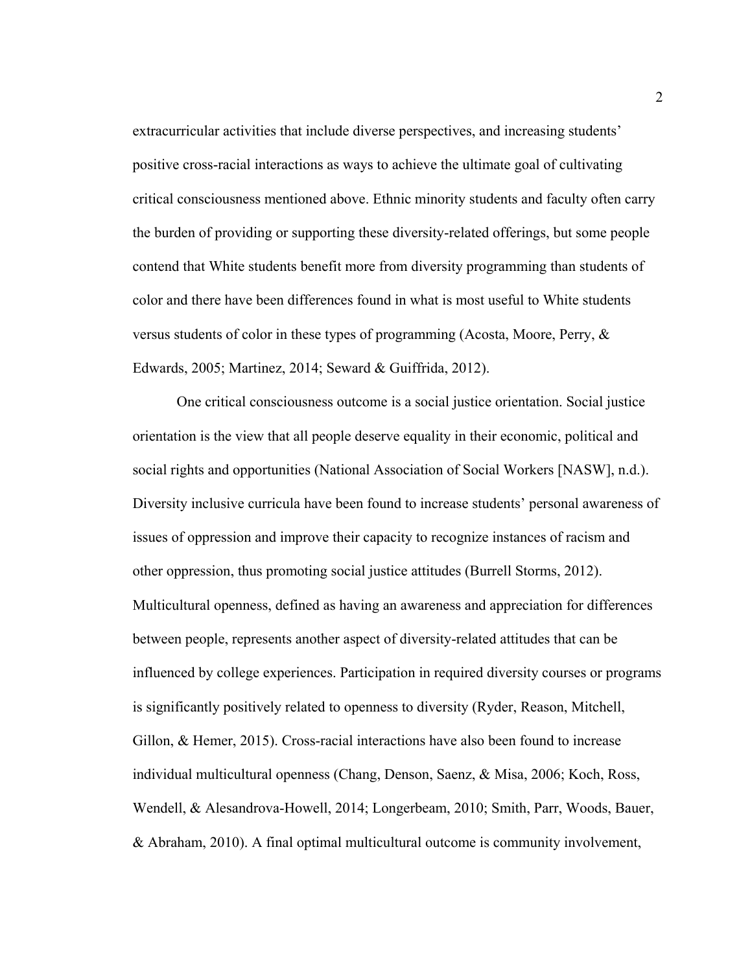extracurricular activities that include diverse perspectives, and increasing students' positive cross-racial interactions as ways to achieve the ultimate goal of cultivating critical consciousness mentioned above. Ethnic minority students and faculty often carry the burden of providing or supporting these diversity-related offerings, but some people contend that White students benefit more from diversity programming than students of color and there have been differences found in what is most useful to White students versus students of color in these types of programming (Acosta, Moore, Perry, & Edwards, 2005; Martinez, 2014; Seward & Guiffrida, 2012).

One critical consciousness outcome is a social justice orientation. Social justice orientation is the view that all people deserve equality in their economic, political and social rights and opportunities (National Association of Social Workers [NASW], n.d.). Diversity inclusive curricula have been found to increase students' personal awareness of issues of oppression and improve their capacity to recognize instances of racism and other oppression, thus promoting social justice attitudes (Burrell Storms, 2012). Multicultural openness, defined as having an awareness and appreciation for differences between people, represents another aspect of diversity-related attitudes that can be influenced by college experiences. Participation in required diversity courses or programs is significantly positively related to openness to diversity (Ryder, Reason, Mitchell, Gillon, & Hemer, 2015). Cross-racial interactions have also been found to increase individual multicultural openness (Chang, Denson, Saenz, & Misa, 2006; Koch, Ross, Wendell, & Alesandrova-Howell, 2014; Longerbeam, 2010; Smith, Parr, Woods, Bauer, & Abraham, 2010). A final optimal multicultural outcome is community involvement,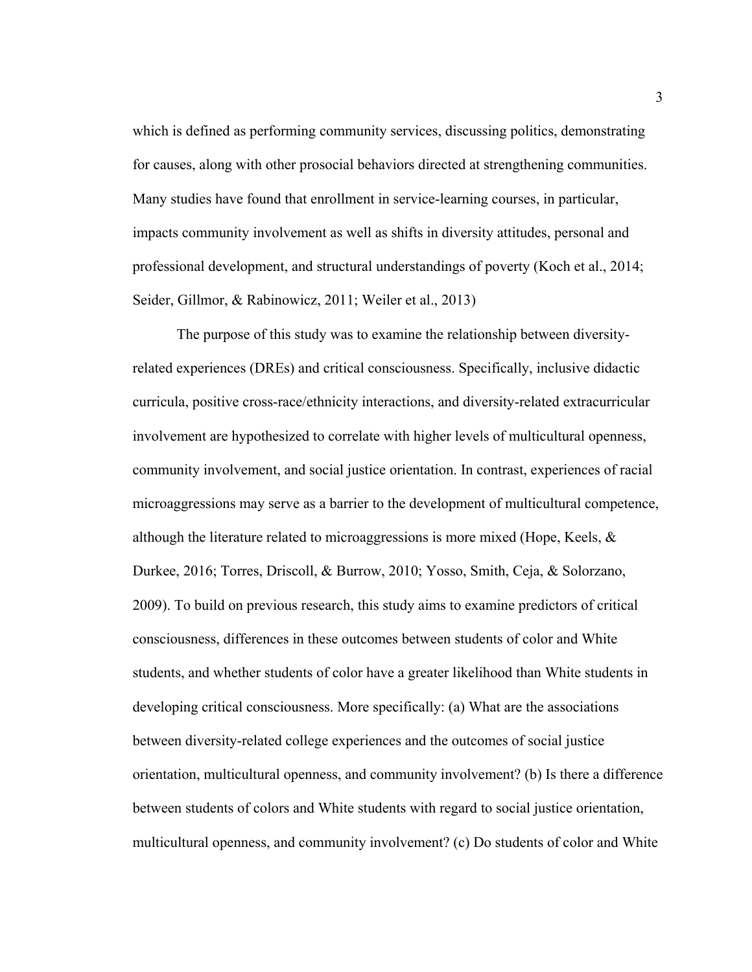which is defined as performing community services, discussing politics, demonstrating for causes, along with other prosocial behaviors directed at strengthening communities. Many studies have found that enrollment in service-learning courses, in particular, impacts community involvement as well as shifts in diversity attitudes, personal and professional development, and structural understandings of poverty (Koch et al., 2014; Seider, Gillmor, & Rabinowicz, 2011; Weiler et al., 2013)

The purpose of this study was to examine the relationship between diversityrelated experiences (DREs) and critical consciousness. Specifically, inclusive didactic curricula, positive cross-race/ethnicity interactions, and diversity-related extracurricular involvement are hypothesized to correlate with higher levels of multicultural openness, community involvement, and social justice orientation. In contrast, experiences of racial microaggressions may serve as a barrier to the development of multicultural competence, although the literature related to microaggressions is more mixed (Hope, Keels,  $\&$ Durkee, 2016; Torres, Driscoll, & Burrow, 2010; Yosso, Smith, Ceja, & Solorzano, 2009). To build on previous research, this study aims to examine predictors of critical consciousness, differences in these outcomes between students of color and White students, and whether students of color have a greater likelihood than White students in developing critical consciousness. More specifically: (a) What are the associations between diversity-related college experiences and the outcomes of social justice orientation, multicultural openness, and community involvement? (b) Is there a difference between students of colors and White students with regard to social justice orientation, multicultural openness, and community involvement? (c) Do students of color and White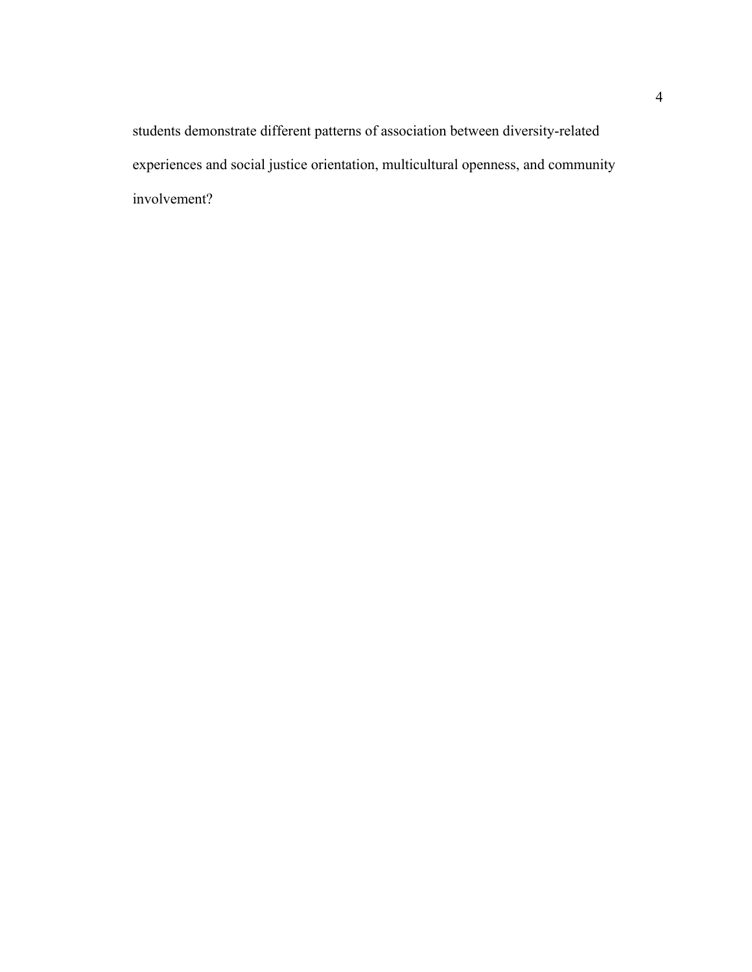students demonstrate different patterns of association between diversity-related experiences and social justice orientation, multicultural openness, and community involvement?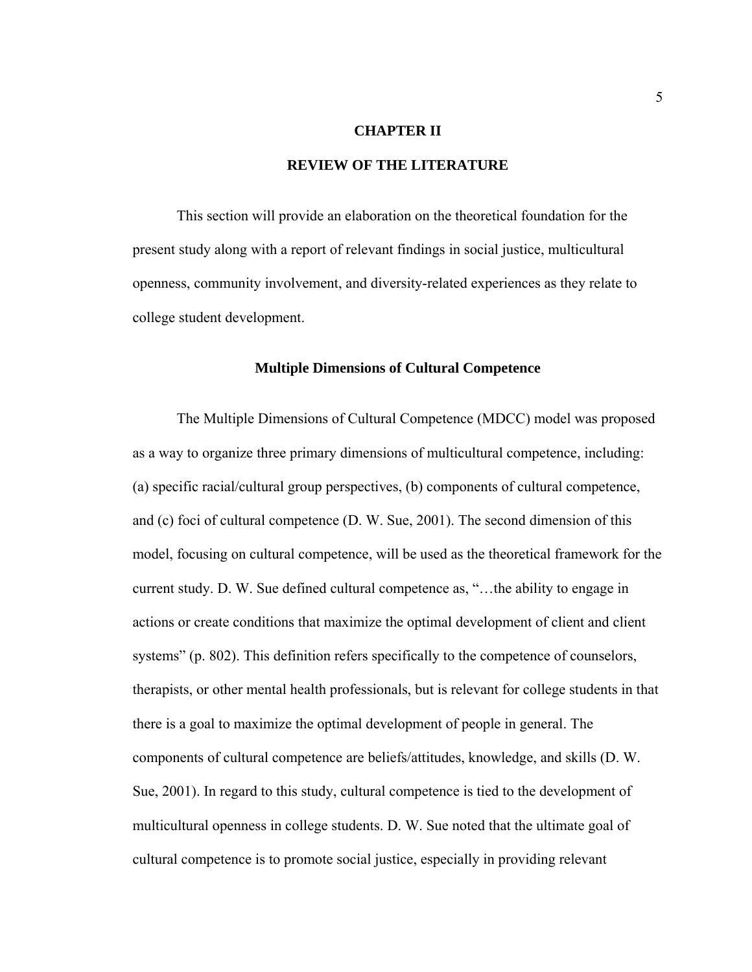#### **CHAPTER II**

# **REVIEW OF THE LITERATURE**

 This section will provide an elaboration on the theoretical foundation for the present study along with a report of relevant findings in social justice, multicultural openness, community involvement, and diversity-related experiences as they relate to college student development.

#### **Multiple Dimensions of Cultural Competence**

 The Multiple Dimensions of Cultural Competence (MDCC) model was proposed as a way to organize three primary dimensions of multicultural competence, including: (a) specific racial/cultural group perspectives, (b) components of cultural competence, and (c) foci of cultural competence (D. W. Sue, 2001). The second dimension of this model, focusing on cultural competence, will be used as the theoretical framework for the current study. D. W. Sue defined cultural competence as, "…the ability to engage in actions or create conditions that maximize the optimal development of client and client systems" (p. 802). This definition refers specifically to the competence of counselors, therapists, or other mental health professionals, but is relevant for college students in that there is a goal to maximize the optimal development of people in general. The components of cultural competence are beliefs/attitudes, knowledge, and skills (D. W. Sue, 2001). In regard to this study, cultural competence is tied to the development of multicultural openness in college students. D. W. Sue noted that the ultimate goal of cultural competence is to promote social justice, especially in providing relevant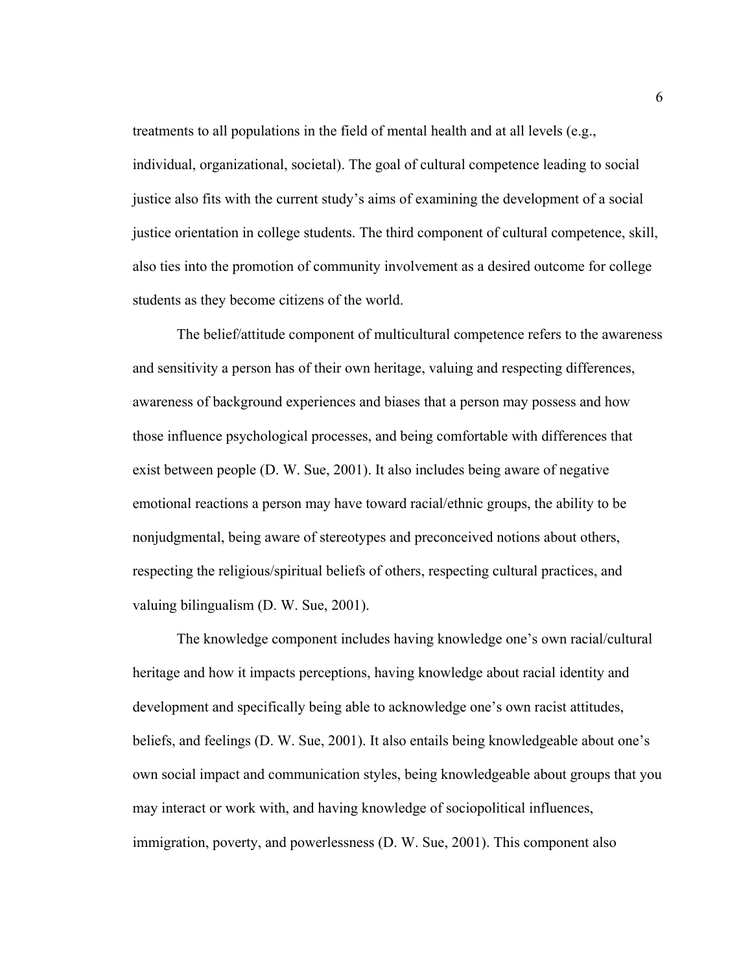treatments to all populations in the field of mental health and at all levels (e.g., individual, organizational, societal). The goal of cultural competence leading to social justice also fits with the current study's aims of examining the development of a social justice orientation in college students. The third component of cultural competence, skill, also ties into the promotion of community involvement as a desired outcome for college students as they become citizens of the world.

 The belief/attitude component of multicultural competence refers to the awareness and sensitivity a person has of their own heritage, valuing and respecting differences, awareness of background experiences and biases that a person may possess and how those influence psychological processes, and being comfortable with differences that exist between people (D. W. Sue, 2001). It also includes being aware of negative emotional reactions a person may have toward racial/ethnic groups, the ability to be nonjudgmental, being aware of stereotypes and preconceived notions about others, respecting the religious/spiritual beliefs of others, respecting cultural practices, and valuing bilingualism (D. W. Sue, 2001).

 The knowledge component includes having knowledge one's own racial/cultural heritage and how it impacts perceptions, having knowledge about racial identity and development and specifically being able to acknowledge one's own racist attitudes, beliefs, and feelings (D. W. Sue, 2001). It also entails being knowledgeable about one's own social impact and communication styles, being knowledgeable about groups that you may interact or work with, and having knowledge of sociopolitical influences, immigration, poverty, and powerlessness (D. W. Sue, 2001). This component also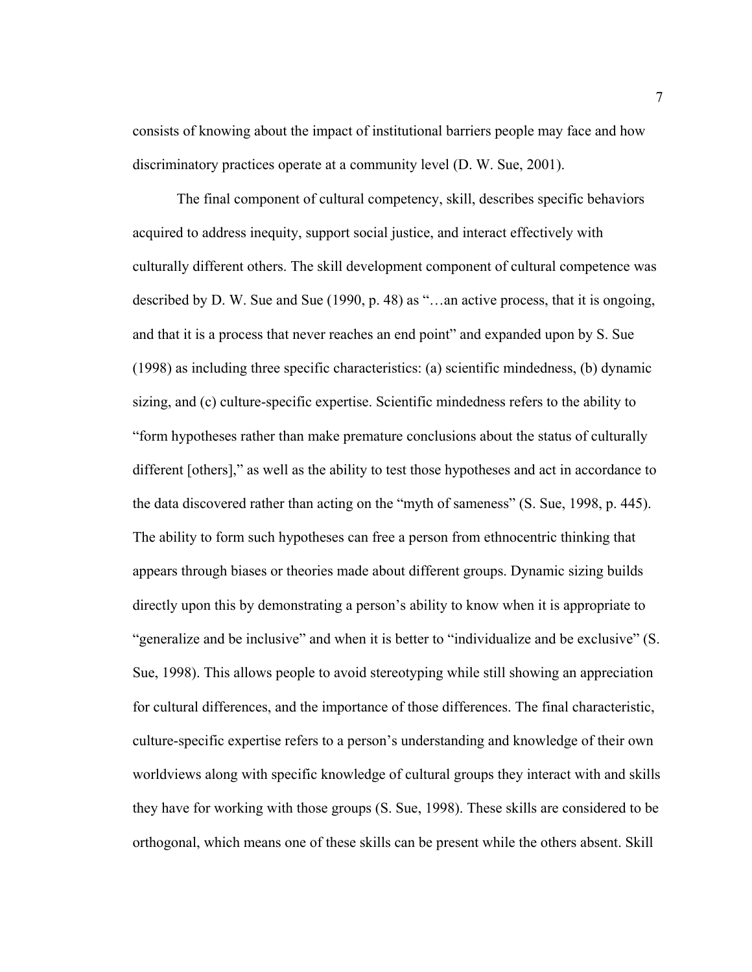consists of knowing about the impact of institutional barriers people may face and how discriminatory practices operate at a community level (D. W. Sue, 2001).

The final component of cultural competency, skill, describes specific behaviors acquired to address inequity, support social justice, and interact effectively with culturally different others. The skill development component of cultural competence was described by D. W. Sue and Sue (1990, p. 48) as "…an active process, that it is ongoing, and that it is a process that never reaches an end point" and expanded upon by S. Sue (1998) as including three specific characteristics: (a) scientific mindedness, (b) dynamic sizing, and (c) culture-specific expertise. Scientific mindedness refers to the ability to "form hypotheses rather than make premature conclusions about the status of culturally different [others]," as well as the ability to test those hypotheses and act in accordance to the data discovered rather than acting on the "myth of sameness" (S. Sue, 1998, p. 445). The ability to form such hypotheses can free a person from ethnocentric thinking that appears through biases or theories made about different groups. Dynamic sizing builds directly upon this by demonstrating a person's ability to know when it is appropriate to "generalize and be inclusive" and when it is better to "individualize and be exclusive" (S. Sue, 1998). This allows people to avoid stereotyping while still showing an appreciation for cultural differences, and the importance of those differences. The final characteristic, culture-specific expertise refers to a person's understanding and knowledge of their own worldviews along with specific knowledge of cultural groups they interact with and skills they have for working with those groups (S. Sue, 1998). These skills are considered to be orthogonal, which means one of these skills can be present while the others absent. Skill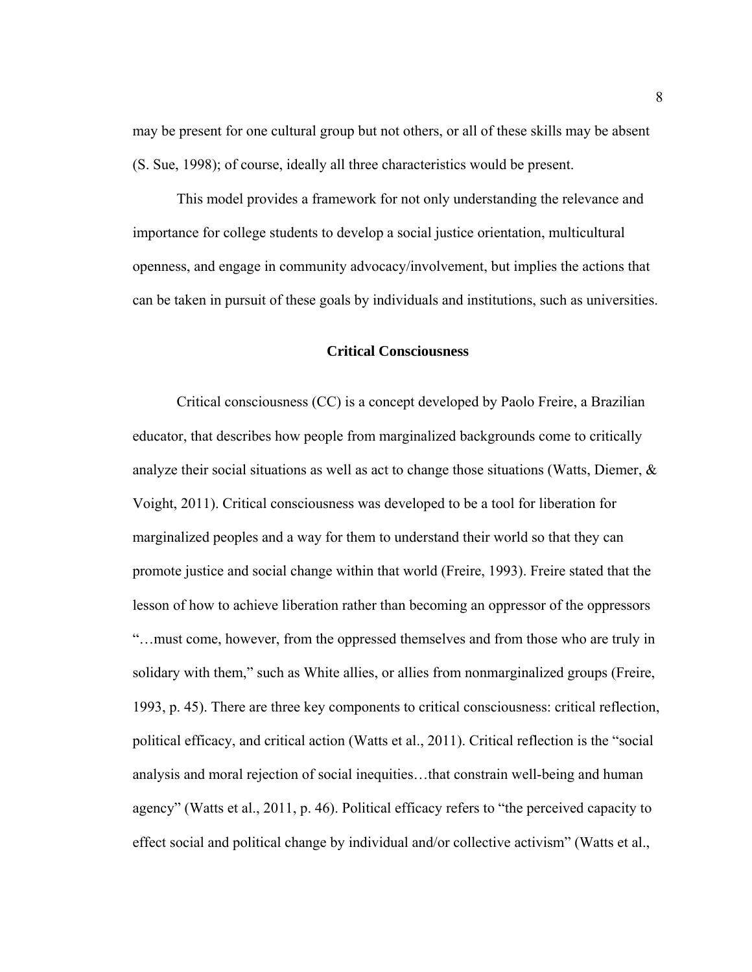may be present for one cultural group but not others, or all of these skills may be absent (S. Sue, 1998); of course, ideally all three characteristics would be present.

 This model provides a framework for not only understanding the relevance and importance for college students to develop a social justice orientation, multicultural openness, and engage in community advocacy/involvement, but implies the actions that can be taken in pursuit of these goals by individuals and institutions, such as universities.

#### **Critical Consciousness**

 Critical consciousness (CC) is a concept developed by Paolo Freire, a Brazilian educator, that describes how people from marginalized backgrounds come to critically analyze their social situations as well as act to change those situations (Watts, Diemer,  $\&$ Voight, 2011). Critical consciousness was developed to be a tool for liberation for marginalized peoples and a way for them to understand their world so that they can promote justice and social change within that world (Freire, 1993). Freire stated that the lesson of how to achieve liberation rather than becoming an oppressor of the oppressors "…must come, however, from the oppressed themselves and from those who are truly in solidary with them," such as White allies, or allies from nonmarginalized groups (Freire, 1993, p. 45). There are three key components to critical consciousness: critical reflection, political efficacy, and critical action (Watts et al., 2011). Critical reflection is the "social analysis and moral rejection of social inequities…that constrain well-being and human agency" (Watts et al., 2011, p. 46). Political efficacy refers to "the perceived capacity to effect social and political change by individual and/or collective activism" (Watts et al.,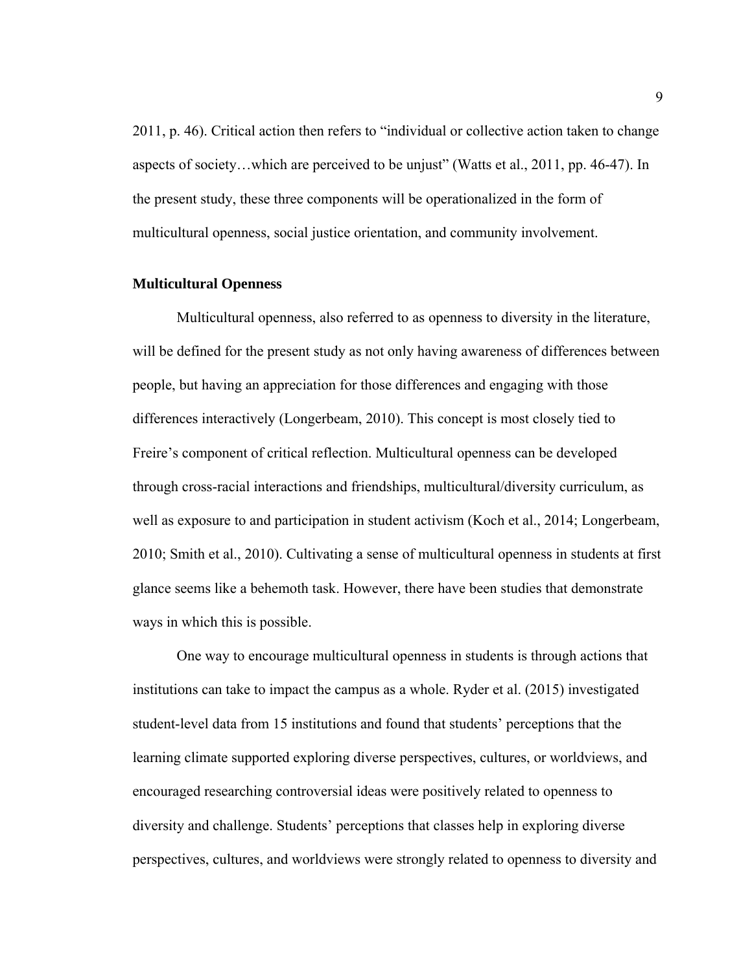2011, p. 46). Critical action then refers to "individual or collective action taken to change aspects of society…which are perceived to be unjust" (Watts et al., 2011, pp. 46-47). In the present study, these three components will be operationalized in the form of multicultural openness, social justice orientation, and community involvement.

# **Multicultural Openness**

Multicultural openness, also referred to as openness to diversity in the literature, will be defined for the present study as not only having awareness of differences between people, but having an appreciation for those differences and engaging with those differences interactively (Longerbeam, 2010). This concept is most closely tied to Freire's component of critical reflection. Multicultural openness can be developed through cross-racial interactions and friendships, multicultural/diversity curriculum, as well as exposure to and participation in student activism (Koch et al., 2014; Longerbeam, 2010; Smith et al., 2010). Cultivating a sense of multicultural openness in students at first glance seems like a behemoth task. However, there have been studies that demonstrate ways in which this is possible.

One way to encourage multicultural openness in students is through actions that institutions can take to impact the campus as a whole. Ryder et al. (2015) investigated student-level data from 15 institutions and found that students' perceptions that the learning climate supported exploring diverse perspectives, cultures, or worldviews, and encouraged researching controversial ideas were positively related to openness to diversity and challenge. Students' perceptions that classes help in exploring diverse perspectives, cultures, and worldviews were strongly related to openness to diversity and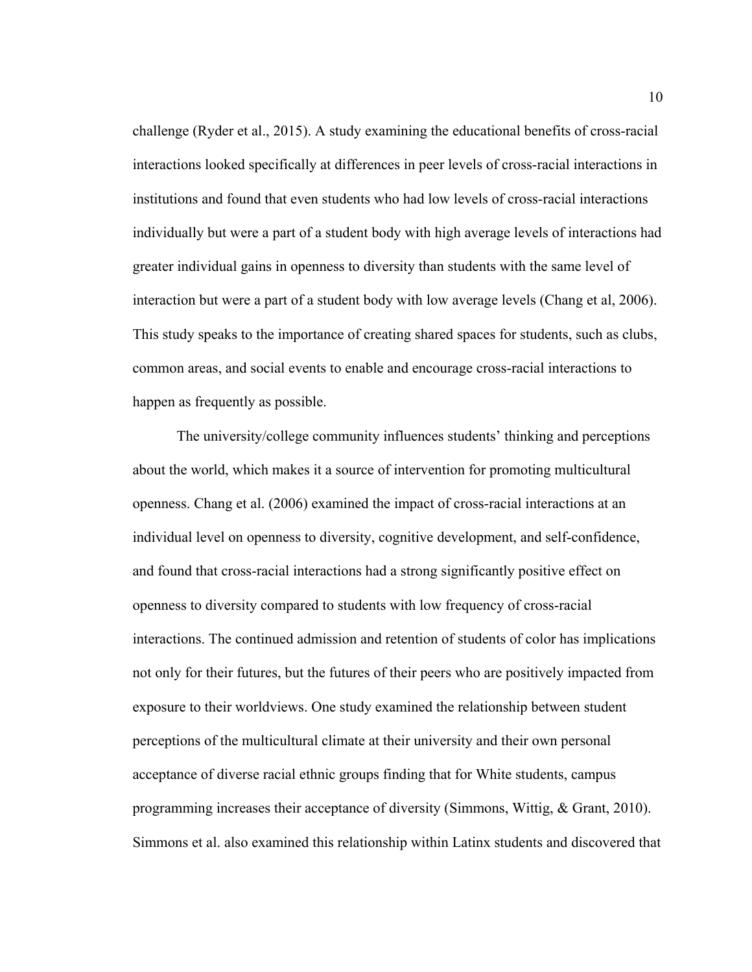challenge (Ryder et al., 2015). A study examining the educational benefits of cross-racial interactions looked specifically at differences in peer levels of cross-racial interactions in institutions and found that even students who had low levels of cross-racial interactions individually but were a part of a student body with high average levels of interactions had greater individual gains in openness to diversity than students with the same level of interaction but were a part of a student body with low average levels (Chang et al, 2006). This study speaks to the importance of creating shared spaces for students, such as clubs, common areas, and social events to enable and encourage cross-racial interactions to happen as frequently as possible.

The university/college community influences students' thinking and perceptions about the world, which makes it a source of intervention for promoting multicultural openness. Chang et al. (2006) examined the impact of cross-racial interactions at an individual level on openness to diversity, cognitive development, and self-confidence, and found that cross-racial interactions had a strong significantly positive effect on openness to diversity compared to students with low frequency of cross-racial interactions. The continued admission and retention of students of color has implications not only for their futures, but the futures of their peers who are positively impacted from exposure to their worldviews. One study examined the relationship between student perceptions of the multicultural climate at their university and their own personal acceptance of diverse racial ethnic groups finding that for White students, campus programming increases their acceptance of diversity (Simmons, Wittig, & Grant, 2010). Simmons et al. also examined this relationship within Latinx students and discovered that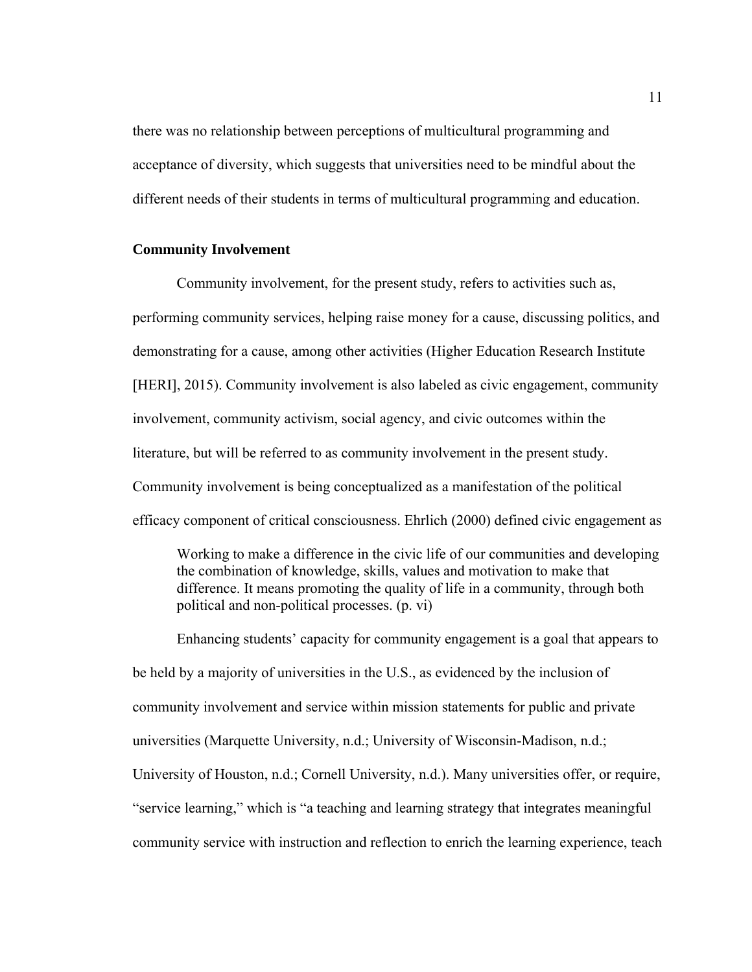there was no relationship between perceptions of multicultural programming and acceptance of diversity, which suggests that universities need to be mindful about the different needs of their students in terms of multicultural programming and education.

# **Community Involvement**

Community involvement, for the present study, refers to activities such as, performing community services, helping raise money for a cause, discussing politics, and demonstrating for a cause, among other activities (Higher Education Research Institute [HERI], 2015). Community involvement is also labeled as civic engagement, community involvement, community activism, social agency, and civic outcomes within the literature, but will be referred to as community involvement in the present study. Community involvement is being conceptualized as a manifestation of the political efficacy component of critical consciousness. Ehrlich (2000) defined civic engagement as

Working to make a difference in the civic life of our communities and developing the combination of knowledge, skills, values and motivation to make that difference. It means promoting the quality of life in a community, through both political and non-political processes. (p. vi)

Enhancing students' capacity for community engagement is a goal that appears to be held by a majority of universities in the U.S., as evidenced by the inclusion of community involvement and service within mission statements for public and private universities (Marquette University, n.d.; University of Wisconsin-Madison, n.d.; University of Houston, n.d.; Cornell University, n.d.). Many universities offer, or require, "service learning," which is "a teaching and learning strategy that integrates meaningful community service with instruction and reflection to enrich the learning experience, teach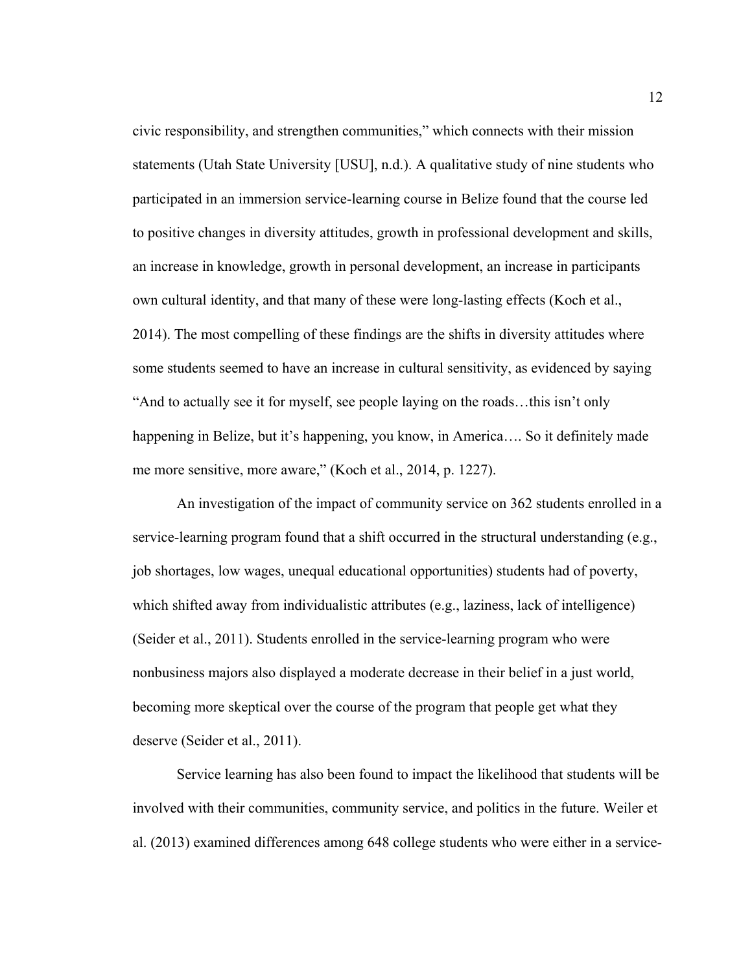civic responsibility, and strengthen communities," which connects with their mission statements (Utah State University [USU], n.d.). A qualitative study of nine students who participated in an immersion service-learning course in Belize found that the course led to positive changes in diversity attitudes, growth in professional development and skills, an increase in knowledge, growth in personal development, an increase in participants own cultural identity, and that many of these were long-lasting effects (Koch et al., 2014). The most compelling of these findings are the shifts in diversity attitudes where some students seemed to have an increase in cultural sensitivity, as evidenced by saying "And to actually see it for myself, see people laying on the roads…this isn't only happening in Belize, but it's happening, you know, in America…. So it definitely made me more sensitive, more aware," (Koch et al., 2014, p. 1227).

An investigation of the impact of community service on 362 students enrolled in a service-learning program found that a shift occurred in the structural understanding (e.g., job shortages, low wages, unequal educational opportunities) students had of poverty, which shifted away from individualistic attributes (e.g., laziness, lack of intelligence) (Seider et al., 2011). Students enrolled in the service-learning program who were nonbusiness majors also displayed a moderate decrease in their belief in a just world, becoming more skeptical over the course of the program that people get what they deserve (Seider et al., 2011).

Service learning has also been found to impact the likelihood that students will be involved with their communities, community service, and politics in the future. Weiler et al. (2013) examined differences among 648 college students who were either in a service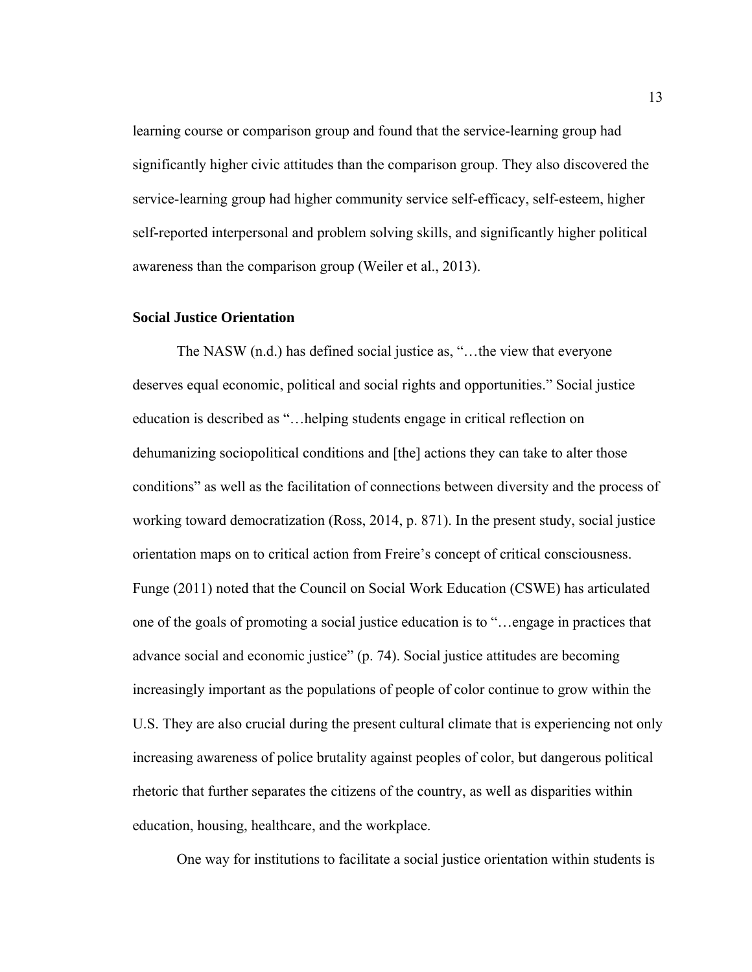learning course or comparison group and found that the service-learning group had significantly higher civic attitudes than the comparison group. They also discovered the service-learning group had higher community service self-efficacy, self-esteem, higher self-reported interpersonal and problem solving skills, and significantly higher political awareness than the comparison group (Weiler et al., 2013).

### **Social Justice Orientation**

The NASW (n.d.) has defined social justice as, "…the view that everyone deserves equal economic, political and social rights and opportunities." Social justice education is described as "…helping students engage in critical reflection on dehumanizing sociopolitical conditions and [the] actions they can take to alter those conditions" as well as the facilitation of connections between diversity and the process of working toward democratization (Ross, 2014, p. 871). In the present study, social justice orientation maps on to critical action from Freire's concept of critical consciousness. Funge (2011) noted that the Council on Social Work Education (CSWE) has articulated one of the goals of promoting a social justice education is to "…engage in practices that advance social and economic justice" (p. 74). Social justice attitudes are becoming increasingly important as the populations of people of color continue to grow within the U.S. They are also crucial during the present cultural climate that is experiencing not only increasing awareness of police brutality against peoples of color, but dangerous political rhetoric that further separates the citizens of the country, as well as disparities within education, housing, healthcare, and the workplace.

One way for institutions to facilitate a social justice orientation within students is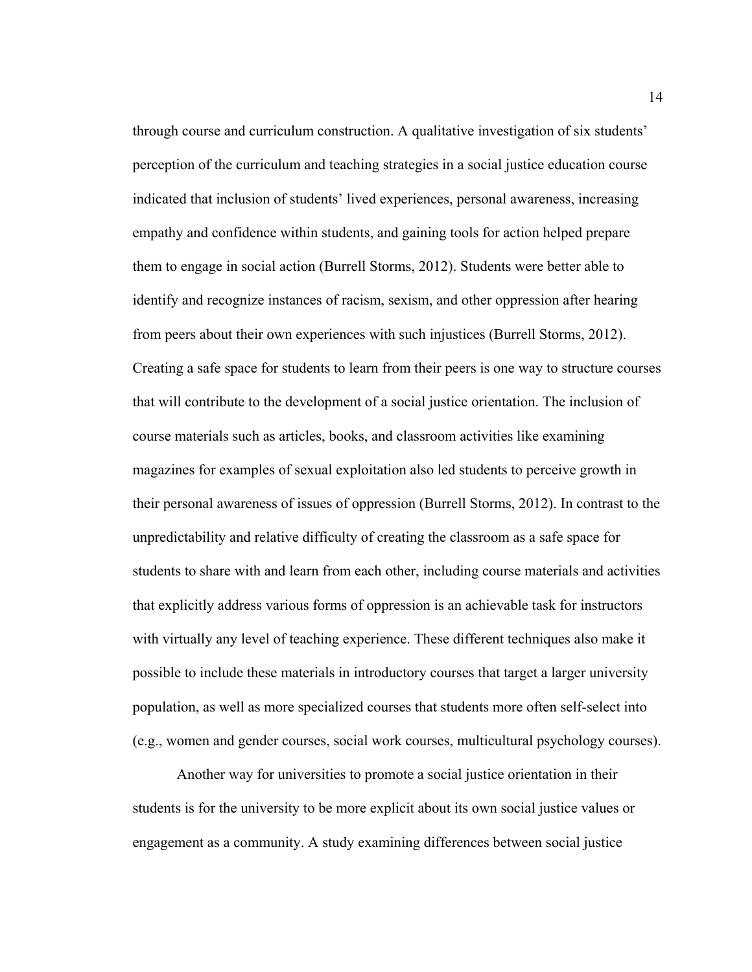through course and curriculum construction. A qualitative investigation of six students' perception of the curriculum and teaching strategies in a social justice education course indicated that inclusion of students' lived experiences, personal awareness, increasing empathy and confidence within students, and gaining tools for action helped prepare them to engage in social action (Burrell Storms, 2012). Students were better able to identify and recognize instances of racism, sexism, and other oppression after hearing from peers about their own experiences with such injustices (Burrell Storms, 2012). Creating a safe space for students to learn from their peers is one way to structure courses that will contribute to the development of a social justice orientation. The inclusion of course materials such as articles, books, and classroom activities like examining magazines for examples of sexual exploitation also led students to perceive growth in their personal awareness of issues of oppression (Burrell Storms, 2012). In contrast to the unpredictability and relative difficulty of creating the classroom as a safe space for students to share with and learn from each other, including course materials and activities that explicitly address various forms of oppression is an achievable task for instructors with virtually any level of teaching experience. These different techniques also make it possible to include these materials in introductory courses that target a larger university population, as well as more specialized courses that students more often self-select into (e.g., women and gender courses, social work courses, multicultural psychology courses).

Another way for universities to promote a social justice orientation in their students is for the university to be more explicit about its own social justice values or engagement as a community. A study examining differences between social justice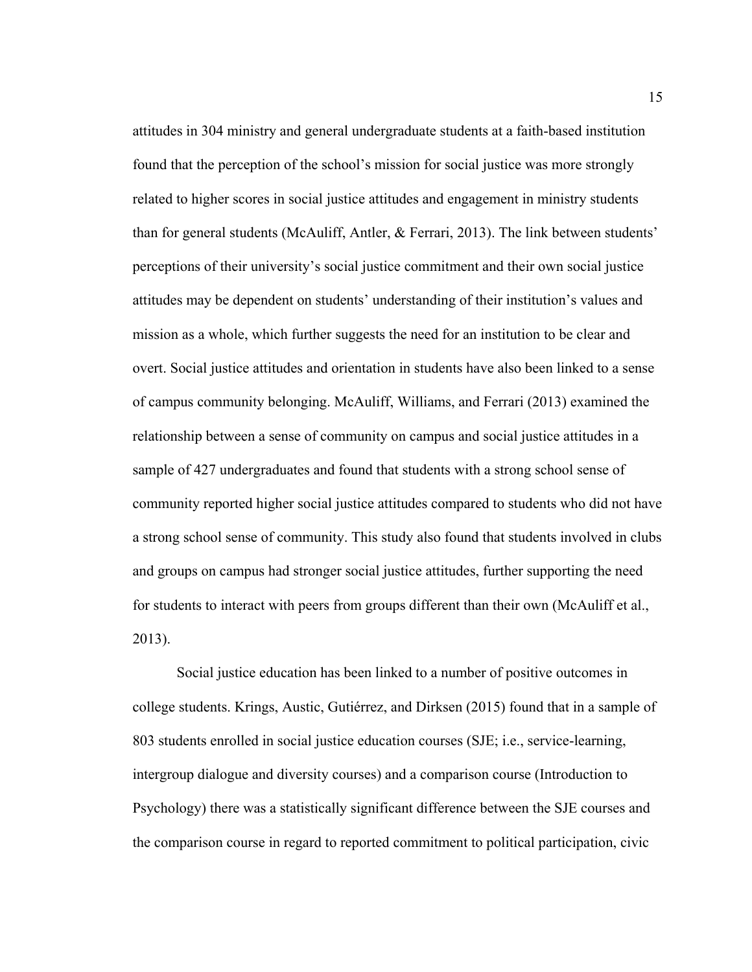attitudes in 304 ministry and general undergraduate students at a faith-based institution found that the perception of the school's mission for social justice was more strongly related to higher scores in social justice attitudes and engagement in ministry students than for general students (McAuliff, Antler, & Ferrari, 2013). The link between students' perceptions of their university's social justice commitment and their own social justice attitudes may be dependent on students' understanding of their institution's values and mission as a whole, which further suggests the need for an institution to be clear and overt. Social justice attitudes and orientation in students have also been linked to a sense of campus community belonging. McAuliff, Williams, and Ferrari (2013) examined the relationship between a sense of community on campus and social justice attitudes in a sample of 427 undergraduates and found that students with a strong school sense of community reported higher social justice attitudes compared to students who did not have a strong school sense of community. This study also found that students involved in clubs and groups on campus had stronger social justice attitudes, further supporting the need for students to interact with peers from groups different than their own (McAuliff et al., 2013).

Social justice education has been linked to a number of positive outcomes in college students. Krings, Austic, Gutiérrez, and Dirksen (2015) found that in a sample of 803 students enrolled in social justice education courses (SJE; i.e., service-learning, intergroup dialogue and diversity courses) and a comparison course (Introduction to Psychology) there was a statistically significant difference between the SJE courses and the comparison course in regard to reported commitment to political participation, civic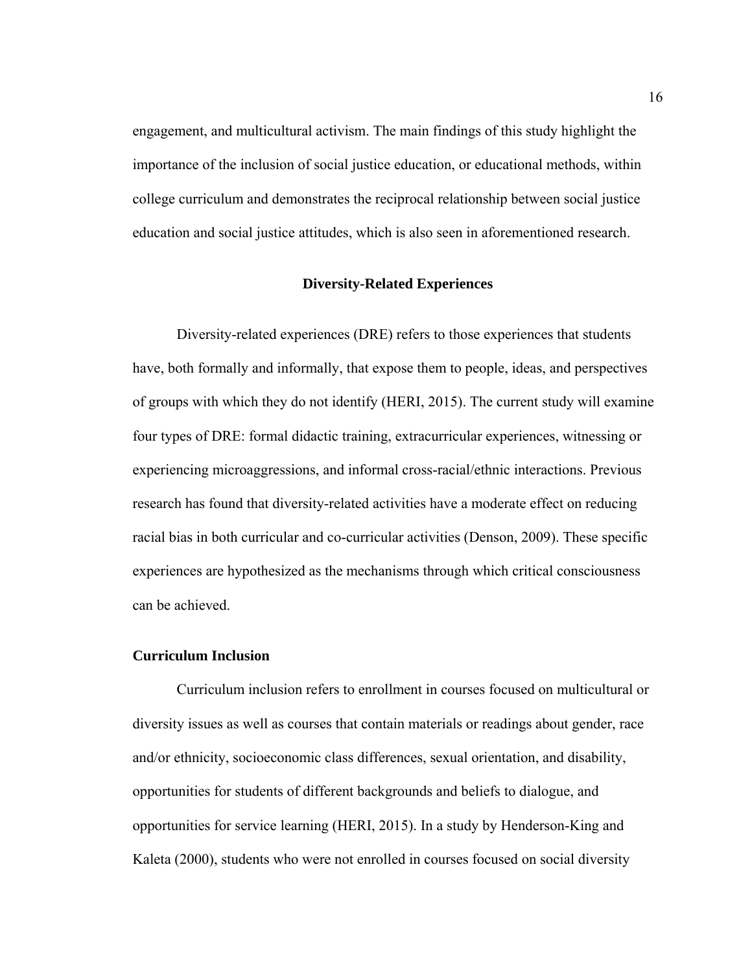engagement, and multicultural activism. The main findings of this study highlight the importance of the inclusion of social justice education, or educational methods, within college curriculum and demonstrates the reciprocal relationship between social justice education and social justice attitudes, which is also seen in aforementioned research.

#### **Diversity-Related Experiences**

 Diversity-related experiences (DRE) refers to those experiences that students have, both formally and informally, that expose them to people, ideas, and perspectives of groups with which they do not identify (HERI, 2015). The current study will examine four types of DRE: formal didactic training, extracurricular experiences, witnessing or experiencing microaggressions, and informal cross-racial/ethnic interactions. Previous research has found that diversity-related activities have a moderate effect on reducing racial bias in both curricular and co-curricular activities (Denson, 2009). These specific experiences are hypothesized as the mechanisms through which critical consciousness can be achieved.

#### **Curriculum Inclusion**

Curriculum inclusion refers to enrollment in courses focused on multicultural or diversity issues as well as courses that contain materials or readings about gender, race and/or ethnicity, socioeconomic class differences, sexual orientation, and disability, opportunities for students of different backgrounds and beliefs to dialogue, and opportunities for service learning (HERI, 2015). In a study by Henderson-King and Kaleta (2000), students who were not enrolled in courses focused on social diversity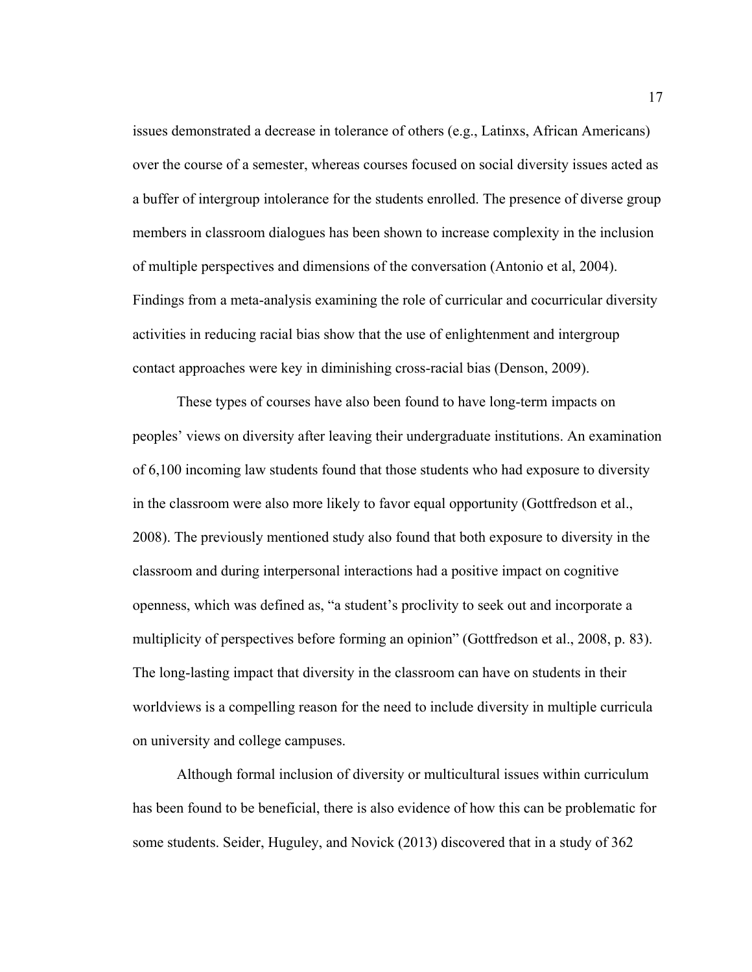issues demonstrated a decrease in tolerance of others (e.g., Latinxs, African Americans) over the course of a semester, whereas courses focused on social diversity issues acted as a buffer of intergroup intolerance for the students enrolled. The presence of diverse group members in classroom dialogues has been shown to increase complexity in the inclusion of multiple perspectives and dimensions of the conversation (Antonio et al, 2004). Findings from a meta-analysis examining the role of curricular and cocurricular diversity activities in reducing racial bias show that the use of enlightenment and intergroup contact approaches were key in diminishing cross-racial bias (Denson, 2009).

 These types of courses have also been found to have long-term impacts on peoples' views on diversity after leaving their undergraduate institutions. An examination of 6,100 incoming law students found that those students who had exposure to diversity in the classroom were also more likely to favor equal opportunity (Gottfredson et al., 2008). The previously mentioned study also found that both exposure to diversity in the classroom and during interpersonal interactions had a positive impact on cognitive openness, which was defined as, "a student's proclivity to seek out and incorporate a multiplicity of perspectives before forming an opinion" (Gottfredson et al., 2008, p. 83). The long-lasting impact that diversity in the classroom can have on students in their worldviews is a compelling reason for the need to include diversity in multiple curricula on university and college campuses.

 Although formal inclusion of diversity or multicultural issues within curriculum has been found to be beneficial, there is also evidence of how this can be problematic for some students. Seider, Huguley, and Novick (2013) discovered that in a study of 362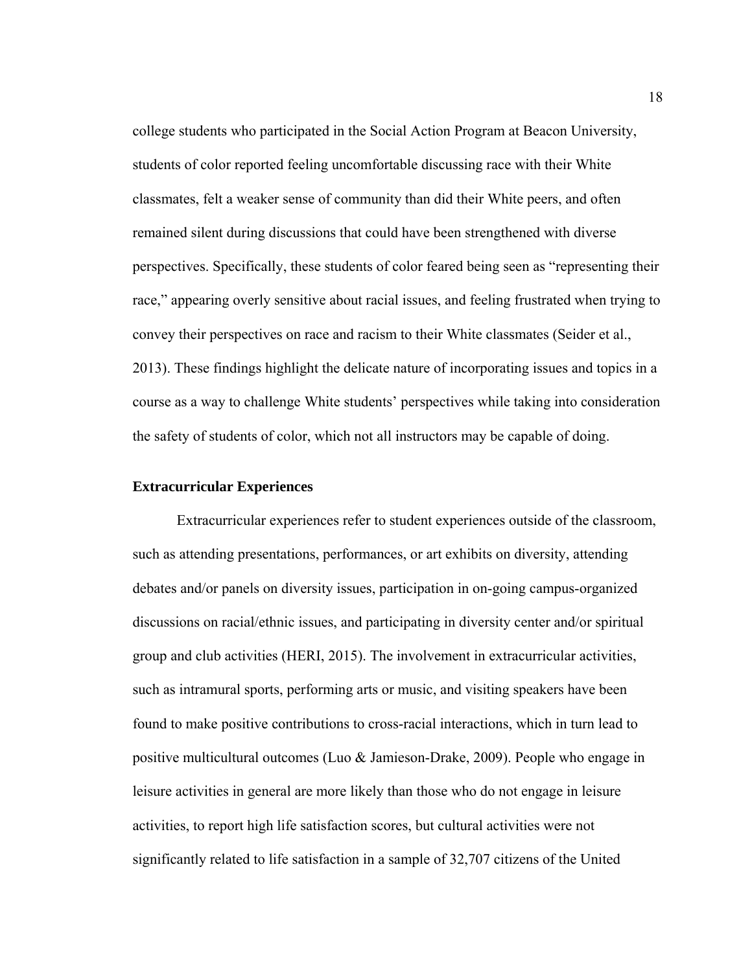college students who participated in the Social Action Program at Beacon University, students of color reported feeling uncomfortable discussing race with their White classmates, felt a weaker sense of community than did their White peers, and often remained silent during discussions that could have been strengthened with diverse perspectives. Specifically, these students of color feared being seen as "representing their race," appearing overly sensitive about racial issues, and feeling frustrated when trying to convey their perspectives on race and racism to their White classmates (Seider et al., 2013). These findings highlight the delicate nature of incorporating issues and topics in a course as a way to challenge White students' perspectives while taking into consideration the safety of students of color, which not all instructors may be capable of doing.

#### **Extracurricular Experiences**

Extracurricular experiences refer to student experiences outside of the classroom, such as attending presentations, performances, or art exhibits on diversity, attending debates and/or panels on diversity issues, participation in on-going campus-organized discussions on racial/ethnic issues, and participating in diversity center and/or spiritual group and club activities (HERI, 2015). The involvement in extracurricular activities, such as intramural sports, performing arts or music, and visiting speakers have been found to make positive contributions to cross-racial interactions, which in turn lead to positive multicultural outcomes (Luo & Jamieson-Drake, 2009). People who engage in leisure activities in general are more likely than those who do not engage in leisure activities, to report high life satisfaction scores, but cultural activities were not significantly related to life satisfaction in a sample of 32,707 citizens of the United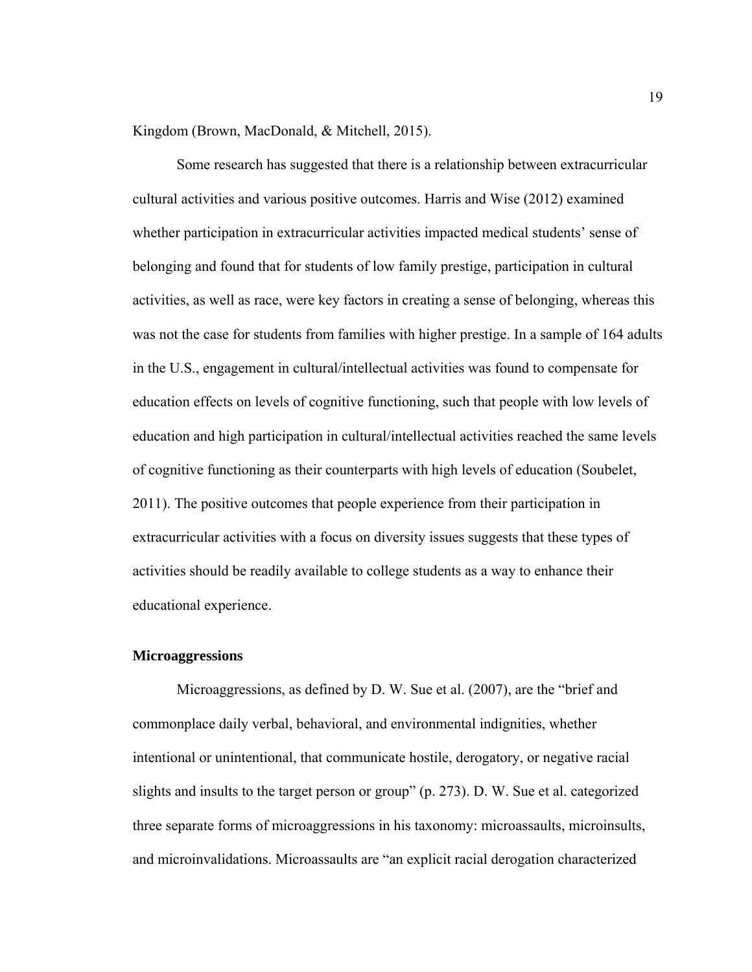Kingdom (Brown, MacDonald, & Mitchell, 2015).

 Some research has suggested that there is a relationship between extracurricular cultural activities and various positive outcomes. Harris and Wise (2012) examined whether participation in extracurricular activities impacted medical students' sense of belonging and found that for students of low family prestige, participation in cultural activities, as well as race, were key factors in creating a sense of belonging, whereas this was not the case for students from families with higher prestige. In a sample of 164 adults in the U.S., engagement in cultural/intellectual activities was found to compensate for education effects on levels of cognitive functioning, such that people with low levels of education and high participation in cultural/intellectual activities reached the same levels of cognitive functioning as their counterparts with high levels of education (Soubelet, 2011). The positive outcomes that people experience from their participation in extracurricular activities with a focus on diversity issues suggests that these types of activities should be readily available to college students as a way to enhance their educational experience.

#### **Microaggressions**

Microaggressions, as defined by D. W. Sue et al. (2007), are the "brief and commonplace daily verbal, behavioral, and environmental indignities, whether intentional or unintentional, that communicate hostile, derogatory, or negative racial slights and insults to the target person or group" (p. 273). D. W. Sue et al. categorized three separate forms of microaggressions in his taxonomy: microassaults, microinsults, and microinvalidations. Microassaults are "an explicit racial derogation characterized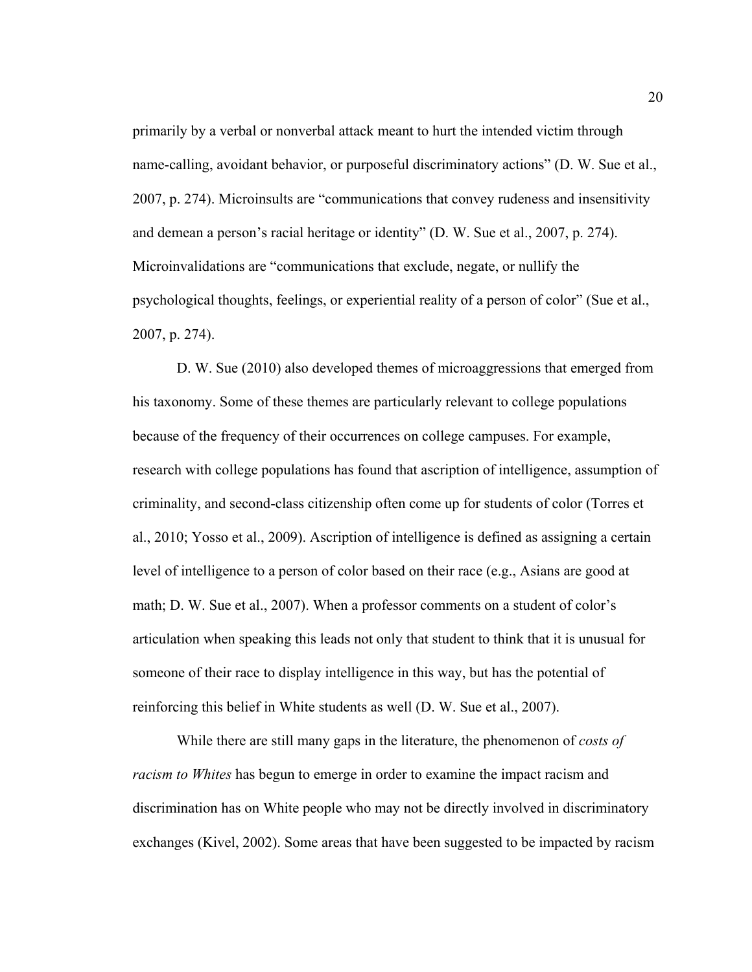primarily by a verbal or nonverbal attack meant to hurt the intended victim through name-calling, avoidant behavior, or purposeful discriminatory actions" (D. W. Sue et al., 2007, p. 274). Microinsults are "communications that convey rudeness and insensitivity and demean a person's racial heritage or identity" (D. W. Sue et al., 2007, p. 274). Microinvalidations are "communications that exclude, negate, or nullify the psychological thoughts, feelings, or experiential reality of a person of color" (Sue et al., 2007, p. 274).

 D. W. Sue (2010) also developed themes of microaggressions that emerged from his taxonomy. Some of these themes are particularly relevant to college populations because of the frequency of their occurrences on college campuses. For example, research with college populations has found that ascription of intelligence, assumption of criminality, and second-class citizenship often come up for students of color (Torres et al., 2010; Yosso et al., 2009). Ascription of intelligence is defined as assigning a certain level of intelligence to a person of color based on their race (e.g., Asians are good at math; D. W. Sue et al., 2007). When a professor comments on a student of color's articulation when speaking this leads not only that student to think that it is unusual for someone of their race to display intelligence in this way, but has the potential of reinforcing this belief in White students as well (D. W. Sue et al., 2007).

While there are still many gaps in the literature, the phenomenon of *costs of racism to Whites* has begun to emerge in order to examine the impact racism and discrimination has on White people who may not be directly involved in discriminatory exchanges (Kivel, 2002). Some areas that have been suggested to be impacted by racism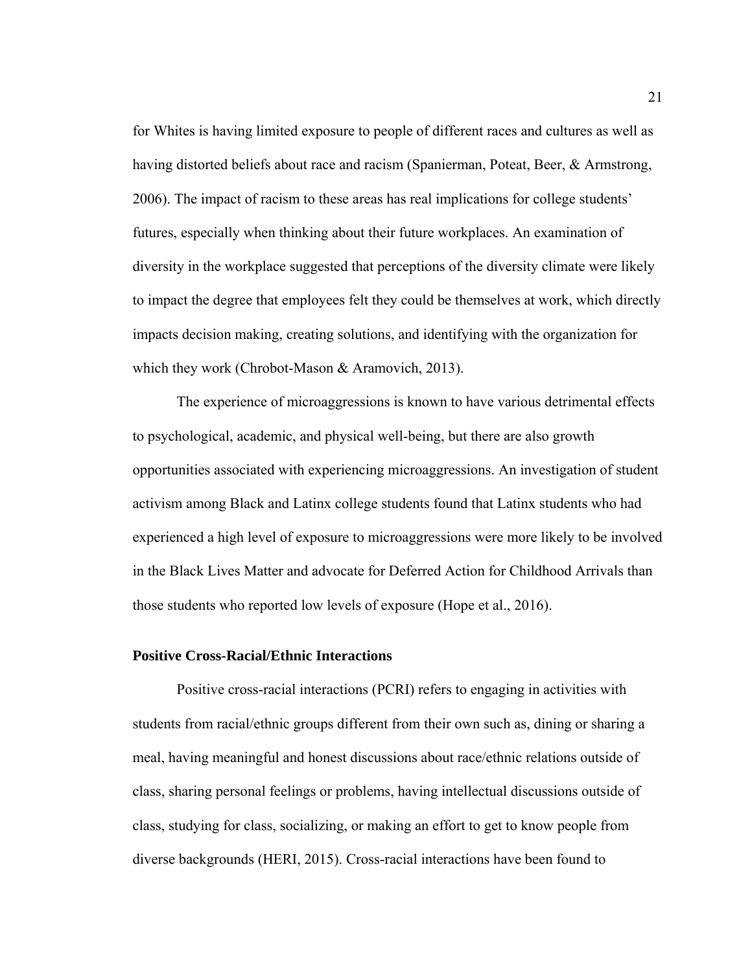for Whites is having limited exposure to people of different races and cultures as well as having distorted beliefs about race and racism (Spanierman, Poteat, Beer, & Armstrong, 2006). The impact of racism to these areas has real implications for college students' futures, especially when thinking about their future workplaces. An examination of diversity in the workplace suggested that perceptions of the diversity climate were likely to impact the degree that employees felt they could be themselves at work, which directly impacts decision making, creating solutions, and identifying with the organization for which they work (Chrobot-Mason & Aramovich, 2013).

The experience of microaggressions is known to have various detrimental effects to psychological, academic, and physical well-being, but there are also growth opportunities associated with experiencing microaggressions. An investigation of student activism among Black and Latinx college students found that Latinx students who had experienced a high level of exposure to microaggressions were more likely to be involved in the Black Lives Matter and advocate for Deferred Action for Childhood Arrivals than those students who reported low levels of exposure (Hope et al., 2016).

#### **Positive Cross-Racial/Ethnic Interactions**

Positive cross-racial interactions (PCRI) refers to engaging in activities with students from racial/ethnic groups different from their own such as, dining or sharing a meal, having meaningful and honest discussions about race/ethnic relations outside of class, sharing personal feelings or problems, having intellectual discussions outside of class, studying for class, socializing, or making an effort to get to know people from diverse backgrounds (HERI, 2015). Cross-racial interactions have been found to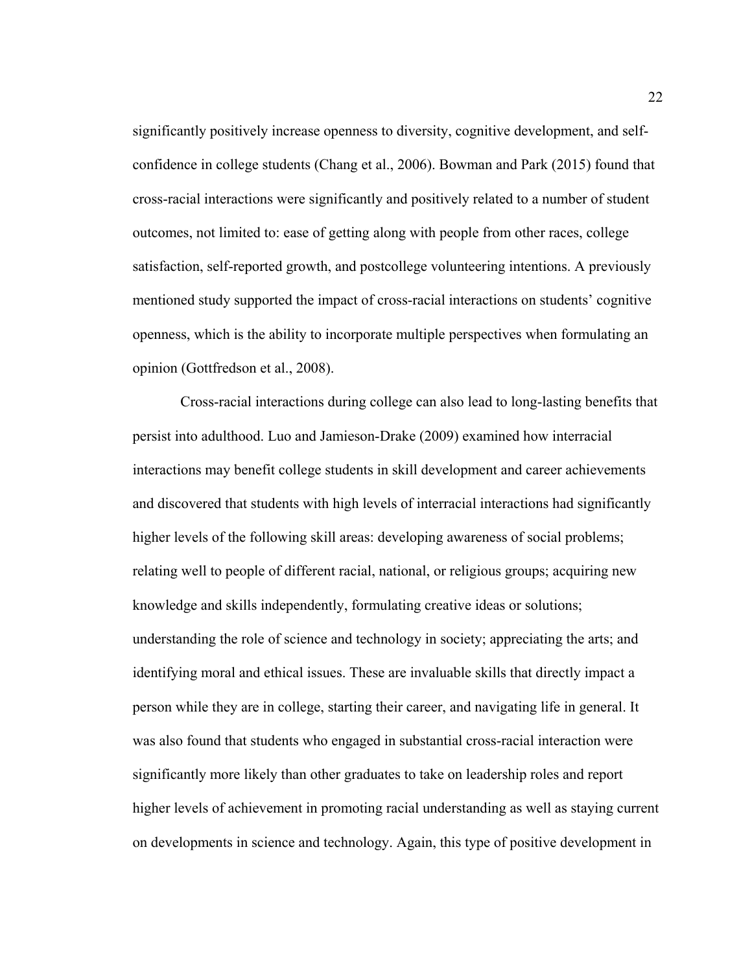significantly positively increase openness to diversity, cognitive development, and selfconfidence in college students (Chang et al., 2006). Bowman and Park (2015) found that cross-racial interactions were significantly and positively related to a number of student outcomes, not limited to: ease of getting along with people from other races, college satisfaction, self-reported growth, and postcollege volunteering intentions. A previously mentioned study supported the impact of cross-racial interactions on students' cognitive openness, which is the ability to incorporate multiple perspectives when formulating an opinion (Gottfredson et al., 2008).

 Cross-racial interactions during college can also lead to long-lasting benefits that persist into adulthood. Luo and Jamieson-Drake (2009) examined how interracial interactions may benefit college students in skill development and career achievements and discovered that students with high levels of interracial interactions had significantly higher levels of the following skill areas: developing awareness of social problems; relating well to people of different racial, national, or religious groups; acquiring new knowledge and skills independently, formulating creative ideas or solutions; understanding the role of science and technology in society; appreciating the arts; and identifying moral and ethical issues. These are invaluable skills that directly impact a person while they are in college, starting their career, and navigating life in general. It was also found that students who engaged in substantial cross-racial interaction were significantly more likely than other graduates to take on leadership roles and report higher levels of achievement in promoting racial understanding as well as staying current on developments in science and technology. Again, this type of positive development in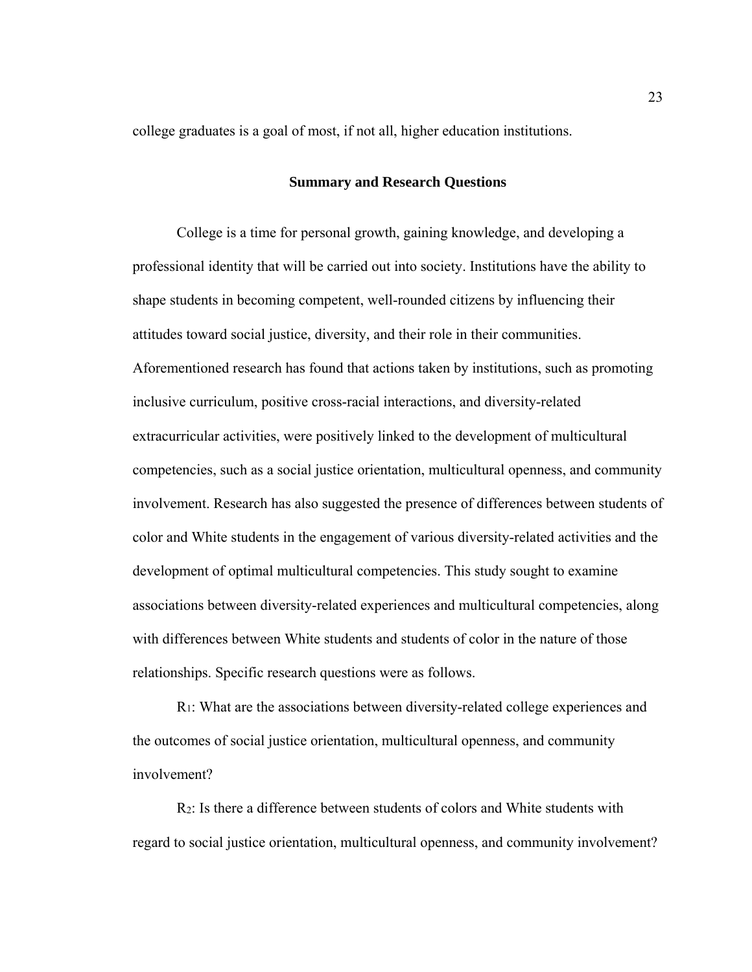college graduates is a goal of most, if not all, higher education institutions.

#### **Summary and Research Questions**

College is a time for personal growth, gaining knowledge, and developing a professional identity that will be carried out into society. Institutions have the ability to shape students in becoming competent, well-rounded citizens by influencing their attitudes toward social justice, diversity, and their role in their communities. Aforementioned research has found that actions taken by institutions, such as promoting inclusive curriculum, positive cross-racial interactions, and diversity-related extracurricular activities, were positively linked to the development of multicultural competencies, such as a social justice orientation, multicultural openness, and community involvement. Research has also suggested the presence of differences between students of color and White students in the engagement of various diversity-related activities and the development of optimal multicultural competencies. This study sought to examine associations between diversity-related experiences and multicultural competencies, along with differences between White students and students of color in the nature of those relationships. Specific research questions were as follows.

R1: What are the associations between diversity-related college experiences and the outcomes of social justice orientation, multicultural openness, and community involvement?

R2: Is there a difference between students of colors and White students with regard to social justice orientation, multicultural openness, and community involvement?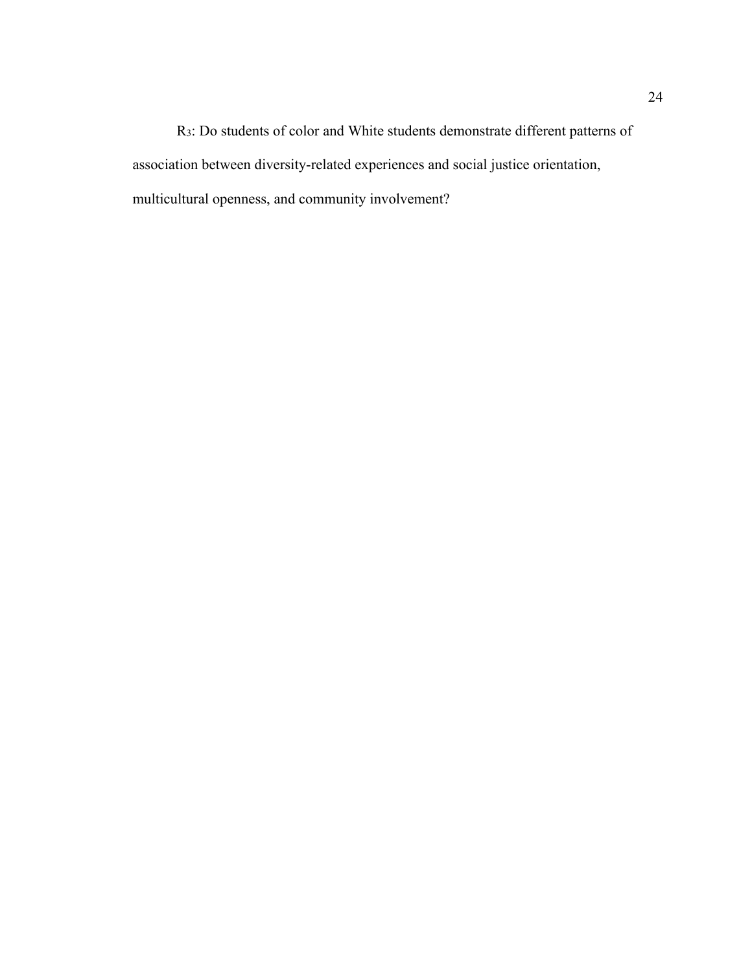R3: Do students of color and White students demonstrate different patterns of association between diversity-related experiences and social justice orientation, multicultural openness, and community involvement?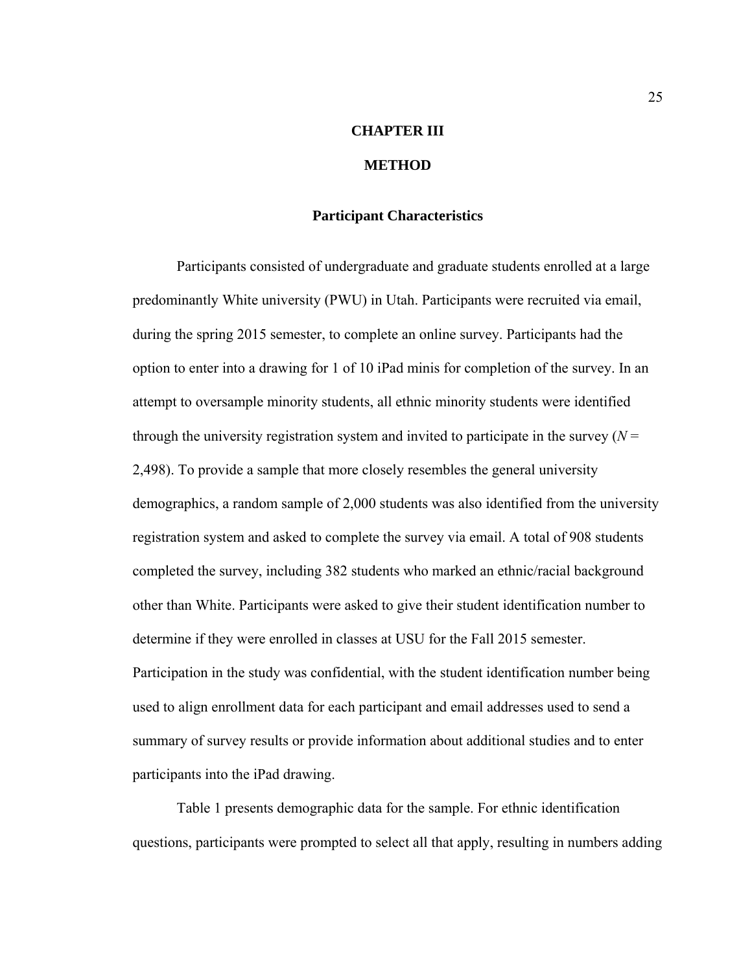# **CHAPTER III**

### **METHOD**

# **Participant Characteristics**

 Participants consisted of undergraduate and graduate students enrolled at a large predominantly White university (PWU) in Utah. Participants were recruited via email, during the spring 2015 semester, to complete an online survey. Participants had the option to enter into a drawing for 1 of 10 iPad minis for completion of the survey. In an attempt to oversample minority students, all ethnic minority students were identified through the university registration system and invited to participate in the survey  $(N =$ 2,498). To provide a sample that more closely resembles the general university demographics, a random sample of 2,000 students was also identified from the university registration system and asked to complete the survey via email. A total of 908 students completed the survey, including 382 students who marked an ethnic/racial background other than White. Participants were asked to give their student identification number to determine if they were enrolled in classes at USU for the Fall 2015 semester. Participation in the study was confidential, with the student identification number being used to align enrollment data for each participant and email addresses used to send a summary of survey results or provide information about additional studies and to enter participants into the iPad drawing.

 Table 1 presents demographic data for the sample. For ethnic identification questions, participants were prompted to select all that apply, resulting in numbers adding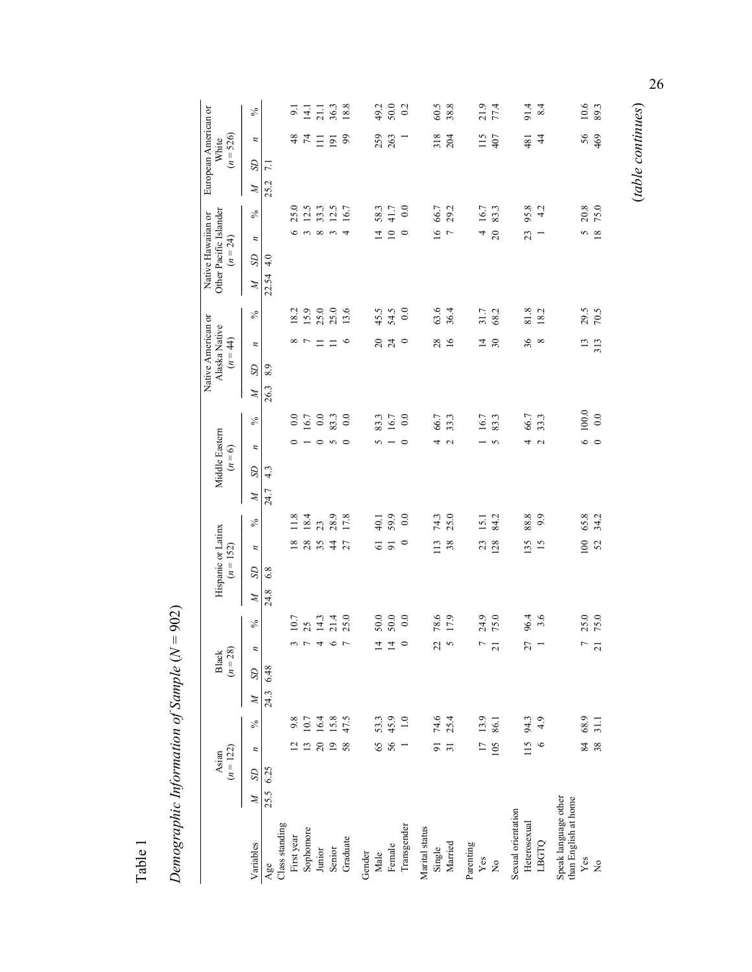| ۴ | ω<br>$\overline{\phantom{0}}$<br>ಸ |
|---|------------------------------------|

| Demographic Information of Sample $(N =$     |                      |                 |               |              |                              |                          | 902)         |                    |                |               |              |                  |                   |       |              |                                                   |                 |      |                                              |                 |               |                         |                                              |                |  |
|----------------------------------------------|----------------------|-----------------|---------------|--------------|------------------------------|--------------------------|--------------|--------------------|----------------|---------------|--------------|------------------|-------------------|-------|--------------|---------------------------------------------------|-----------------|------|----------------------------------------------|-----------------|---------------|-------------------------|----------------------------------------------|----------------|--|
|                                              | $(n = 122)$<br>Asian |                 |               |              | $(n = 28)$<br>Black          |                          |              | Hispanic or Latinx | $(n = 152)$    |               |              | Middle Eastern   | $(n = 6)$         |       |              | Native American or<br>Alaska Native<br>$(n = 44)$ |                 |      | Other Pacific Islander<br>Native Hawaiian or | $(n = 24)$      |               |                         | European American or<br>$(n = 526)$<br>White |                |  |
| $\mathbb{N}$<br>Variables                    | $\Omega$             | z               | $\frac{5}{6}$ | $\mathbb{N}$ | $\boldsymbol{n}$<br>$\Omega$ | $\%$                     | $\mathbb{Z}$ | SD                 | z              | $\frac{5}{6}$ | $\mathbb{Z}$ | SD <sub>1</sub>  | z                 | $\%$  | $\mathbb{Z}$ | SD                                                | z               | $\%$ | SD<br>Z                                      | z               | $\frac{5}{6}$ | SD<br>$\boldsymbol{N}$  | $\boldsymbol{z}$                             | $\frac{5}{6}$  |  |
| 25.5 6.25<br>Age                             |                      |                 |               | 24.3         | 6.48                         |                          | 24.8         | 6.8                |                |               | 24.7         | $4.\overline{3}$ |                   |       | 26.3         | 8.9                                               |                 |      | $\frac{0}{4}$<br>22.54                       |                 |               | $\overline{71}$<br>25.2 |                                              |                |  |
| Class standing                               |                      |                 |               |              |                              |                          |              |                    |                |               |              |                  |                   |       |              |                                                   |                 |      |                                              |                 |               |                         |                                              |                |  |
| First year                                   |                      | $\overline{c}$  | 9.8           |              |                              | 3                        | 10.7         |                    | $\overline{8}$ | 11.8          |              |                  |                   | 0.0   |              |                                                   | ${}^{\circ}$    | 18.2 |                                              | ے               | 25.0          |                         | 48                                           | $\overline{9}$ |  |
| Sophomore                                    |                      | $\overline{13}$ | 10.7          |              |                              | 25<br>$\overline{r}$     |              |                    | 28             | 18.4          |              |                  |                   | 16.7  |              |                                                   | $\overline{ }$  | 15.9 |                                              | $\sim$          | 12.5          |                         | $\mathcal{F}$                                | $\frac{14}{1}$ |  |
| Junior                                       |                      | $\Omega$        | 16.4          |              |                              | $\overline{\mathcal{A}}$ | 14.3         |                    | 35             | 23            |              |                  | $\circ$           | 0.0   |              |                                                   | Ξ               | 25.0 |                                              | $\infty$        | 33.3          |                         | Ξ                                            | 21.1           |  |
| Senior                                       |                      | $\overline{19}$ | 15.8          |              |                              | $\circ$                  | 21.4         |                    | $\frac{4}{4}$  | 28.9          |              |                  | $\sim$ $\sim$     | 83.3  |              |                                                   |                 | 25.0 |                                              |                 | 12.5          |                         | $\overline{9}$                               | 36.3           |  |
| Graduate                                     |                      | 58              | 47.5          |              |                              | $\overline{7}$           | 25.0         |                    | 27             | 17.8          |              |                  |                   | 0.0   |              |                                                   | ७               | 13.6 |                                              | 4               | 16.7          |                         | 99                                           | 18.8           |  |
| Gender                                       |                      |                 |               |              |                              |                          |              |                    |                |               |              |                  |                   |       |              |                                                   |                 |      |                                              |                 |               |                         |                                              |                |  |
| Male                                         |                      | 65              | 53.3          |              |                              | $\overline{4}$           | 50.0         |                    | $\overline{6}$ | 40.1          |              |                  | S                 | 83.3  |              |                                                   | $\approx$       | 45.5 |                                              | 본               | 58.3          |                         | 259                                          | 49.2           |  |
| Female                                       |                      | 56              | 45.9          |              |                              | $\overline{1}$           | 50.0         |                    | $\overline{5}$ | 59.9          |              |                  |                   | 16.7  |              |                                                   | $\overline{z}$  | 54.5 |                                              | $\subseteq$     | 41.7          |                         | 263                                          | 50.0           |  |
| Transgender                                  |                      |                 | 1.0           |              |                              | $\circ$                  | 0.0          |                    | $\circ$        | 0.0           |              |                  | ⊂                 | 0.0   |              |                                                   | $\circ$         | 0.0  |                                              | $\circ$         | $_{0.0}$      |                         |                                              | 0.2            |  |
| Marital status                               |                      |                 |               |              |                              |                          |              |                    |                |               |              |                  |                   |       |              |                                                   |                 |      |                                              |                 |               |                         |                                              |                |  |
| Single                                       |                      | $\overline{91}$ | 74.6          |              |                              | 22                       | 78.6         |                    | 113            | 74.3          |              |                  | 4                 | 66.7  |              |                                                   | 28              | 63.6 |                                              | $\overline{16}$ | 66.7          |                         | 318                                          | 60.5           |  |
| Married                                      |                      | $\overline{31}$ | 25.4          |              |                              | $\sim$                   | 17.9         |                    | 38             | 25.0          |              |                  | $\mathbf{\Omega}$ | 33.3  |              |                                                   | $\overline{16}$ | 36.4 |                                              | $\overline{ }$  | 29.2          |                         | 204                                          | 38.8           |  |
| Parenting                                    |                      |                 |               |              |                              |                          |              |                    |                |               |              |                  |                   |       |              |                                                   |                 |      |                                              |                 |               |                         |                                              |                |  |
| Yes                                          |                      | $\overline{17}$ | 13.9          |              |                              | $\overline{ }$           | 24.9         |                    | 23             | 15.1          |              |                  |                   | 16.7  |              |                                                   | $\overline{4}$  | 31.7 |                                              | 4               | 16.7          |                         | 115                                          | 21.9           |  |
| $\mathsf{\hat{z}}$                           |                      | 105             | 86.1          |              |                              | 21                       | 75.0         |                    | 128            | 84.2          |              |                  | 5                 | 83.3  |              |                                                   | 30              | 68.2 |                                              | 20              | 83.3          |                         | 407                                          | 77.4           |  |
| Sexual orientation                           |                      |                 |               |              |                              |                          |              |                    |                |               |              |                  |                   |       |              |                                                   |                 |      |                                              |                 |               |                         |                                              |                |  |
| Heterosexual                                 |                      | 115             | 94.3          |              |                              | 27                       | 96.4         |                    | <b>35</b>      | 88.8          |              |                  | 4                 | 66.7  |              |                                                   | 36              | 81.8 |                                              | 23              | 95.8          |                         | 481                                          | 91.4           |  |
| LBGTQ                                        |                      | $\circ$         | 4.9           |              |                              |                          | 3.6          |                    | 15             | 9.9           |              |                  | $\mathbf{\sim}$   | 33.3  |              |                                                   | ${}^{\circ}$    | 18.2 |                                              |                 | 4.2           |                         | $\frac{4}{4}$                                | 8.4            |  |
| Speak language other<br>than English at home |                      |                 |               |              |                              |                          |              |                    |                |               |              |                  |                   |       |              |                                                   |                 |      |                                              |                 |               |                         |                                              |                |  |
| Yes                                          |                      | 84              | 68.9          |              |                              | $\overline{r}$           | 25.0         |                    | 100            | 65.8          |              |                  | 6                 | 100.0 |              |                                                   | 13              | 29.5 |                                              | 5               | 20.8          |                         | 56                                           | 10.6           |  |
| $\tilde{z}$                                  |                      | 38              | 31.1          |              |                              | $\overline{21}$          | 75.0         |                    | 52             | 34.2          |              |                  | $\circ$           | 0.0   |              |                                                   | 313             | 70.5 |                                              | $^{18}$         | 75.0          |                         | 469                                          | 89.3           |  |
|                                              |                      |                 |               |              |                              |                          |              |                    |                |               |              |                  |                   |       |              |                                                   |                 |      |                                              |                 |               |                         |                                              |                |  |

(*table continues*) 26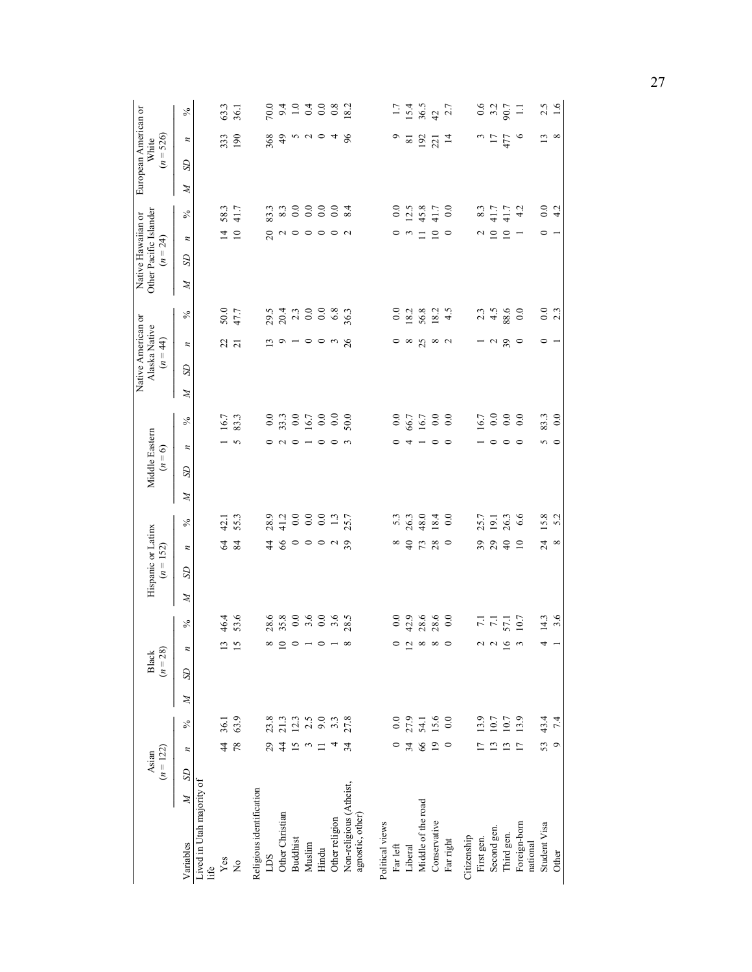|              |                | $(n = 28)$<br>Black         |                  |   | Hispanic or Latinx<br>$(n = 152)$ |                 |                  |   | Middle Eastern<br>$= 6$<br>$\tilde{z}$ |                             |   | Native American or<br>Alaska Native<br>$(n = 44)$ |                                  |           | Other Pacific Islander<br>Native Hawaiian or<br>$(n = 24)$ |                                                                                    | European American or | $(n = 526)$<br>White |                  |
|--------------|----------------|-----------------------------|------------------|---|-----------------------------------|-----------------|------------------|---|----------------------------------------|-----------------------------|---|---------------------------------------------------|----------------------------------|-----------|------------------------------------------------------------|------------------------------------------------------------------------------------|----------------------|----------------------|------------------|
| $\mathbb{Z}$ | S <sub>D</sub> | $\overline{\boldsymbol{n}}$ | $\frac{5}{6}$    | Z | SD                                | z               | $\%$             | Z | $\boldsymbol{z}$<br>S                  | $\%$                        | Z | SD                                                | z                                | Z<br>$\%$ | SD                                                         | $\%$<br>$\boldsymbol{z}$                                                           | S<br>Z               | z                    | $\frac{5}{6}$    |
|              |                |                             |                  |   |                                   |                 |                  |   |                                        |                             |   |                                                   |                                  |           |                                                            |                                                                                    |                      |                      |                  |
|              |                | $\overline{13}$             | 46.4             |   |                                   |                 | 42.1             |   |                                        | 16.7                        |   |                                                   | 50.0                             |           |                                                            | 58.3<br>$\overline{4}$                                                             |                      | 333                  | 63.3             |
|              |                | $\overline{15}$             | 53.6             |   |                                   | <b>S</b> 2      | 55.3             |   |                                        | 83.3<br>$\sim$              |   |                                                   | 47.7<br>$\frac{2}{3}$ ភ          |           |                                                            | 41.7<br>$\overline{10}$                                                            |                      | 190                  | 36.1             |
|              |                |                             |                  |   |                                   |                 |                  |   |                                        |                             |   |                                                   |                                  |           |                                                            |                                                                                    |                      |                      |                  |
|              |                | $^{\circ}$                  | 28.6             |   |                                   | $\frac{4}{7}$   | 28.9             |   |                                        | 0.0                         |   |                                                   | 29.5                             |           |                                                            | 83.3<br>$\overline{c}$                                                             |                      | 368                  | 70.0             |
|              |                | $\overline{10}$             | 35.8             |   |                                   |                 | 41.2             |   |                                        | 33.3                        |   |                                                   | 20.4                             |           |                                                            |                                                                                    |                      | $\frac{9}{4}$        | 9.4              |
|              |                | $\circ$                     | $0.0\,$          |   |                                   |                 | $\overline{0.0}$ |   |                                        | $\ddot{0.0}$                |   |                                                   |                                  | 2.3       |                                                            | $8.3$<br>0.0                                                                       |                      |                      | $\overline{1.0}$ |
|              |                | $\overline{\phantom{a}}$    | 3.6              |   |                                   |                 | 0.0              |   |                                        | 16.7                        |   |                                                   |                                  | 0.0       |                                                            | $_{0.0}$<br>$\begin{array}{c} \mathcal{O} & \mathcal{O} & \mathcal{O} \end{array}$ |                      | $n \times 0$         | 0.4              |
|              |                | $\circ$                     | $_{0.0}$         |   |                                   |                 | 0.0              |   |                                        | $0.0\,$                     |   |                                                   |                                  | 0.0       |                                                            | $\overline{0.0}$                                                                   |                      |                      | 0.0              |
|              |                | $\overline{\phantom{a}}$    | $3.\overline{6}$ |   |                                   | 800048          | $\ddot{1}$       |   |                                        | $_{0.0}$<br>0 N 0 - 0 0 m   |   |                                                   | 119100mg                         | $6.8\,$   |                                                            | 0.0<br>$\circ$                                                                     |                      |                      | 0.8              |
|              |                | $\infty$                    | 28.5             |   |                                   |                 | 25.7             |   |                                        | 50.0                        |   |                                                   | 36.3                             |           |                                                            | 8.4<br>$\sim$                                                                      |                      | $\%$                 | 18.2             |
|              |                |                             |                  |   |                                   |                 |                  |   |                                        |                             |   |                                                   |                                  |           |                                                            |                                                                                    |                      |                      |                  |
|              |                |                             |                  |   |                                   |                 |                  |   |                                        |                             |   |                                                   |                                  |           |                                                            |                                                                                    |                      |                      |                  |
|              |                | $\circ$                     | 0.0              |   |                                   | $\infty$        | 5.3              |   |                                        | 0.0<br>$\circ$              |   |                                                   |                                  | 0.0       |                                                            | 0.0<br>$\circ$                                                                     |                      | ٥                    | 1.7              |
|              |                |                             | 42.9             |   |                                   | $\Theta$        | 26.3             |   |                                        | 66.7                        |   |                                                   | 18.2                             |           |                                                            | 12.5<br>$\frac{1}{2}$                                                              |                      | $\overline{81}$      | 15.4             |
|              |                | $\frac{1}{2} \times \infty$ | 28.6             |   |                                   | 73              | 48.0             |   |                                        | 16.7<br>$4 - 00$            |   |                                                   | 56.8<br>၀ ∞ ဣ ∞ ဂ                |           |                                                            | 45.8                                                                               |                      | 192                  | 36.5             |
|              |                |                             | 28.6             |   |                                   |                 | 18.4             |   |                                        | 0.0                         |   |                                                   | 18.2                             |           |                                                            | 41.7<br>$\subseteq$                                                                |                      | 221                  | $42$<br>$2.7$    |
|              |                |                             | 0.0              |   |                                   | $\circ$         | $\overline{0.0}$ |   |                                        | $_{0.0}$                    |   |                                                   |                                  | 4.5       |                                                            | 0.0<br>$\circ$                                                                     |                      | $\overline{4}$       |                  |
|              |                |                             |                  |   |                                   |                 |                  |   |                                        |                             |   |                                                   |                                  |           |                                                            |                                                                                    |                      |                      |                  |
|              |                | $\mathcal{L}$               | $\overline{7.1}$ |   |                                   | 39              | 25.7             |   |                                        | 16.7                        |   |                                                   |                                  | 2.3       |                                                            | 8.3<br>N                                                                           |                      |                      | 0.6              |
|              |                | $\mathfrak{g}$              | $\overline{71}$  |   |                                   | 29              | 19.1             |   |                                        | 0.0<br>$\circ$              |   |                                                   | $ \sim$                          | 4.5       |                                                            | 41.7<br>$\subseteq$                                                                |                      | $\frac{3}{17}$       | 3.2              |
|              |                | 16                          | 57.1             |   |                                   | $\overline{40}$ | 26.3             |   |                                        | 0.0<br>$\circ$              |   |                                                   | 88.6<br>39                       |           |                                                            | $41.7$<br>$\subseteq$                                                              |                      | 477                  | 90.7             |
|              |                | $\mathfrak{c}$              | 10.7             |   |                                   | $\overline{10}$ | 6.6              |   |                                        | $\overline{0.0}$<br>$\circ$ |   |                                                   | $\circ$                          | 0.0       |                                                            | 4.2                                                                                |                      | $\circ$              | $\Box$           |
|              |                | 4                           | 14.3             |   |                                   | 24              | 15.8             |   |                                        | 83.3                        |   |                                                   |                                  | 0.0       |                                                            | 0.0<br>$\circ$                                                                     |                      | $\mathbf{L}$         | 2.5              |
|              |                |                             | 3.6              |   |                                   | $\infty$        | 5.2              |   |                                        | 0.0<br>$\frac{2}{3}$        |   |                                                   | $\circ$ $\overline{\phantom{0}}$ | 2.3       |                                                            | 4.2<br>$\overline{ }$                                                              |                      | 8                    | 1.6              |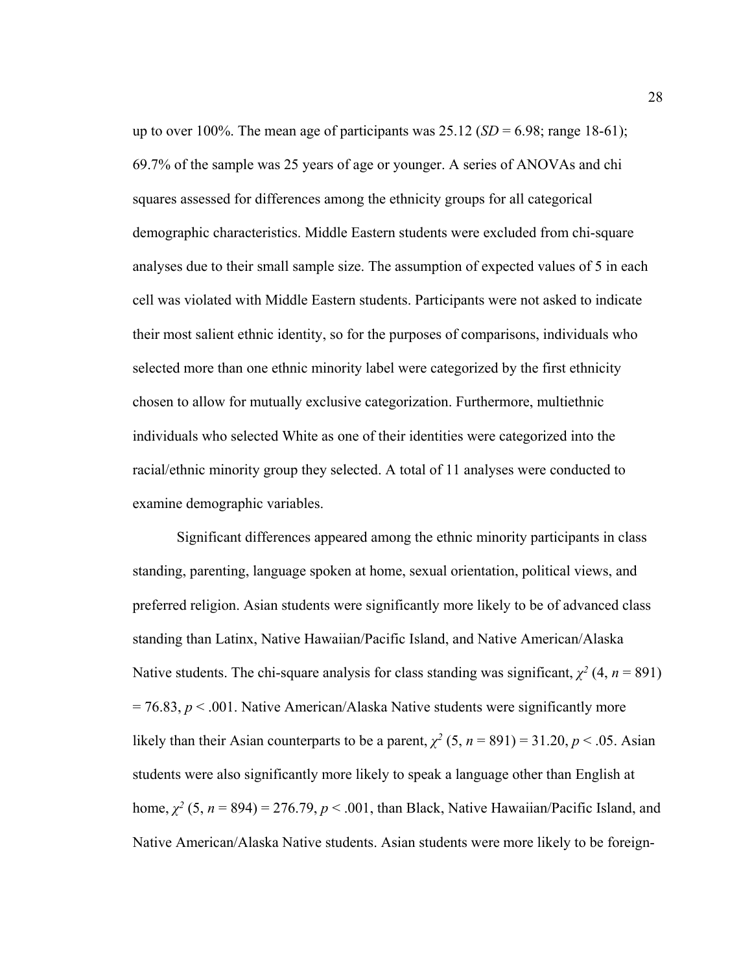up to over 100%. The mean age of participants was  $25.12$  (*SD* = 6.98; range 18-61); 69.7% of the sample was 25 years of age or younger. A series of ANOVAs and chi squares assessed for differences among the ethnicity groups for all categorical demographic characteristics. Middle Eastern students were excluded from chi-square analyses due to their small sample size. The assumption of expected values of 5 in each cell was violated with Middle Eastern students. Participants were not asked to indicate their most salient ethnic identity, so for the purposes of comparisons, individuals who selected more than one ethnic minority label were categorized by the first ethnicity chosen to allow for mutually exclusive categorization. Furthermore, multiethnic individuals who selected White as one of their identities were categorized into the racial/ethnic minority group they selected. A total of 11 analyses were conducted to examine demographic variables.

 Significant differences appeared among the ethnic minority participants in class standing, parenting, language spoken at home, sexual orientation, political views, and preferred religion. Asian students were significantly more likely to be of advanced class standing than Latinx, Native Hawaiian/Pacific Island, and Native American/Alaska Native students. The chi-square analysis for class standing was significant,  $\chi^2$  (4, *n* = 891)  $= 76.83$ ,  $p < .001$ . Native American/Alaska Native students were significantly more likely than their Asian counterparts to be a parent,  $\chi^2$  (5,  $n = 891$ ) = 31.20,  $p < .05$ . Asian students were also significantly more likely to speak a language other than English at home,  $\chi^2$  (5,  $n = 894$ ) = 276.79,  $p < .001$ , than Black, Native Hawaiian/Pacific Island, and Native American/Alaska Native students. Asian students were more likely to be foreign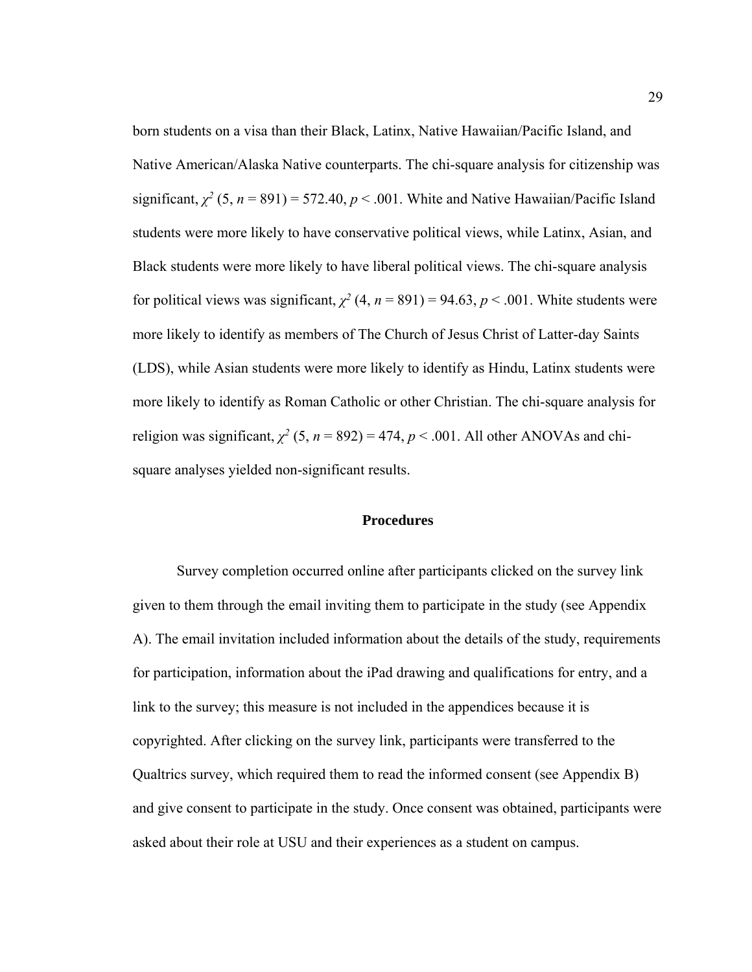born students on a visa than their Black, Latinx, Native Hawaiian/Pacific Island, and Native American/Alaska Native counterparts. The chi-square analysis for citizenship was significant,  $\chi^2$  (5, *n* = 891) = 572.40, *p* < .001. White and Native Hawaiian/Pacific Island students were more likely to have conservative political views, while Latinx, Asian, and Black students were more likely to have liberal political views. The chi-square analysis for political views was significant,  $\chi^2$  (4,  $n = 891$ ) = 94.63,  $p < .001$ . White students were more likely to identify as members of The Church of Jesus Christ of Latter-day Saints (LDS), while Asian students were more likely to identify as Hindu, Latinx students were more likely to identify as Roman Catholic or other Christian. The chi-square analysis for religion was significant,  $\chi^2$  (5, *n* = 892) = 474, *p* < .001. All other ANOVAs and chisquare analyses yielded non-significant results.

### **Procedures**

Survey completion occurred online after participants clicked on the survey link given to them through the email inviting them to participate in the study (see Appendix A). The email invitation included information about the details of the study, requirements for participation, information about the iPad drawing and qualifications for entry, and a link to the survey; this measure is not included in the appendices because it is copyrighted. After clicking on the survey link, participants were transferred to the Qualtrics survey, which required them to read the informed consent (see Appendix B) and give consent to participate in the study. Once consent was obtained, participants were asked about their role at USU and their experiences as a student on campus.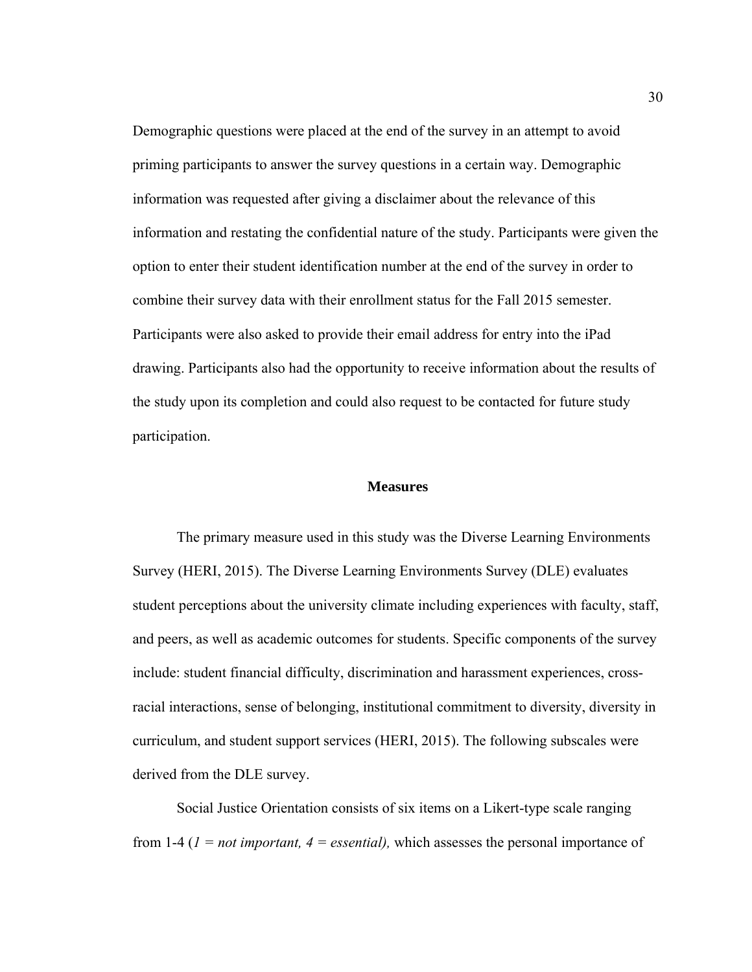Demographic questions were placed at the end of the survey in an attempt to avoid priming participants to answer the survey questions in a certain way. Demographic information was requested after giving a disclaimer about the relevance of this information and restating the confidential nature of the study. Participants were given the option to enter their student identification number at the end of the survey in order to combine their survey data with their enrollment status for the Fall 2015 semester. Participants were also asked to provide their email address for entry into the iPad drawing. Participants also had the opportunity to receive information about the results of the study upon its completion and could also request to be contacted for future study participation.

#### **Measures**

 The primary measure used in this study was the Diverse Learning Environments Survey (HERI, 2015). The Diverse Learning Environments Survey (DLE) evaluates student perceptions about the university climate including experiences with faculty, staff, and peers, as well as academic outcomes for students. Specific components of the survey include: student financial difficulty, discrimination and harassment experiences, crossracial interactions, sense of belonging, institutional commitment to diversity, diversity in curriculum, and student support services (HERI, 2015). The following subscales were derived from the DLE survey.

 Social Justice Orientation consists of six items on a Likert-type scale ranging from 1-4 (*1 = not important, 4 = essential),* which assesses the personal importance of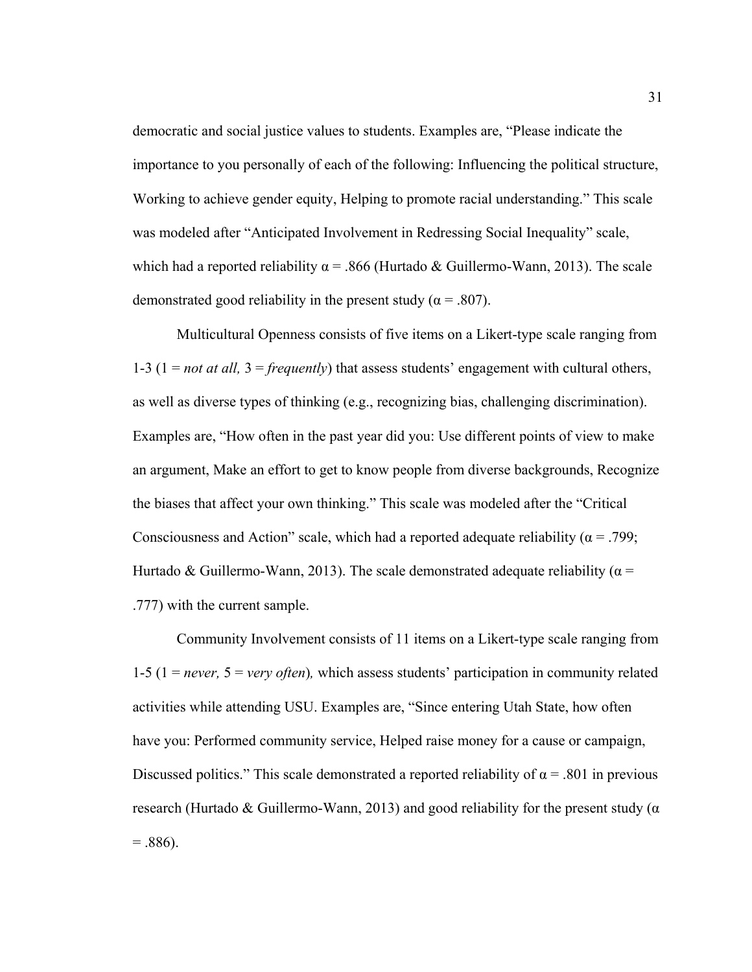democratic and social justice values to students. Examples are, "Please indicate the importance to you personally of each of the following: Influencing the political structure, Working to achieve gender equity, Helping to promote racial understanding." This scale was modeled after "Anticipated Involvement in Redressing Social Inequality" scale, which had a reported reliability  $\alpha$  = .866 (Hurtado & Guillermo-Wann, 2013). The scale demonstrated good reliability in the present study ( $\alpha$  = .807).

 Multicultural Openness consists of five items on a Likert-type scale ranging from 1-3 (1 = *not at all,* 3 = *frequently*) that assess students' engagement with cultural others, as well as diverse types of thinking (e.g., recognizing bias, challenging discrimination). Examples are, "How often in the past year did you: Use different points of view to make an argument, Make an effort to get to know people from diverse backgrounds, Recognize the biases that affect your own thinking." This scale was modeled after the "Critical Consciousness and Action" scale, which had a reported adequate reliability ( $\alpha$  = .799; Hurtado & Guillermo-Wann, 2013). The scale demonstrated adequate reliability ( $\alpha$  = .777) with the current sample.

Community Involvement consists of 11 items on a Likert-type scale ranging from 1-5 (1 = *never,* 5 = *very often*)*,* which assess students' participation in community related activities while attending USU. Examples are, "Since entering Utah State, how often have you: Performed community service, Helped raise money for a cause or campaign, Discussed politics." This scale demonstrated a reported reliability of  $\alpha$  = .801 in previous research (Hurtado & Guillermo-Wann, 2013) and good reliability for the present study ( $\alpha$  $= .886$ ).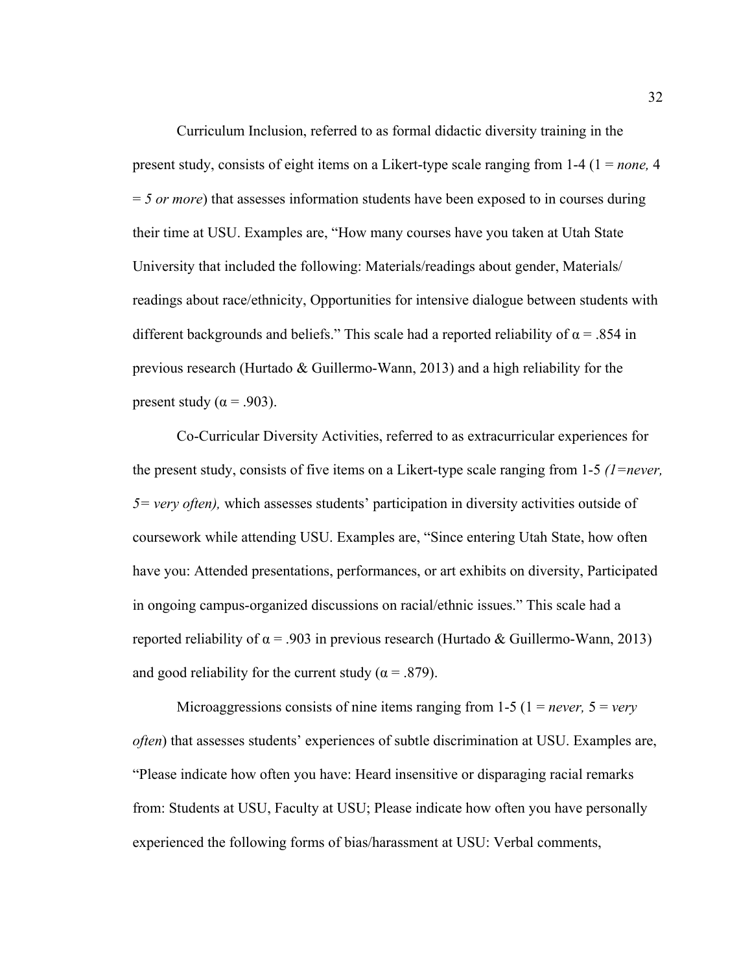Curriculum Inclusion, referred to as formal didactic diversity training in the present study, consists of eight items on a Likert-type scale ranging from 1-4 (1 = *none,* 4 = *5 or more*) that assesses information students have been exposed to in courses during their time at USU. Examples are, "How many courses have you taken at Utah State University that included the following: Materials/readings about gender, Materials/ readings about race/ethnicity, Opportunities for intensive dialogue between students with different backgrounds and beliefs." This scale had a reported reliability of  $\alpha$  = .854 in previous research (Hurtado & Guillermo-Wann, 2013) and a high reliability for the present study ( $\alpha$  = .903).

Co-Curricular Diversity Activities, referred to as extracurricular experiences for the present study, consists of five items on a Likert-type scale ranging from 1-5 *(1=never, 5= very often),* which assesses students' participation in diversity activities outside of coursework while attending USU. Examples are, "Since entering Utah State, how often have you: Attended presentations, performances, or art exhibits on diversity, Participated in ongoing campus-organized discussions on racial/ethnic issues." This scale had a reported reliability of  $\alpha$  = .903 in previous research (Hurtado & Guillermo-Wann, 2013) and good reliability for the current study ( $\alpha$  = .879).

Microaggressions consists of nine items ranging from  $1-5$  ( $1 = never$ ,  $5 = very$ ) *often*) that assesses students' experiences of subtle discrimination at USU. Examples are, "Please indicate how often you have: Heard insensitive or disparaging racial remarks from: Students at USU, Faculty at USU; Please indicate how often you have personally experienced the following forms of bias/harassment at USU: Verbal comments,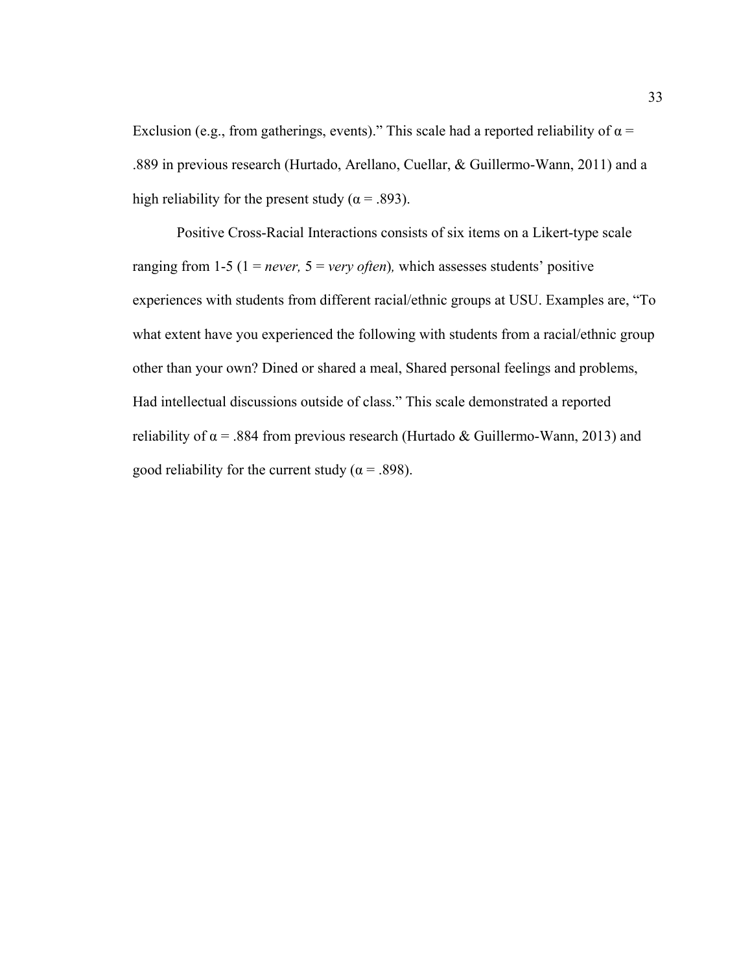Exclusion (e.g., from gatherings, events)." This scale had a reported reliability of  $\alpha$  = .889 in previous research (Hurtado, Arellano, Cuellar, & Guillermo-Wann, 2011) and a high reliability for the present study ( $\alpha$  = .893).

Positive Cross-Racial Interactions consists of six items on a Likert-type scale ranging from 1-5 ( $1 = never$ ,  $5 = very$  *often*), which assesses students' positive experiences with students from different racial/ethnic groups at USU. Examples are, "To what extent have you experienced the following with students from a racial/ethnic group other than your own? Dined or shared a meal, Shared personal feelings and problems, Had intellectual discussions outside of class." This scale demonstrated a reported reliability of  $\alpha$  = .884 from previous research (Hurtado & Guillermo-Wann, 2013) and good reliability for the current study ( $\alpha$  = .898).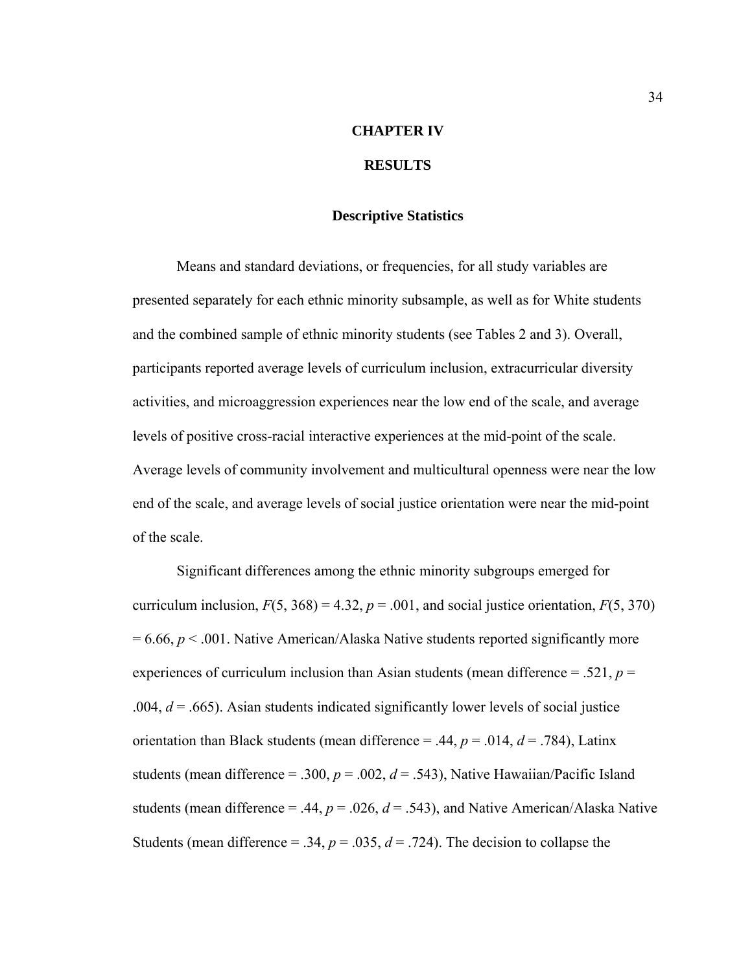## **CHAPTER IV**

## **RESULTS**

## **Descriptive Statistics**

 Means and standard deviations, or frequencies, for all study variables are presented separately for each ethnic minority subsample, as well as for White students and the combined sample of ethnic minority students (see Tables 2 and 3). Overall, participants reported average levels of curriculum inclusion, extracurricular diversity activities, and microaggression experiences near the low end of the scale, and average levels of positive cross-racial interactive experiences at the mid-point of the scale. Average levels of community involvement and multicultural openness were near the low end of the scale, and average levels of social justice orientation were near the mid-point of the scale.

 Significant differences among the ethnic minority subgroups emerged for curriculum inclusion,  $F(5, 368) = 4.32$ ,  $p = .001$ , and social justice orientation,  $F(5, 370)$  $= 6.66, p < .001$ . Native American/Alaska Native students reported significantly more experiences of curriculum inclusion than Asian students (mean difference = .521, *p* = .004,  $d = .665$ ). Asian students indicated significantly lower levels of social justice orientation than Black students (mean difference  $= .44, p = .014, d = .784$ ), Latinx students (mean difference = .300,  $p = .002$ ,  $d = .543$ ), Native Hawaiian/Pacific Island students (mean difference = .44,  $p = .026$ ,  $d = .543$ ), and Native American/Alaska Native Students (mean difference = .34,  $p = .035$ ,  $d = .724$ ). The decision to collapse the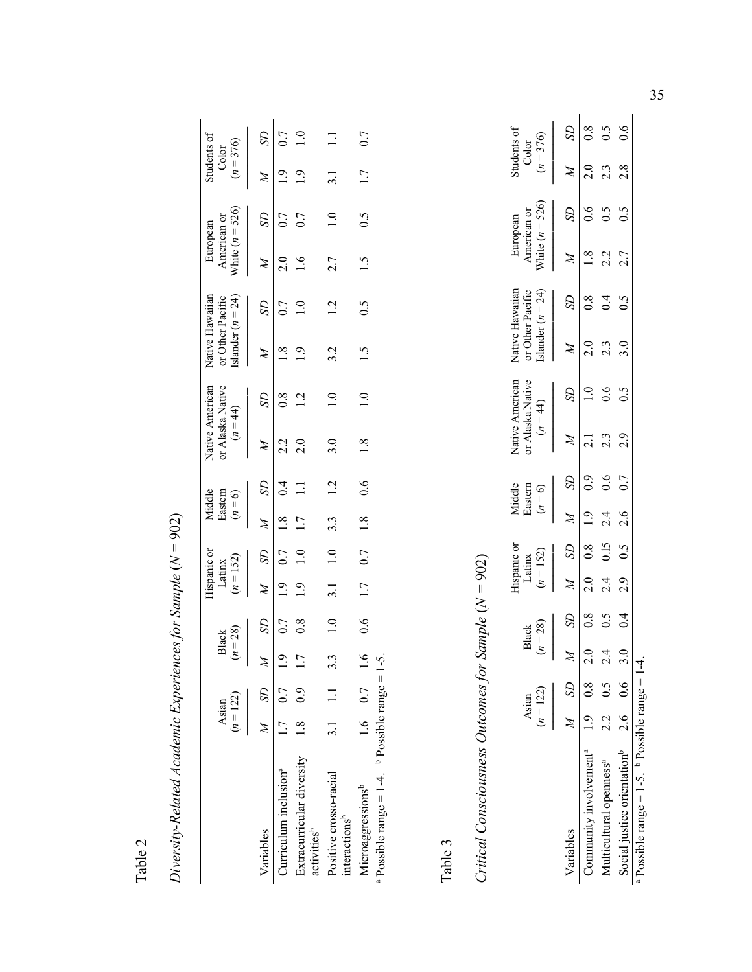Table 2

| $\hat{\hat{z}}$<br>l        |
|-----------------------------|
| )<br>                       |
| l                           |
| $\ddot{\phantom{0}}$        |
| ı                           |
|                             |
| Ì                           |
|                             |
|                             |
|                             |
|                             |
|                             |
| ŧ                           |
| ļ                           |
| バン そうす こうりょうこうさくよう ファラフフランプ |
|                             |
|                             |
|                             |
|                             |
|                             |
|                             |
|                             |
|                             |
|                             |
|                             |
|                             |

|                                                                | $(n = 122)$<br>Asian | $(n = 28)$<br>Black |                | $(n = 152)$<br>Latinx | lispanic or              | Eastern          | $(n = 6)$<br>Aiddle   | or Alaska Native<br>$(n = 44)$ | Native American | Native Hawaiian<br>Islander $(n = 24)$<br>or Other Pacific |              | White $(n = 526)$<br>American or<br>European |               | Students of<br>$(n=376)$<br>Color |     |
|----------------------------------------------------------------|----------------------|---------------------|----------------|-----------------------|--------------------------|------------------|-----------------------|--------------------------------|-----------------|------------------------------------------------------------|--------------|----------------------------------------------|---------------|-----------------------------------|-----|
| Variables                                                      | $M$ SD               |                     | R              |                       | $M$ SD                   | $M$ SD           |                       | $\lambda$                      | SD              | $\mathbb{Z}$                                               | $\mathbb{S}$ | $\mathbb{Z}$                                 | $\mathcal{S}$ |                                   |     |
| Curriculum inclusion <sup>a</sup>                              | $1.0 \t 7.0$         |                     | $\overline{1}$ |                       |                          |                  |                       |                                |                 |                                                            |              |                                              |               |                                   |     |
| Extracurricular diversity $1.8$ 0.9<br>activities <sup>b</sup> |                      | ŗ                   | $\frac{8}{2}$  | $\overline{1.9}$      | $1.0$ and $\overline{1}$ | $\overline{11}$  |                       |                                |                 |                                                            |              |                                              |               |                                   |     |
| Positive crosso-racial<br>interactions <sup>b</sup>            | $3.1$ 1.1 3.         |                     |                |                       | $\frac{1}{1}$            | $3.\overline{3}$ |                       |                                |                 |                                                            |              |                                              |               |                                   |     |
| Microaggressionsb                                              | 1.6 0.7              |                     |                |                       |                          |                  | 6 0.6 1.7 0.7 1.8 0.6 | 1.8                            | 1.0             | 1.5 $0.5$ 1.5                                              |              |                                              | 0.5           |                                   | 0.7 |
| Possible range = $1-4$ . $\frac{1}{2}$ Possible range = $1-$   |                      |                     |                |                       |                          |                  |                       |                                |                 |                                                            |              |                                              |               |                                   |     |

Table 3

Critical Consciousness Outcomes for Sample  $(N = 902)$ *Critical Consciousness Outcomes for Sample* (*N =* 902)

|                                                   |           | Asian             |             | Black         |     | Hispanic or<br>Latinx<br>$(n = 152)$ | Middle<br>Eastern       |                  | or Alaska Native<br>$(n = 44)$ | <b>Jative American</b> | or Other Pacific<br>Islander ( $n = 24$ )<br>Native Hawaiian |                  |     | European<br>American or<br>White $(n = 526)$ | Students of<br>Color<br>$(n = 376)$ |                    |
|---------------------------------------------------|-----------|-------------------|-------------|---------------|-----|--------------------------------------|-------------------------|------------------|--------------------------------|------------------------|--------------------------------------------------------------|------------------|-----|----------------------------------------------|-------------------------------------|--------------------|
|                                                   |           | $(n = 122)$       |             | $n = 28$      |     |                                      | $(n = 6)$               |                  |                                |                        |                                                              |                  |     |                                              |                                     |                    |
| Variables                                         |           | $\overline{M}$ SD |             | R             |     | $M$ SD                               | $\overline{\mathbb{X}}$ | S <sub>D</sub>   | $\overline{\mathcal{M}}$       | $S\!D$                 | $\cancel{z}$                                                 | S <sub>D</sub>   |     | $\mathcal{S}$                                | $\cancel{M}$                        | $\Omega$           |
| Community involvement <sup>4</sup> $1.9$ 0.8 2.0  |           |                   |             | 0.8           |     |                                      | $2.0$ 0.8 1.9 0.9       |                  | $\frac{1}{2}$                  | $\frac{1}{10}$         | 2.0                                                          | $\overline{0.8}$ | 1.8 | $\sim 0$                                     | 2.0                                 | $\overline{0.8}$   |
| Multicultural openness <sup>a</sup>               | $2.2$ 0.5 |                   | 4<br>$\sim$ | 0.5           | 2.4 | 0.15                                 | $\frac{4}{2}$           | $\overline{0.6}$ | $2.\overline{3}$               | 0.6                    | $2.\overline{3}$                                             | 0.4              | 2.2 | 0.5                                          | $2.\overline{3}$                    | $\widetilde{S}$ :0 |
| Social justice orientation <sup>b</sup> $2.6$ 0.6 |           |                   | 3.0         | $\frac{4}{1}$ | 2.9 | $0.5$ 2.6                            |                         | 0.7              | 2.9                            | 0.5                    | 3.0                                                          | 0.5              | 2.7 | $\widetilde{0}$ .                            | 2.8                                 | $\overline{0.6}$   |
| Possible range = $1-5$ b Possible range = $1-4$   |           |                   |             |               |     |                                      |                         |                  |                                |                        |                                                              |                  |     |                                              |                                     |                    |

a Possible range = 1-5.  $\frac{b}{2}$  Possible range = 1-4. o<br>G ά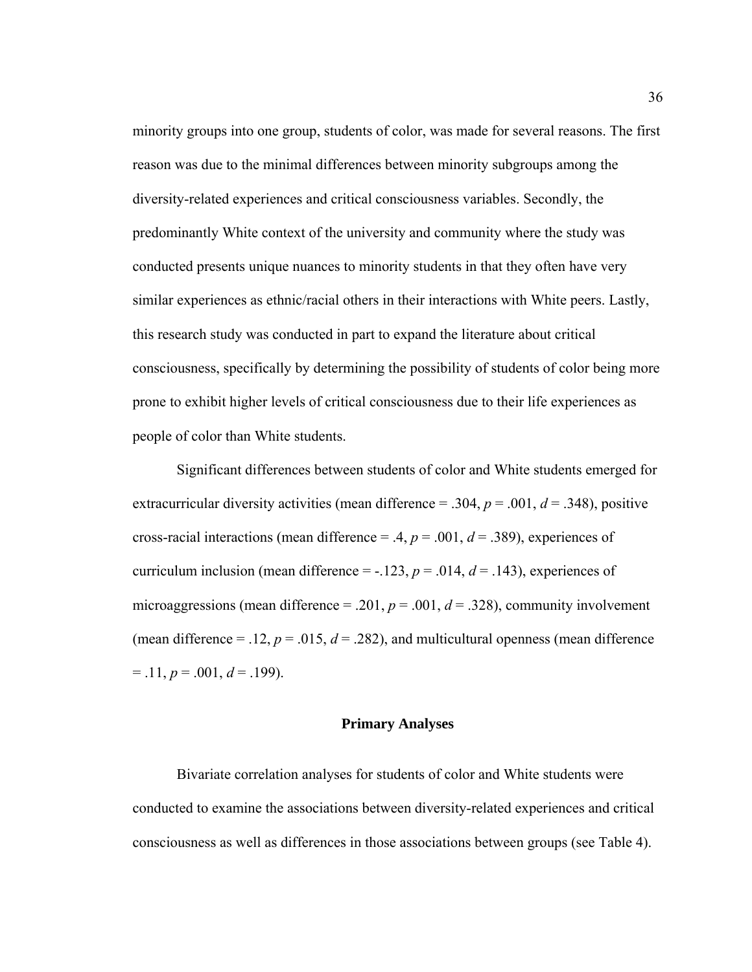minority groups into one group, students of color, was made for several reasons. The first reason was due to the minimal differences between minority subgroups among the diversity-related experiences and critical consciousness variables. Secondly, the predominantly White context of the university and community where the study was conducted presents unique nuances to minority students in that they often have very similar experiences as ethnic/racial others in their interactions with White peers. Lastly, this research study was conducted in part to expand the literature about critical consciousness, specifically by determining the possibility of students of color being more prone to exhibit higher levels of critical consciousness due to their life experiences as people of color than White students.

 Significant differences between students of color and White students emerged for extracurricular diversity activities (mean difference = .304,  $p = .001$ ,  $d = .348$ ), positive cross-racial interactions (mean difference = .4,  $p = .001$ ,  $d = .389$ ), experiences of curriculum inclusion (mean difference =  $-123$ ,  $p = 0.014$ ,  $d = 0.143$ ), experiences of microaggressions (mean difference = .201,  $p = .001$ ,  $d = .328$ ), community involvement (mean difference = .12,  $p = .015$ ,  $d = .282$ ), and multicultural openness (mean difference  $= .11, p = .001, d = .199$ .

#### **Primary Analyses**

 Bivariate correlation analyses for students of color and White students were conducted to examine the associations between diversity-related experiences and critical consciousness as well as differences in those associations between groups (see Table 4).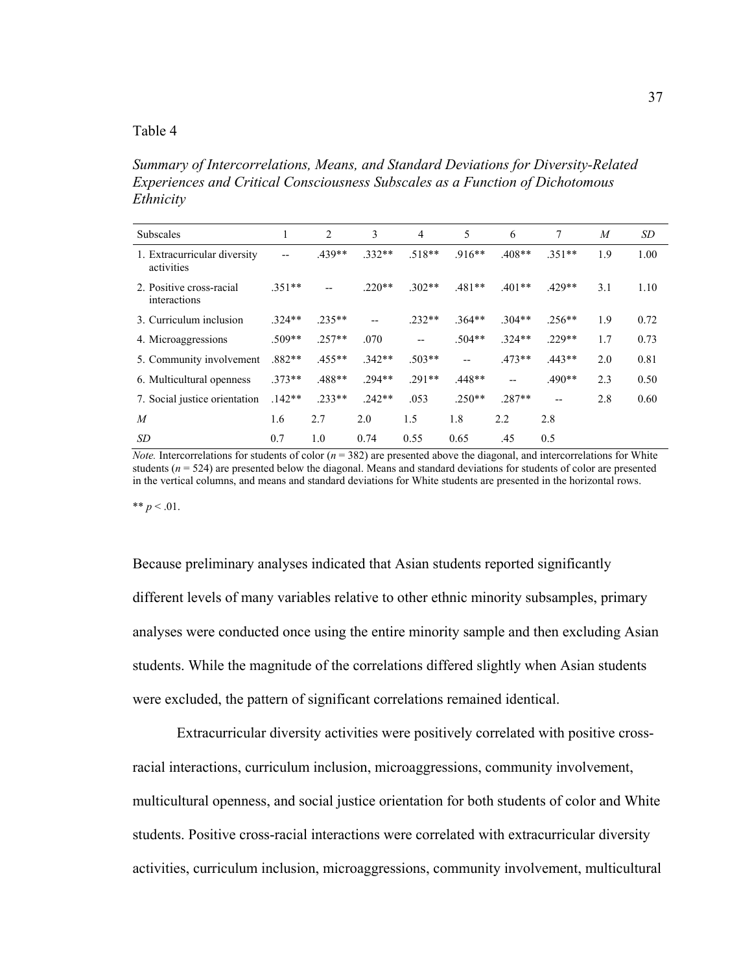### Table 4

*Summary of Intercorrelations, Means, and Standard Deviations for Diversity-Related Experiences and Critical Consciousness Subscales as a Function of Dichotomous Ethnicity* 

| <b>Subscales</b>                           | 1        | $\overline{c}$ | 3        | 4        | 5                        | 6        | 7        | $\overline{M}$ | SD   |
|--------------------------------------------|----------|----------------|----------|----------|--------------------------|----------|----------|----------------|------|
| 1. Extracurricular diversity<br>activities | --       | 439**          | $.332**$ | $.518**$ | $.916**$                 | $.408**$ | $.351**$ | 1.9            | 1.00 |
| 2. Positive cross-racial<br>interactions   | $.351**$ | $- -$          | $.220**$ | $.302**$ | $.481**$                 | $.401**$ | $.429**$ | 3.1            | 1.10 |
| 3. Curriculum inclusion                    | $.324**$ | $.235**$       | --       | $.232**$ | $.364**$                 | $.304**$ | $.256**$ | 1.9            | 0.72 |
| 4. Microaggressions                        | $.509**$ | $.257**$       | .070     | $-$      | $.504**$                 | $.324**$ | $229**$  | 1.7            | 0.73 |
| 5. Community involvement                   | $.882**$ | $.455**$       | $.342**$ | $.503**$ | $\overline{\phantom{a}}$ | $.473**$ | $.443**$ | 2.0            | 0.81 |
| 6. Multicultural openness                  | $.373**$ | .488**         | $294**$  | $.291**$ | $.448**$                 | $-$      | $.490**$ | 2.3            | 0.50 |
| 7. Social justice orientation              | $142**$  | $.233**$       | $.242**$ | .053     | $.250**$                 | $.287**$ | $- -$    | 2.8            | 0.60 |
| $\boldsymbol{M}$                           | 1.6      | 2.7            | 2.0      | 1.5      | 1.8                      | 2.2      | 2.8      |                |      |
| SD                                         | 0.7      | 1.0            | 0.74     | 0.55     | 0.65                     | .45      | 0.5      |                |      |

*Note.* Intercorrelations for students of color ( $n = 382$ ) are presented above the diagonal, and intercorrelations for White students ( $n = 524$ ) are presented below the diagonal. Means and standard deviations for students of color are presented in the vertical columns, and means and standard deviations for White students are presented in the horizontal rows.

\*\*  $p < .01$ .

Because preliminary analyses indicated that Asian students reported significantly different levels of many variables relative to other ethnic minority subsamples, primary analyses were conducted once using the entire minority sample and then excluding Asian students. While the magnitude of the correlations differed slightly when Asian students were excluded, the pattern of significant correlations remained identical.

 Extracurricular diversity activities were positively correlated with positive crossracial interactions, curriculum inclusion, microaggressions, community involvement, multicultural openness, and social justice orientation for both students of color and White students. Positive cross-racial interactions were correlated with extracurricular diversity activities, curriculum inclusion, microaggressions, community involvement, multicultural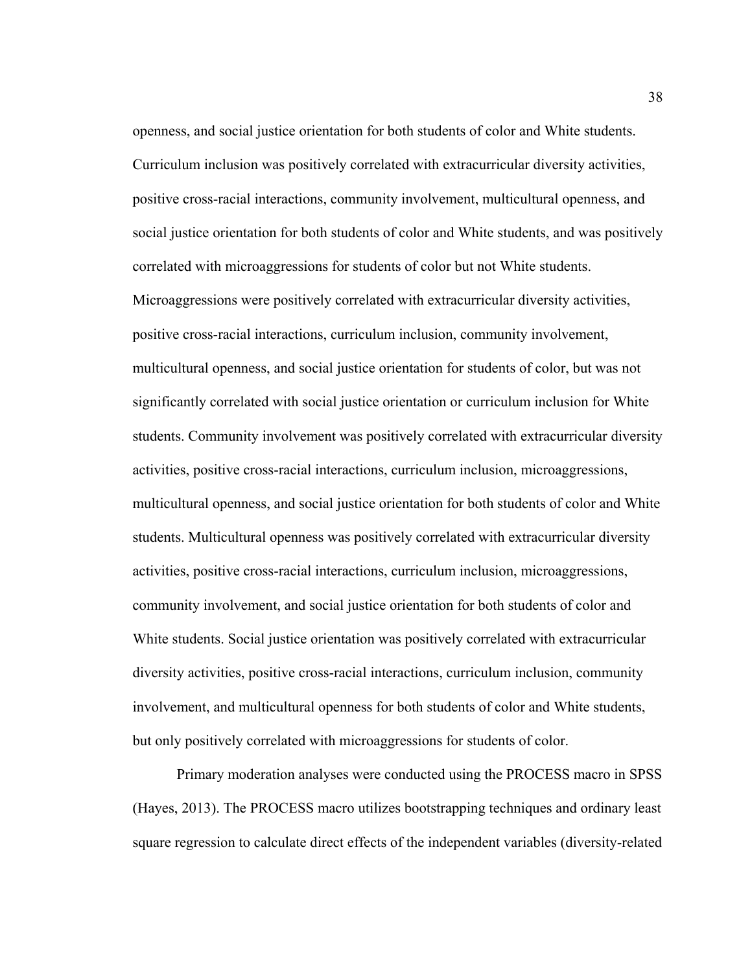openness, and social justice orientation for both students of color and White students. Curriculum inclusion was positively correlated with extracurricular diversity activities, positive cross-racial interactions, community involvement, multicultural openness, and social justice orientation for both students of color and White students, and was positively correlated with microaggressions for students of color but not White students. Microaggressions were positively correlated with extracurricular diversity activities, positive cross-racial interactions, curriculum inclusion, community involvement, multicultural openness, and social justice orientation for students of color, but was not significantly correlated with social justice orientation or curriculum inclusion for White students. Community involvement was positively correlated with extracurricular diversity activities, positive cross-racial interactions, curriculum inclusion, microaggressions, multicultural openness, and social justice orientation for both students of color and White students. Multicultural openness was positively correlated with extracurricular diversity activities, positive cross-racial interactions, curriculum inclusion, microaggressions, community involvement, and social justice orientation for both students of color and White students. Social justice orientation was positively correlated with extracurricular diversity activities, positive cross-racial interactions, curriculum inclusion, community involvement, and multicultural openness for both students of color and White students, but only positively correlated with microaggressions for students of color.

 Primary moderation analyses were conducted using the PROCESS macro in SPSS (Hayes, 2013). The PROCESS macro utilizes bootstrapping techniques and ordinary least square regression to calculate direct effects of the independent variables (diversity-related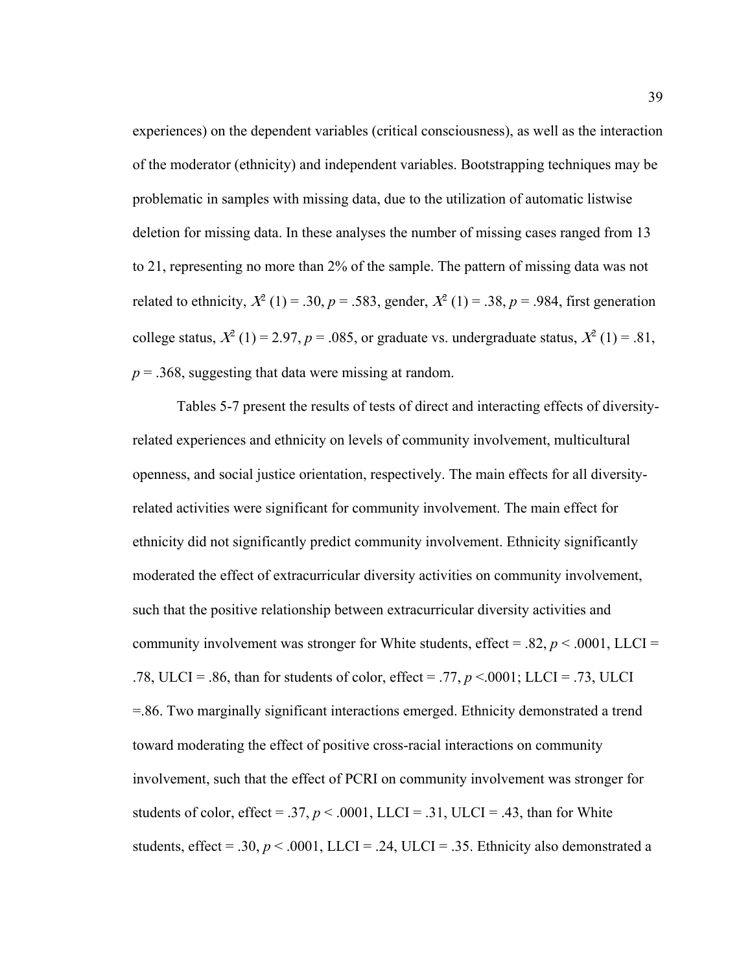experiences) on the dependent variables (critical consciousness), as well as the interaction of the moderator (ethnicity) and independent variables. Bootstrapping techniques may be problematic in samples with missing data, due to the utilization of automatic listwise deletion for missing data. In these analyses the number of missing cases ranged from 13 to 21, representing no more than 2% of the sample. The pattern of missing data was not related to ethnicity,  $X^2(1) = .30$ ,  $p = .583$ , gender,  $X^2(1) = .38$ ,  $p = .984$ , first generation college status,  $X^2$  (1) = 2.97,  $p = 0.085$ , or graduate vs. undergraduate status,  $X^2$  (1) = .81,  $p = 0.368$ , suggesting that data were missing at random.

Tables 5-7 present the results of tests of direct and interacting effects of diversityrelated experiences and ethnicity on levels of community involvement, multicultural openness, and social justice orientation, respectively. The main effects for all diversityrelated activities were significant for community involvement. The main effect for ethnicity did not significantly predict community involvement. Ethnicity significantly moderated the effect of extracurricular diversity activities on community involvement, such that the positive relationship between extracurricular diversity activities and community involvement was stronger for White students, effect = .82,  $p < .0001$ , LLCI = .78, ULCI = .86, than for students of color, effect = .77,  $p < .0001$ ; LLCI = .73, ULCI =.86. Two marginally significant interactions emerged. Ethnicity demonstrated a trend toward moderating the effect of positive cross-racial interactions on community involvement, such that the effect of PCRI on community involvement was stronger for students of color, effect = .37,  $p < .0001$ , LLCI = .31, ULCI = .43, than for White students, effect = .30,  $p < .0001$ , LLCI = .24, ULCI = .35. Ethnicity also demonstrated a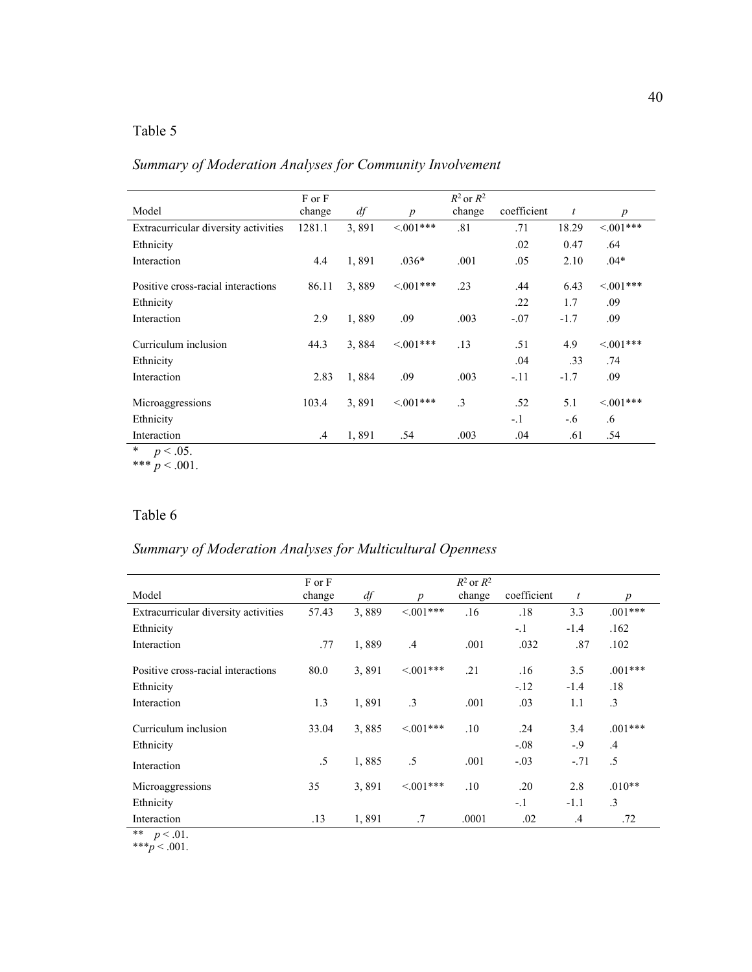## Table 5

*Summary of Moderation Analyses for Community Involvement* 

| Model                                | F or F<br>change | df    | $\boldsymbol{p}$ | $R^2$ or $R^2$<br>change | coefficient | $\mathfrak{t}$ | $\boldsymbol{p}$ |
|--------------------------------------|------------------|-------|------------------|--------------------------|-------------|----------------|------------------|
| Extracurricular diversity activities | 1281.1           | 3,891 | $<001***$        | .81                      | .71         | 18.29          | $< 0.01***$      |
| Ethnicity                            |                  |       |                  |                          | .02         | 0.47           | .64              |
| Interaction                          | 4.4              | 1,891 | $.036*$          | .001                     | .05         | 2.10           | $.04*$           |
| Positive cross-racial interactions   | 86.11            | 3,889 | $< 0.01***$      | .23                      | .44         | 6.43           | $< 0.01***$      |
| Ethnicity                            |                  |       |                  |                          | .22         | 1.7            | .09              |
| Interaction                          | 2.9              | 1,889 | .09              | .003                     | $-.07$      | $-1.7$         | .09              |
| Curriculum inclusion                 | 44.3             | 3,884 | $\leq 0.01***$   | .13                      | .51         | 4.9            | $< 0.01***$      |
| Ethnicity                            |                  |       |                  |                          | .04         | .33            | .74              |
| Interaction                          | 2.83             | 1,884 | .09              | .003                     | $-.11$      | $-1.7$         | .09              |
| Microaggressions                     | 103.4            | 3,891 | $<001***$        | $\cdot$ 3                | .52         | 5.1            | $<001***$        |
| Ethnicity                            |                  |       |                  |                          | $-1$        | $-.6$          | .6               |
| Interaction<br>$\Delta$              | $\mathcal{A}$    | 1,891 | .54              | .003                     | .04         | .61            | .54              |

\*  $p < .05$ . \*\*\*  $p < .001$ .

## Table 6

## *Summary of Moderation Analyses for Multicultural Openness*

|                                      | F or F |       |                  | $R^2$ or $R^2$ |             |                |                  |
|--------------------------------------|--------|-------|------------------|----------------|-------------|----------------|------------------|
| Model                                | change | df    | $\boldsymbol{p}$ | change         | coefficient | $\mathfrak{t}$ | $\boldsymbol{p}$ |
| Extracurricular diversity activities | 57.43  | 3,889 | $< 0.01***$      | .16            | .18         | 3.3            | $.001***$        |
| Ethnicity                            |        |       |                  |                | $-.1$       | $-1.4$         | .162             |
| Interaction                          | .77    | 1,889 | $.4\phantom{0}$  | .001           | .032        | .87            | .102             |
| Positive cross-racial interactions   | 80.0   | 3,891 | $\leq 0.01***$   | .21            | .16         | 3.5            | $.001***$        |
| Ethnicity                            |        |       |                  |                | $-.12$      | $-1.4$         | .18              |
| Interaction                          | 1.3    | 1,891 | $\cdot$ 3        | .001           | .03         | 1.1            | $\cdot$ 3        |
| Curriculum inclusion                 | 33.04  | 3,885 | $\leq 0.01***$   | .10            | .24         | 3.4            | $.001***$        |
| Ethnicity                            |        |       |                  |                | $-.08$      | $-9$           | $\mathcal{A}$    |
| Interaction                          | .5     | 1,885 | .5               | .001           | $-.03$      | $-.71$         | .5               |
| Microaggressions                     | 35     | 3,891 | $\leq 0.01***$   | .10            | .20         | 2.8            | $.010**$         |
| Ethnicity                            |        |       |                  |                | $-.1$       | $-1.1$         | $\cdot$ 3        |
| Interaction                          | .13    | 1,891 | .7               | .0001          | .02         | $\mathcal{A}$  | .72              |
| $\star\star$<br>$p < .01$ .          |        |       |                  |                |             |                |                  |

\*\*\* $p < .001$ .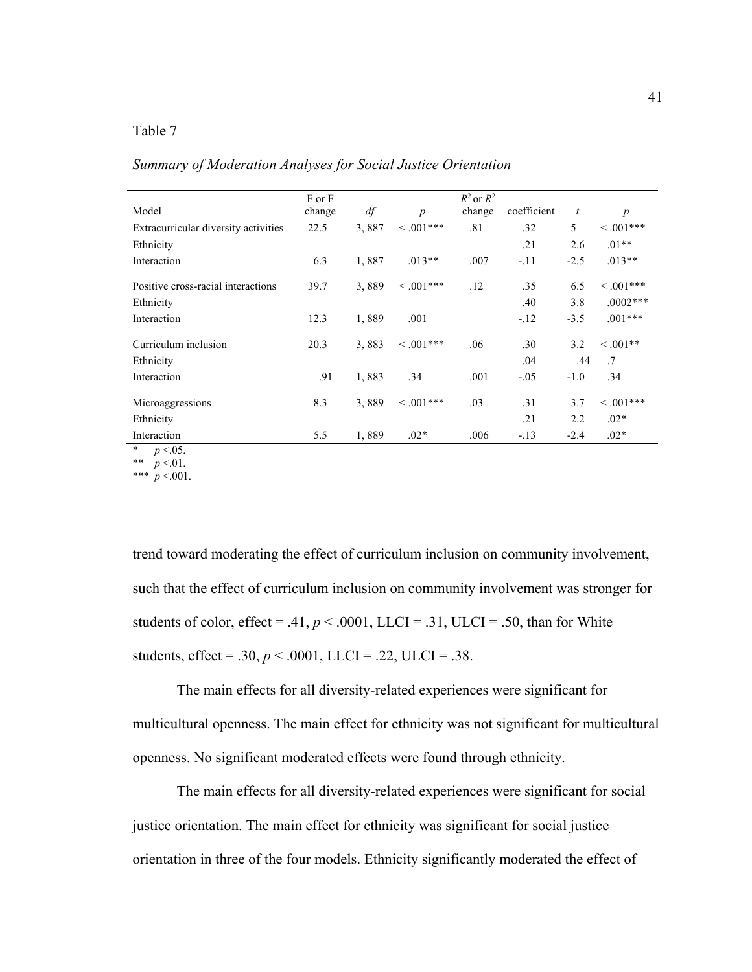## Table 7

*Summary of Moderation Analyses for Social Justice Orientation* 

|                                      | F or F |       |                  | $R^2$ or $R^2$ |             |        |                  |
|--------------------------------------|--------|-------|------------------|----------------|-------------|--------|------------------|
| Model                                | change | df    | $\boldsymbol{p}$ | change         | coefficient | t      | $\boldsymbol{p}$ |
| Extracurricular diversity activities | 22.5   | 3,887 | $0.001***$       | .81            | .32         | 5      | $0.001***$       |
| Ethnicity                            |        |       |                  |                | .21         | 2.6    | $.01**$          |
| Interaction                          | 6.3    | 1,887 | $.013**$         | .007           | $-.11$      | $-2.5$ | $.013**$         |
| Positive cross-racial interactions   | 39.7   | 3,889 | $\leq .001***$   | .12            | .35         | 6.5    | $< .001***$      |
| Ethnicity                            |        |       |                  |                | .40         | 3.8    | $.0002***$       |
| Interaction                          | 12.3   | 1,889 | .001             |                | $-.12$      | $-3.5$ | $.001***$        |
| Curriculum inclusion                 | 20.3   | 3,883 | $<.001***$       | .06            | .30         | 3.2    | $0.001**$        |
| Ethnicity                            |        |       |                  |                | .04         | .44    | .7               |
| Interaction                          | .91    | 1,883 | .34              | .001           | $-.05$      | $-1.0$ | .34              |
| Microaggressions                     | 8.3    | 3,889 | $0.001***$       | .03            | .31         | 3.7    | $0.001***$       |
| Ethnicity                            |        |       |                  |                | .21         | 2.2    | $.02*$           |
| Interaction<br>$\sim$ $\sim$ $\sim$  | 5.5    | 1,889 | $.02*$           | .006           | $-.13$      | $-2.4$ | $.02*$           |

<sup>\*</sup>  $p < 0.05$ .

\*\*  $p < 01$ . \*\*\*  $p < 001$ .

trend toward moderating the effect of curriculum inclusion on community involvement, such that the effect of curriculum inclusion on community involvement was stronger for students of color, effect = .41,  $p < .0001$ , LLCI = .31, ULCI = .50, than for White students, effect = .30,  $p < .0001$ , LLCI = .22, ULCI = .38.

The main effects for all diversity-related experiences were significant for multicultural openness. The main effect for ethnicity was not significant for multicultural openness. No significant moderated effects were found through ethnicity.

The main effects for all diversity-related experiences were significant for social justice orientation. The main effect for ethnicity was significant for social justice orientation in three of the four models. Ethnicity significantly moderated the effect of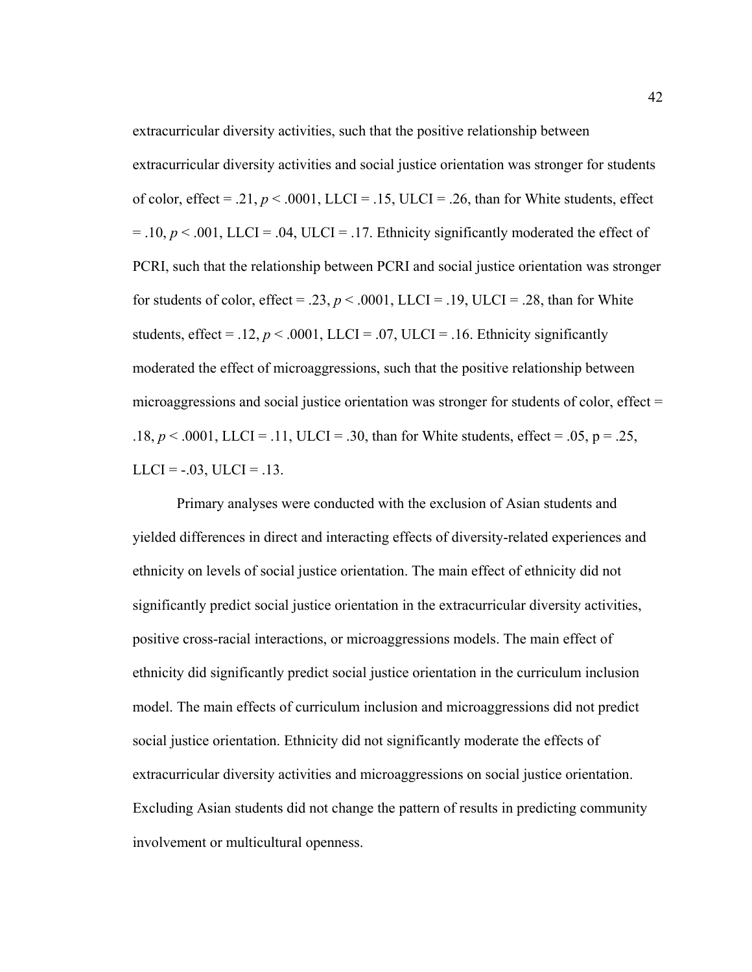extracurricular diversity activities and social justice orientation was stronger for students of color, effect = .21,  $p < .0001$ , LLCI = .15, ULCI = .26, than for White students, effect  $= .10, p < .001$ , LLCI = .04, ULCI = .17. Ethnicity significantly moderated the effect of PCRI, such that the relationship between PCRI and social justice orientation was stronger for students of color, effect = .23,  $p < .0001$ , LLCI = .19, ULCI = .28, than for White students, effect = .12,  $p < .0001$ , LLCI = .07, ULCI = .16. Ethnicity significantly moderated the effect of microaggressions, such that the positive relationship between microaggressions and social justice orientation was stronger for students of color, effect  $=$ .18,  $p < .0001$ , LLCI = .11, ULCI = .30, than for White students, effect = .05, p = .25,  $LLCI = -.03$ ,  $ULCI = .13$ .

extracurricular diversity activities, such that the positive relationship between

Primary analyses were conducted with the exclusion of Asian students and yielded differences in direct and interacting effects of diversity-related experiences and ethnicity on levels of social justice orientation. The main effect of ethnicity did not significantly predict social justice orientation in the extracurricular diversity activities, positive cross-racial interactions, or microaggressions models. The main effect of ethnicity did significantly predict social justice orientation in the curriculum inclusion model. The main effects of curriculum inclusion and microaggressions did not predict social justice orientation. Ethnicity did not significantly moderate the effects of extracurricular diversity activities and microaggressions on social justice orientation. Excluding Asian students did not change the pattern of results in predicting community involvement or multicultural openness.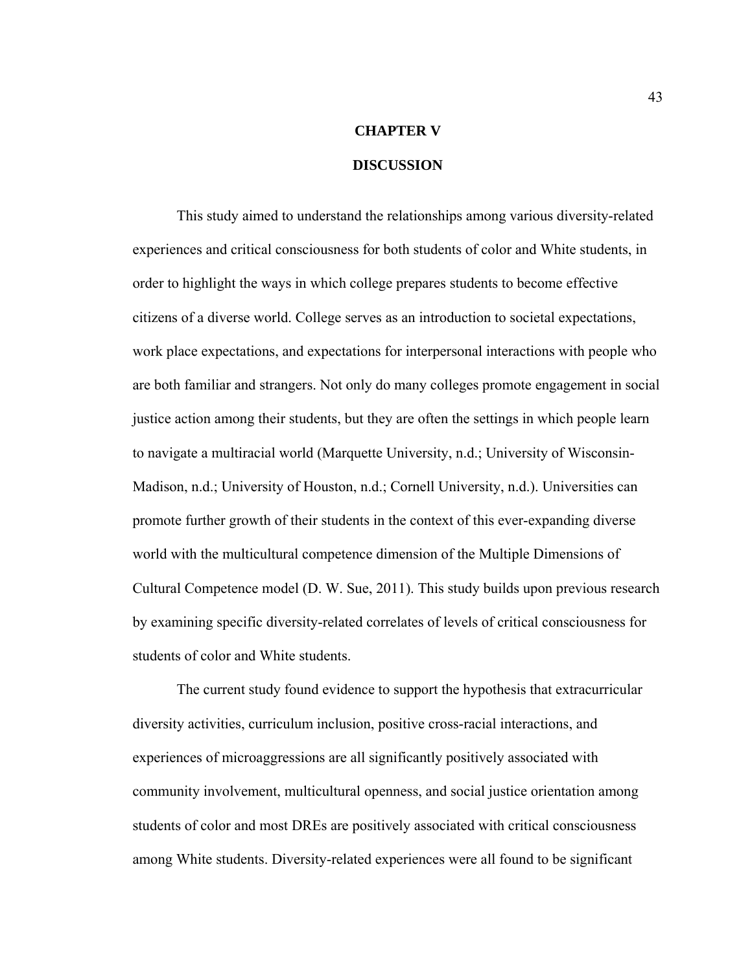# **CHAPTER V DISCUSSION**

 This study aimed to understand the relationships among various diversity-related experiences and critical consciousness for both students of color and White students, in order to highlight the ways in which college prepares students to become effective citizens of a diverse world. College serves as an introduction to societal expectations, work place expectations, and expectations for interpersonal interactions with people who are both familiar and strangers. Not only do many colleges promote engagement in social justice action among their students, but they are often the settings in which people learn to navigate a multiracial world (Marquette University, n.d.; University of Wisconsin-Madison, n.d.; University of Houston, n.d.; Cornell University, n.d.). Universities can promote further growth of their students in the context of this ever-expanding diverse world with the multicultural competence dimension of the Multiple Dimensions of Cultural Competence model (D. W. Sue, 2011). This study builds upon previous research by examining specific diversity-related correlates of levels of critical consciousness for students of color and White students.

 The current study found evidence to support the hypothesis that extracurricular diversity activities, curriculum inclusion, positive cross-racial interactions, and experiences of microaggressions are all significantly positively associated with community involvement, multicultural openness, and social justice orientation among students of color and most DREs are positively associated with critical consciousness among White students. Diversity-related experiences were all found to be significant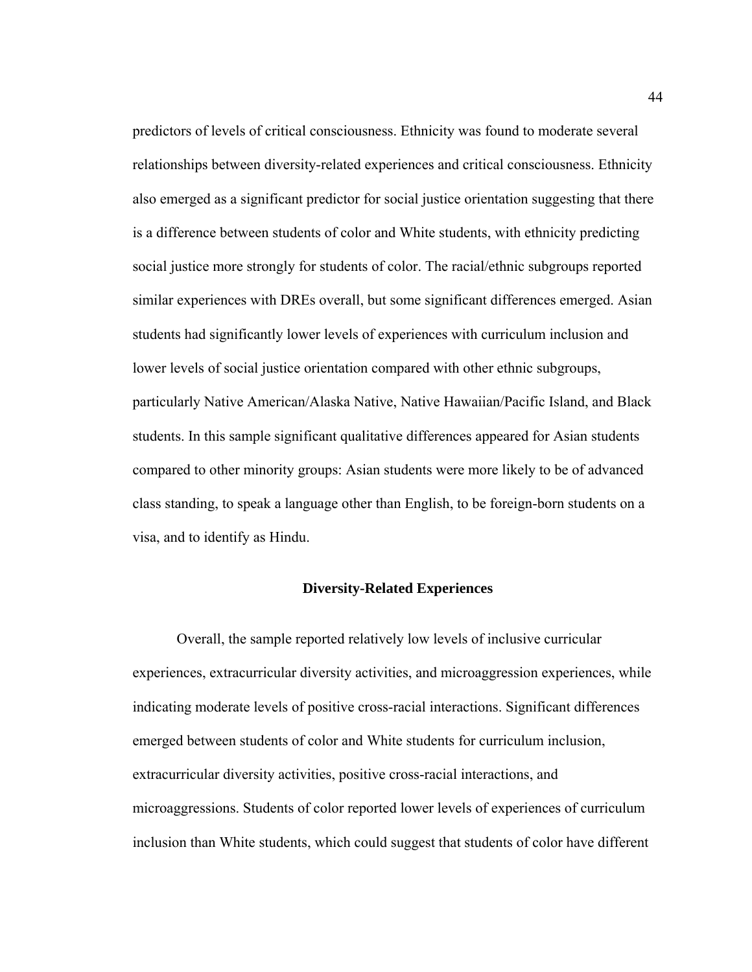predictors of levels of critical consciousness. Ethnicity was found to moderate several relationships between diversity-related experiences and critical consciousness. Ethnicity also emerged as a significant predictor for social justice orientation suggesting that there is a difference between students of color and White students, with ethnicity predicting social justice more strongly for students of color. The racial/ethnic subgroups reported similar experiences with DREs overall, but some significant differences emerged. Asian students had significantly lower levels of experiences with curriculum inclusion and lower levels of social justice orientation compared with other ethnic subgroups, particularly Native American/Alaska Native, Native Hawaiian/Pacific Island, and Black students. In this sample significant qualitative differences appeared for Asian students compared to other minority groups: Asian students were more likely to be of advanced class standing, to speak a language other than English, to be foreign-born students on a visa, and to identify as Hindu.

### **Diversity-Related Experiences**

 Overall, the sample reported relatively low levels of inclusive curricular experiences, extracurricular diversity activities, and microaggression experiences, while indicating moderate levels of positive cross-racial interactions. Significant differences emerged between students of color and White students for curriculum inclusion, extracurricular diversity activities, positive cross-racial interactions, and microaggressions. Students of color reported lower levels of experiences of curriculum inclusion than White students, which could suggest that students of color have different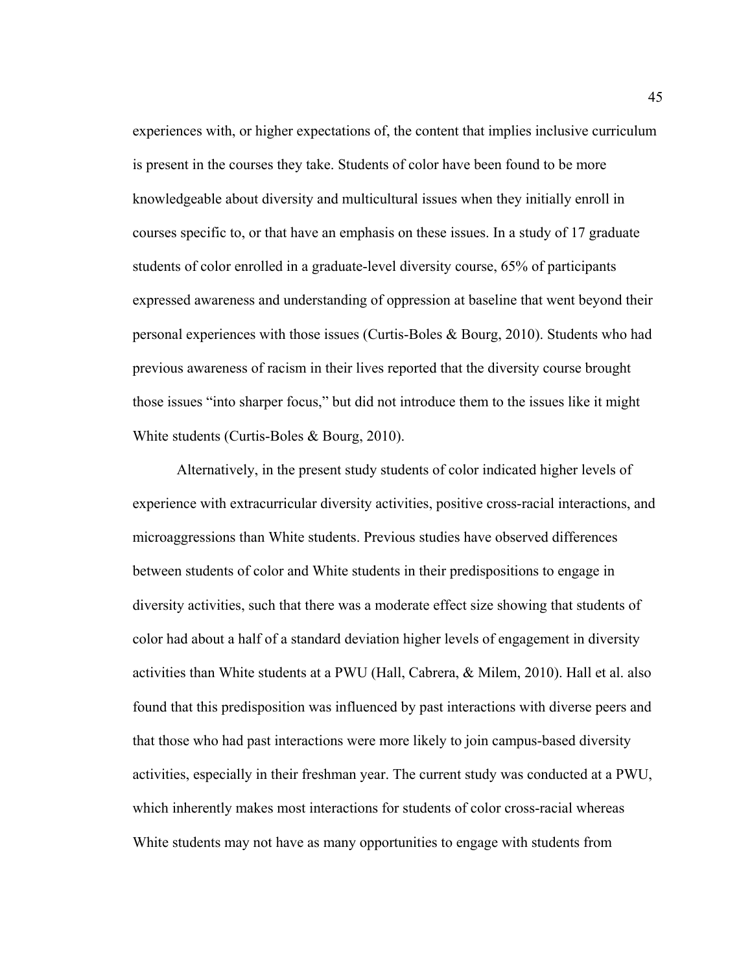experiences with, or higher expectations of, the content that implies inclusive curriculum is present in the courses they take. Students of color have been found to be more knowledgeable about diversity and multicultural issues when they initially enroll in courses specific to, or that have an emphasis on these issues. In a study of 17 graduate students of color enrolled in a graduate-level diversity course, 65% of participants expressed awareness and understanding of oppression at baseline that went beyond their personal experiences with those issues (Curtis-Boles & Bourg, 2010). Students who had previous awareness of racism in their lives reported that the diversity course brought those issues "into sharper focus," but did not introduce them to the issues like it might White students (Curtis-Boles & Bourg, 2010).

 Alternatively, in the present study students of color indicated higher levels of experience with extracurricular diversity activities, positive cross-racial interactions, and microaggressions than White students. Previous studies have observed differences between students of color and White students in their predispositions to engage in diversity activities, such that there was a moderate effect size showing that students of color had about a half of a standard deviation higher levels of engagement in diversity activities than White students at a PWU (Hall, Cabrera, & Milem, 2010). Hall et al. also found that this predisposition was influenced by past interactions with diverse peers and that those who had past interactions were more likely to join campus-based diversity activities, especially in their freshman year. The current study was conducted at a PWU, which inherently makes most interactions for students of color cross-racial whereas White students may not have as many opportunities to engage with students from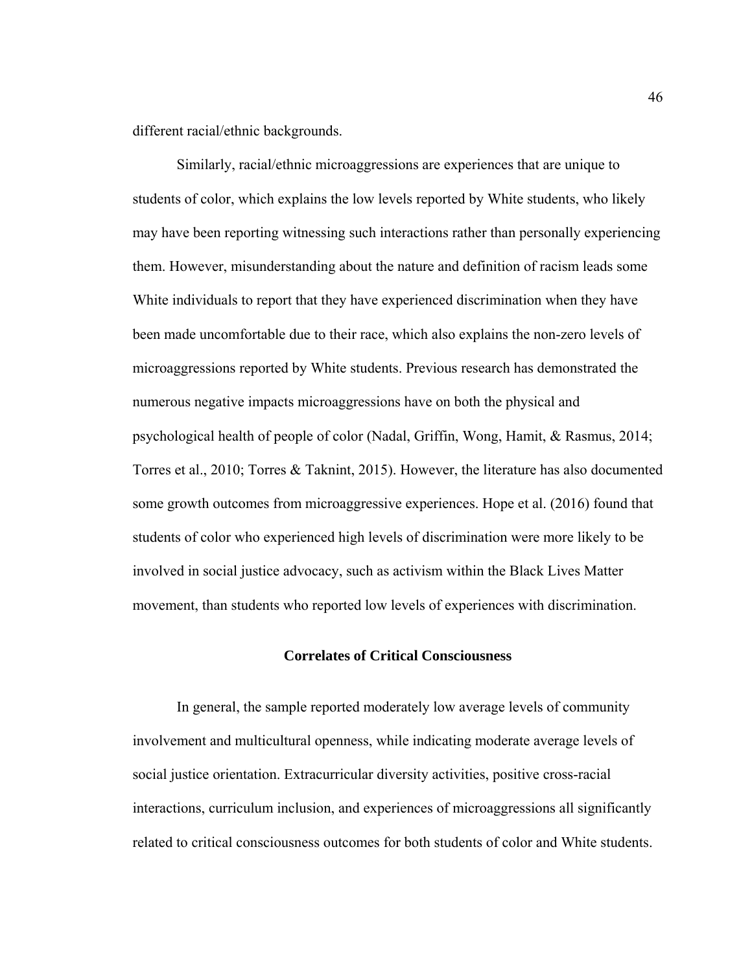different racial/ethnic backgrounds.

Similarly, racial/ethnic microaggressions are experiences that are unique to students of color, which explains the low levels reported by White students, who likely may have been reporting witnessing such interactions rather than personally experiencing them. However, misunderstanding about the nature and definition of racism leads some White individuals to report that they have experienced discrimination when they have been made uncomfortable due to their race, which also explains the non-zero levels of microaggressions reported by White students. Previous research has demonstrated the numerous negative impacts microaggressions have on both the physical and psychological health of people of color (Nadal, Griffin, Wong, Hamit, & Rasmus, 2014; Torres et al., 2010; Torres & Taknint, 2015). However, the literature has also documented some growth outcomes from microaggressive experiences. Hope et al. (2016) found that students of color who experienced high levels of discrimination were more likely to be involved in social justice advocacy, such as activism within the Black Lives Matter movement, than students who reported low levels of experiences with discrimination.

### **Correlates of Critical Consciousness**

In general, the sample reported moderately low average levels of community involvement and multicultural openness, while indicating moderate average levels of social justice orientation. Extracurricular diversity activities, positive cross-racial interactions, curriculum inclusion, and experiences of microaggressions all significantly related to critical consciousness outcomes for both students of color and White students.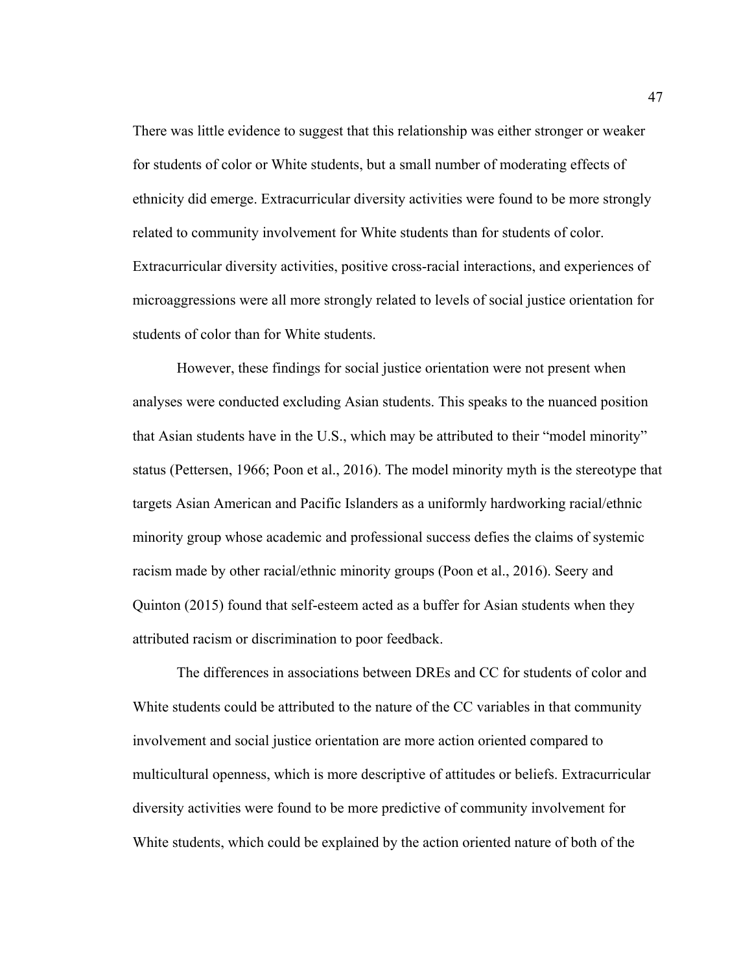There was little evidence to suggest that this relationship was either stronger or weaker for students of color or White students, but a small number of moderating effects of ethnicity did emerge. Extracurricular diversity activities were found to be more strongly related to community involvement for White students than for students of color. Extracurricular diversity activities, positive cross-racial interactions, and experiences of microaggressions were all more strongly related to levels of social justice orientation for students of color than for White students.

However, these findings for social justice orientation were not present when analyses were conducted excluding Asian students. This speaks to the nuanced position that Asian students have in the U.S., which may be attributed to their "model minority" status (Pettersen, 1966; Poon et al., 2016). The model minority myth is the stereotype that targets Asian American and Pacific Islanders as a uniformly hardworking racial/ethnic minority group whose academic and professional success defies the claims of systemic racism made by other racial/ethnic minority groups (Poon et al., 2016). Seery and Quinton (2015) found that self-esteem acted as a buffer for Asian students when they attributed racism or discrimination to poor feedback.

 The differences in associations between DREs and CC for students of color and White students could be attributed to the nature of the CC variables in that community involvement and social justice orientation are more action oriented compared to multicultural openness, which is more descriptive of attitudes or beliefs. Extracurricular diversity activities were found to be more predictive of community involvement for White students, which could be explained by the action oriented nature of both of the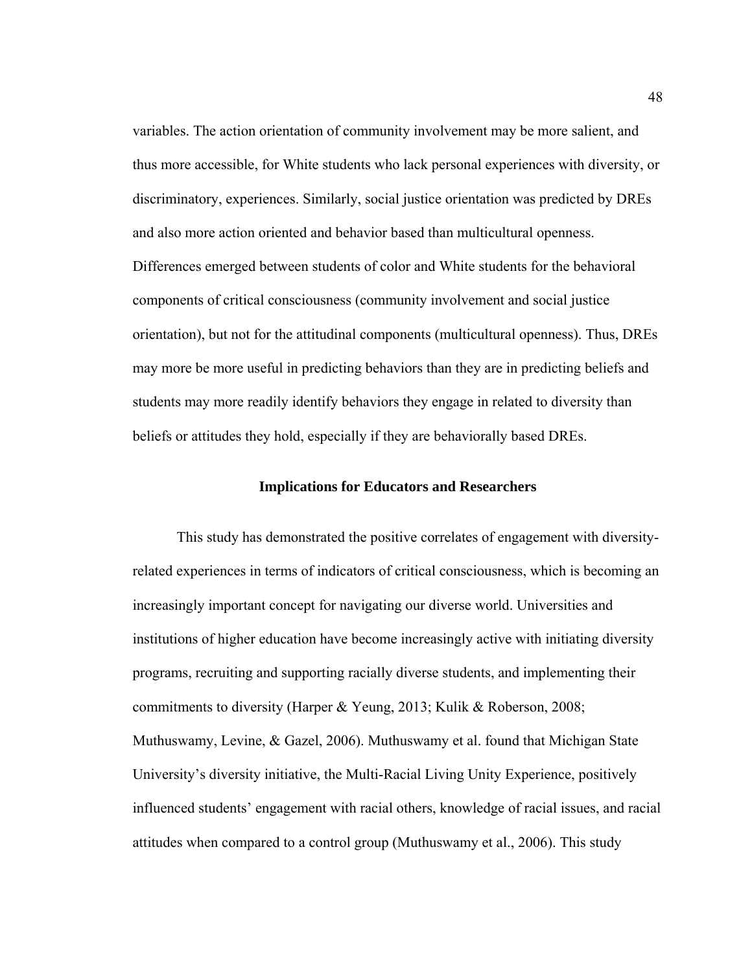variables. The action orientation of community involvement may be more salient, and thus more accessible, for White students who lack personal experiences with diversity, or discriminatory, experiences. Similarly, social justice orientation was predicted by DREs and also more action oriented and behavior based than multicultural openness. Differences emerged between students of color and White students for the behavioral components of critical consciousness (community involvement and social justice orientation), but not for the attitudinal components (multicultural openness). Thus, DREs may more be more useful in predicting behaviors than they are in predicting beliefs and students may more readily identify behaviors they engage in related to diversity than beliefs or attitudes they hold, especially if they are behaviorally based DREs.

### **Implications for Educators and Researchers**

This study has demonstrated the positive correlates of engagement with diversityrelated experiences in terms of indicators of critical consciousness, which is becoming an increasingly important concept for navigating our diverse world. Universities and institutions of higher education have become increasingly active with initiating diversity programs, recruiting and supporting racially diverse students, and implementing their commitments to diversity (Harper & Yeung, 2013; Kulik & Roberson, 2008; Muthuswamy, Levine, & Gazel, 2006). Muthuswamy et al. found that Michigan State University's diversity initiative, the Multi-Racial Living Unity Experience, positively influenced students' engagement with racial others, knowledge of racial issues, and racial attitudes when compared to a control group (Muthuswamy et al., 2006). This study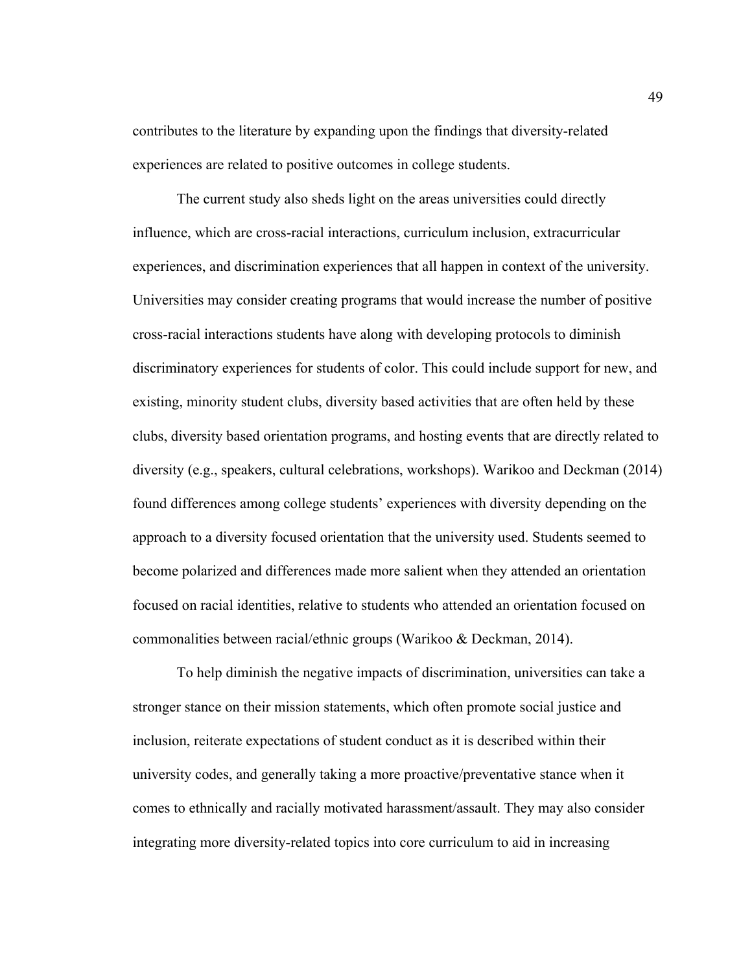contributes to the literature by expanding upon the findings that diversity-related experiences are related to positive outcomes in college students.

The current study also sheds light on the areas universities could directly influence, which are cross-racial interactions, curriculum inclusion, extracurricular experiences, and discrimination experiences that all happen in context of the university. Universities may consider creating programs that would increase the number of positive cross-racial interactions students have along with developing protocols to diminish discriminatory experiences for students of color. This could include support for new, and existing, minority student clubs, diversity based activities that are often held by these clubs, diversity based orientation programs, and hosting events that are directly related to diversity (e.g., speakers, cultural celebrations, workshops). Warikoo and Deckman (2014) found differences among college students' experiences with diversity depending on the approach to a diversity focused orientation that the university used. Students seemed to become polarized and differences made more salient when they attended an orientation focused on racial identities, relative to students who attended an orientation focused on commonalities between racial/ethnic groups (Warikoo & Deckman, 2014).

To help diminish the negative impacts of discrimination, universities can take a stronger stance on their mission statements, which often promote social justice and inclusion, reiterate expectations of student conduct as it is described within their university codes, and generally taking a more proactive/preventative stance when it comes to ethnically and racially motivated harassment/assault. They may also consider integrating more diversity-related topics into core curriculum to aid in increasing

49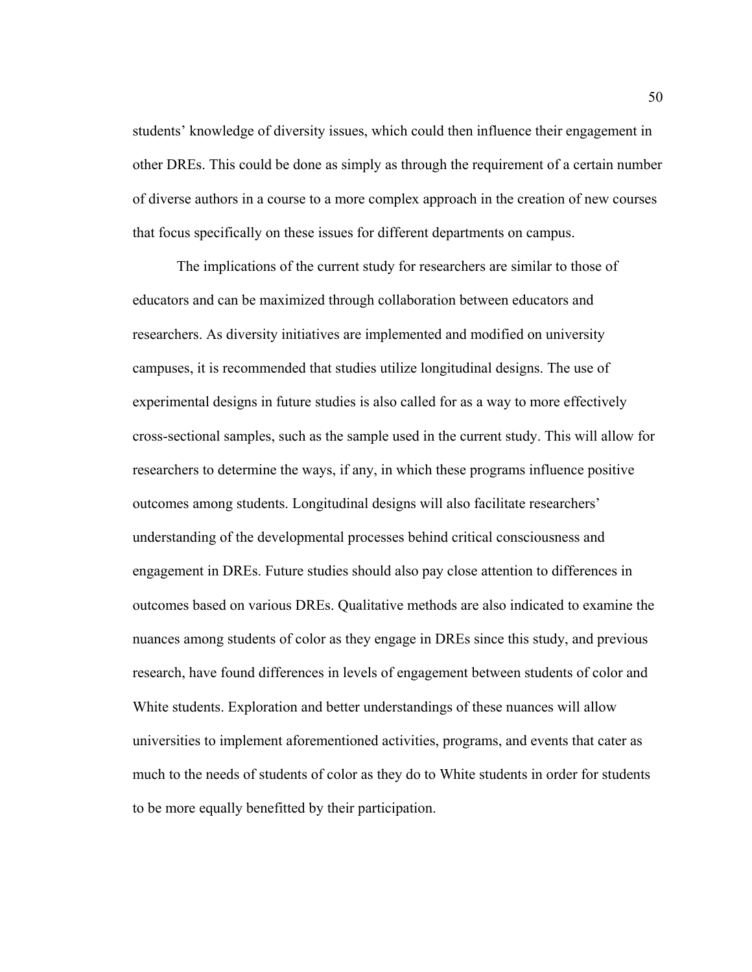students' knowledge of diversity issues, which could then influence their engagement in other DREs. This could be done as simply as through the requirement of a certain number of diverse authors in a course to a more complex approach in the creation of new courses that focus specifically on these issues for different departments on campus.

The implications of the current study for researchers are similar to those of educators and can be maximized through collaboration between educators and researchers. As diversity initiatives are implemented and modified on university campuses, it is recommended that studies utilize longitudinal designs. The use of experimental designs in future studies is also called for as a way to more effectively cross-sectional samples, such as the sample used in the current study. This will allow for researchers to determine the ways, if any, in which these programs influence positive outcomes among students. Longitudinal designs will also facilitate researchers' understanding of the developmental processes behind critical consciousness and engagement in DREs. Future studies should also pay close attention to differences in outcomes based on various DREs. Qualitative methods are also indicated to examine the nuances among students of color as they engage in DREs since this study, and previous research, have found differences in levels of engagement between students of color and White students. Exploration and better understandings of these nuances will allow universities to implement aforementioned activities, programs, and events that cater as much to the needs of students of color as they do to White students in order for students to be more equally benefitted by their participation.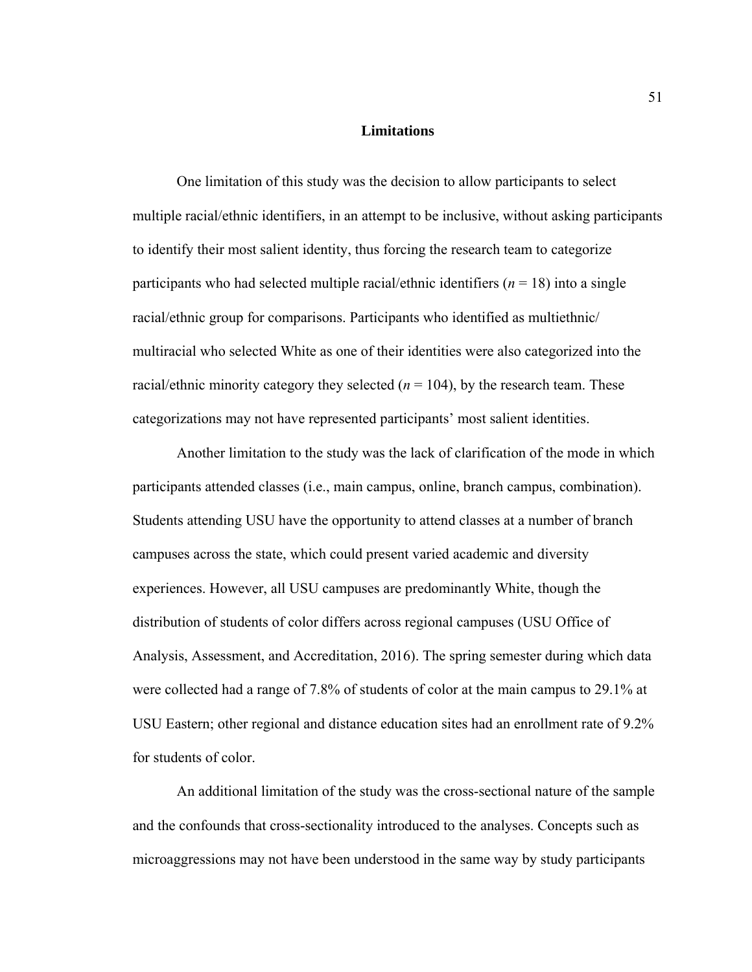#### **Limitations**

One limitation of this study was the decision to allow participants to select multiple racial/ethnic identifiers, in an attempt to be inclusive, without asking participants to identify their most salient identity, thus forcing the research team to categorize participants who had selected multiple racial/ethnic identifiers  $(n = 18)$  into a single racial/ethnic group for comparisons. Participants who identified as multiethnic/ multiracial who selected White as one of their identities were also categorized into the racial/ethnic minority category they selected  $(n = 104)$ , by the research team. These categorizations may not have represented participants' most salient identities.

Another limitation to the study was the lack of clarification of the mode in which participants attended classes (i.e., main campus, online, branch campus, combination). Students attending USU have the opportunity to attend classes at a number of branch campuses across the state, which could present varied academic and diversity experiences. However, all USU campuses are predominantly White, though the distribution of students of color differs across regional campuses (USU Office of Analysis, Assessment, and Accreditation, 2016). The spring semester during which data were collected had a range of 7.8% of students of color at the main campus to 29.1% at USU Eastern; other regional and distance education sites had an enrollment rate of 9.2% for students of color.

An additional limitation of the study was the cross-sectional nature of the sample and the confounds that cross-sectionality introduced to the analyses. Concepts such as microaggressions may not have been understood in the same way by study participants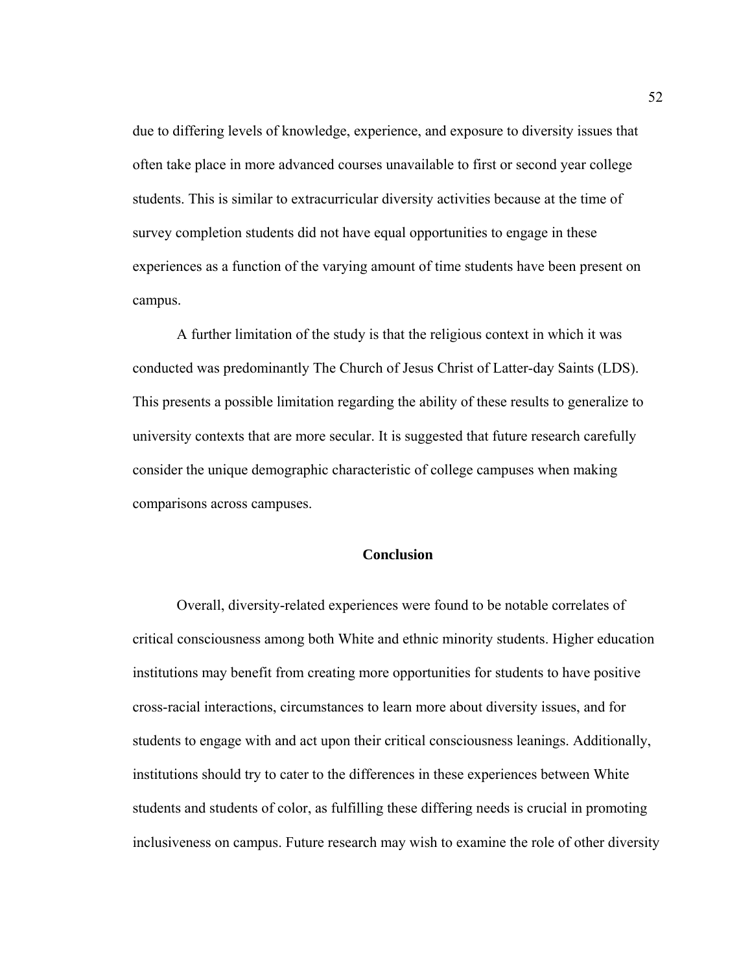due to differing levels of knowledge, experience, and exposure to diversity issues that often take place in more advanced courses unavailable to first or second year college students. This is similar to extracurricular diversity activities because at the time of survey completion students did not have equal opportunities to engage in these experiences as a function of the varying amount of time students have been present on campus.

A further limitation of the study is that the religious context in which it was conducted was predominantly The Church of Jesus Christ of Latter-day Saints (LDS). This presents a possible limitation regarding the ability of these results to generalize to university contexts that are more secular. It is suggested that future research carefully consider the unique demographic characteristic of college campuses when making comparisons across campuses.

### **Conclusion**

 Overall, diversity-related experiences were found to be notable correlates of critical consciousness among both White and ethnic minority students. Higher education institutions may benefit from creating more opportunities for students to have positive cross-racial interactions, circumstances to learn more about diversity issues, and for students to engage with and act upon their critical consciousness leanings. Additionally, institutions should try to cater to the differences in these experiences between White students and students of color, as fulfilling these differing needs is crucial in promoting inclusiveness on campus. Future research may wish to examine the role of other diversity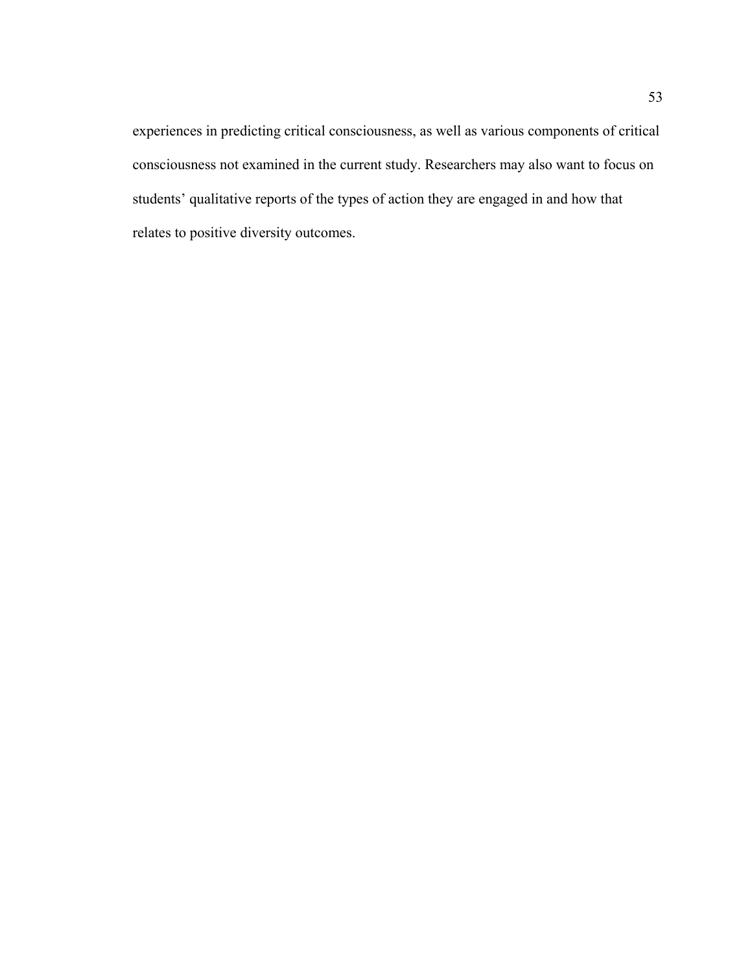experiences in predicting critical consciousness, as well as various components of critical consciousness not examined in the current study. Researchers may also want to focus on students' qualitative reports of the types of action they are engaged in and how that relates to positive diversity outcomes.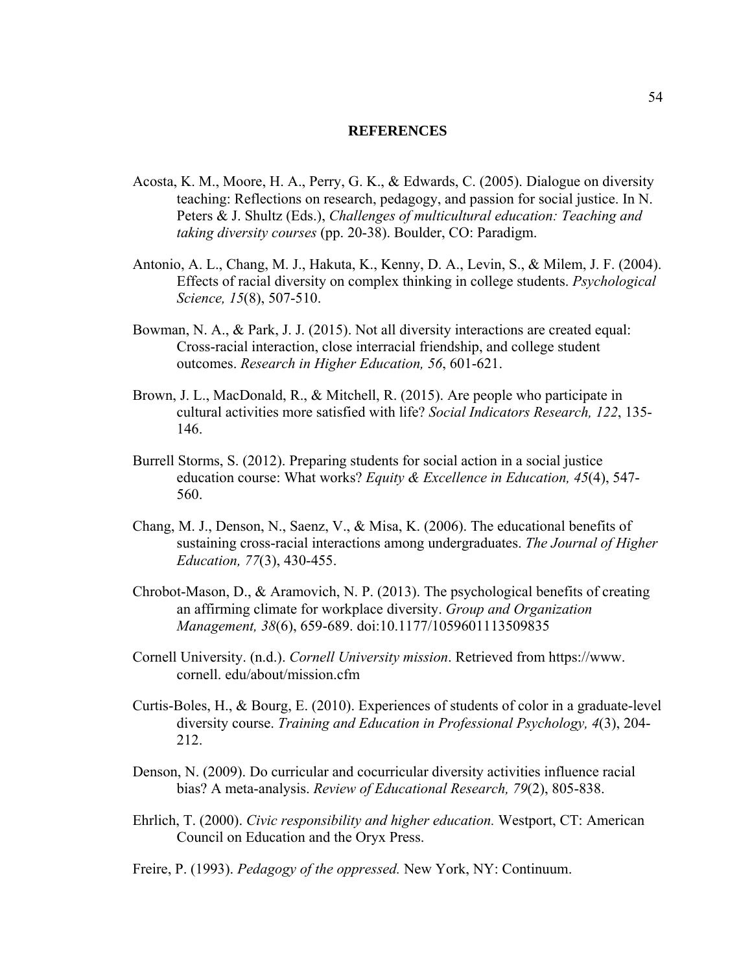### **REFERENCES**

- Acosta, K. M., Moore, H. A., Perry, G. K., & Edwards, C. (2005). Dialogue on diversity teaching: Reflections on research, pedagogy, and passion for social justice. In N. Peters & J. Shultz (Eds.), *Challenges of multicultural education: Teaching and taking diversity courses* (pp. 20-38). Boulder, CO: Paradigm.
- Antonio, A. L., Chang, M. J., Hakuta, K., Kenny, D. A., Levin, S., & Milem, J. F. (2004). Effects of racial diversity on complex thinking in college students. *Psychological Science, 15*(8), 507-510.
- Bowman, N. A., & Park, J. J. (2015). Not all diversity interactions are created equal: Cross-racial interaction, close interracial friendship, and college student outcomes. *Research in Higher Education, 56*, 601-621.
- Brown, J. L., MacDonald, R., & Mitchell, R. (2015). Are people who participate in cultural activities more satisfied with life? *Social Indicators Research, 122*, 135- 146.
- Burrell Storms, S. (2012). Preparing students for social action in a social justice education course: What works? *Equity & Excellence in Education, 45*(4), 547- 560.
- Chang, M. J., Denson, N., Saenz, V., & Misa, K. (2006). The educational benefits of sustaining cross-racial interactions among undergraduates. *The Journal of Higher Education, 77*(3), 430-455.
- Chrobot-Mason, D., & Aramovich, N. P. (2013). The psychological benefits of creating an affirming climate for workplace diversity. *Group and Organization Management, 38*(6), 659-689. doi:10.1177/1059601113509835
- Cornell University. (n.d.). *Cornell University mission*. Retrieved from https://www. cornell. edu/about/mission.cfm
- Curtis-Boles, H., & Bourg, E. (2010). Experiences of students of color in a graduate-level diversity course. *Training and Education in Professional Psychology, 4*(3), 204- 212.
- Denson, N. (2009). Do curricular and cocurricular diversity activities influence racial bias? A meta-analysis. *Review of Educational Research, 79*(2), 805-838.
- Ehrlich, T. (2000). *Civic responsibility and higher education.* Westport, CT: American Council on Education and the Oryx Press.
- Freire, P. (1993). *Pedagogy of the oppressed.* New York, NY: Continuum.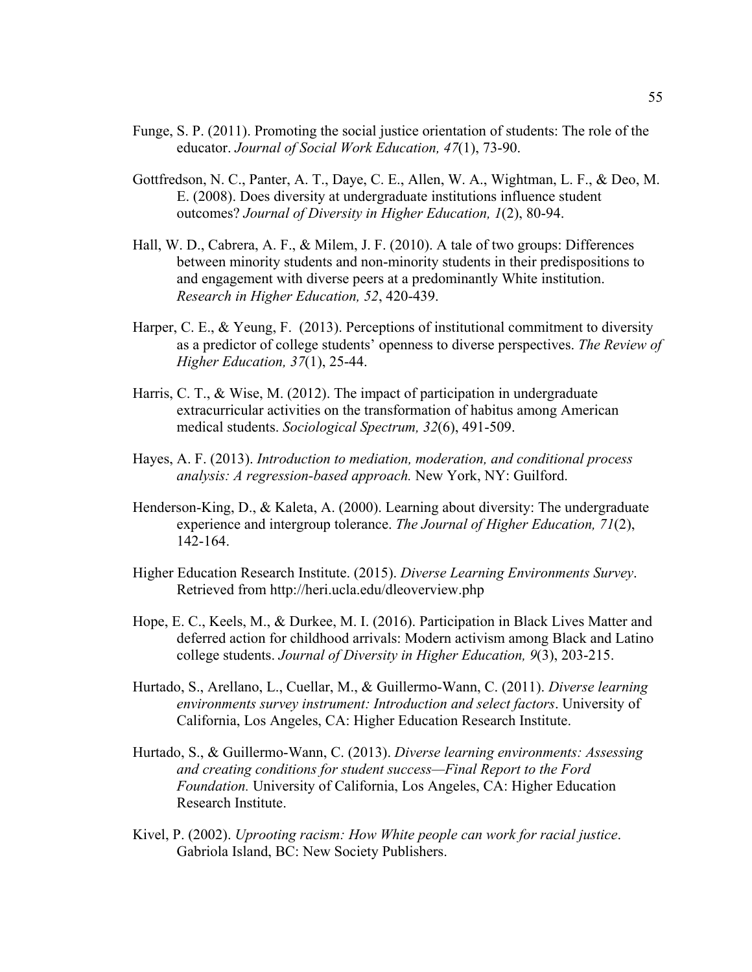- Funge, S. P. (2011). Promoting the social justice orientation of students: The role of the educator. *Journal of Social Work Education, 47*(1), 73-90.
- Gottfredson, N. C., Panter, A. T., Daye, C. E., Allen, W. A., Wightman, L. F., & Deo, M. E. (2008). Does diversity at undergraduate institutions influence student outcomes? *Journal of Diversity in Higher Education, 1*(2), 80-94.
- Hall, W. D., Cabrera, A. F., & Milem, J. F. (2010). A tale of two groups: Differences between minority students and non-minority students in their predispositions to and engagement with diverse peers at a predominantly White institution. *Research in Higher Education, 52*, 420-439.
- Harper, C. E., & Yeung, F. (2013). Perceptions of institutional commitment to diversity as a predictor of college students' openness to diverse perspectives. *The Review of Higher Education, 37*(1), 25-44.
- Harris, C. T., & Wise, M. (2012). The impact of participation in undergraduate extracurricular activities on the transformation of habitus among American medical students. *Sociological Spectrum, 32*(6), 491-509.
- Hayes, A. F. (2013). *Introduction to mediation, moderation, and conditional process analysis: A regression-based approach.* New York, NY: Guilford.
- Henderson-King, D., & Kaleta, A. (2000). Learning about diversity: The undergraduate experience and intergroup tolerance. *The Journal of Higher Education, 71*(2), 142-164.
- Higher Education Research Institute. (2015). *Diverse Learning Environments Survey*. Retrieved from http://heri.ucla.edu/dleoverview.php
- Hope, E. C., Keels, M., & Durkee, M. I. (2016). Participation in Black Lives Matter and deferred action for childhood arrivals: Modern activism among Black and Latino college students. *Journal of Diversity in Higher Education, 9*(3), 203-215.
- Hurtado, S., Arellano, L., Cuellar, M., & Guillermo-Wann, C. (2011). *Diverse learning environments survey instrument: Introduction and select factors*. University of California, Los Angeles, CA: Higher Education Research Institute.
- Hurtado, S., & Guillermo-Wann, C. (2013). *Diverse learning environments: Assessing and creating conditions for student success—Final Report to the Ford Foundation.* University of California, Los Angeles, CA: Higher Education Research Institute.
- Kivel, P. (2002). *Uprooting racism: How White people can work for racial justice*. Gabriola Island, BC: New Society Publishers.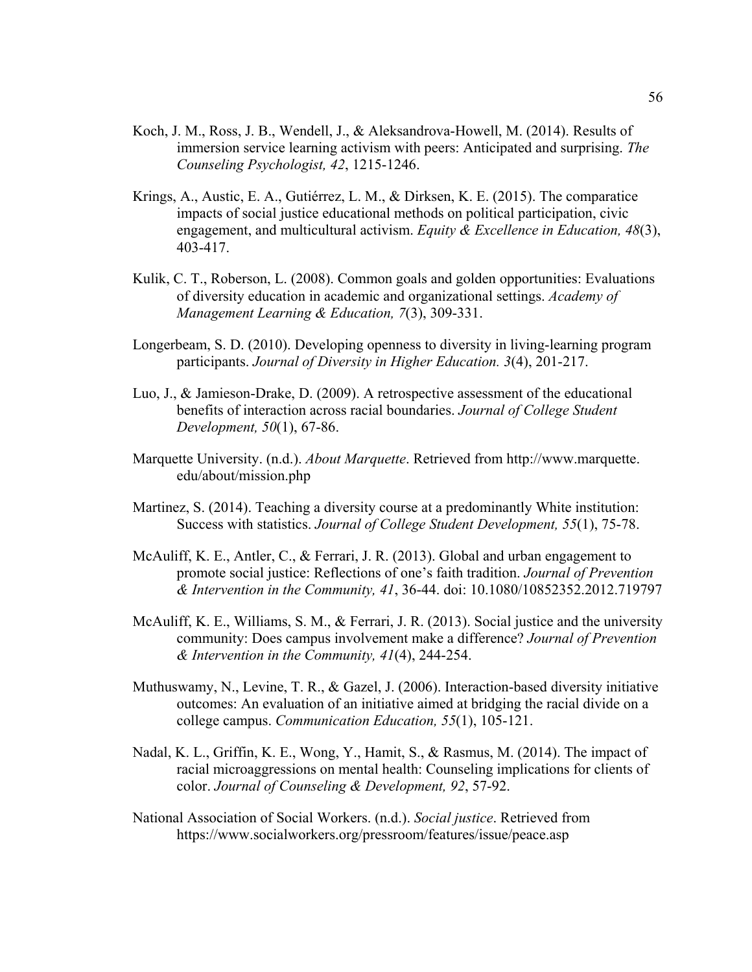- Koch, J. M., Ross, J. B., Wendell, J., & Aleksandrova-Howell, M. (2014). Results of immersion service learning activism with peers: Anticipated and surprising. *The Counseling Psychologist, 42*, 1215-1246.
- Krings, A., Austic, E. A., Gutiérrez, L. M., & Dirksen, K. E. (2015). The comparatice impacts of social justice educational methods on political participation, civic engagement, and multicultural activism. *Equity & Excellence in Education, 48*(3), 403-417.
- Kulik, C. T., Roberson, L. (2008). Common goals and golden opportunities: Evaluations of diversity education in academic and organizational settings. *Academy of Management Learning & Education, 7*(3), 309-331.
- Longerbeam, S. D. (2010). Developing openness to diversity in living-learning program participants. *Journal of Diversity in Higher Education. 3*(4), 201-217.
- Luo, J., & Jamieson-Drake, D. (2009). A retrospective assessment of the educational benefits of interaction across racial boundaries. *Journal of College Student Development, 50*(1), 67-86.
- Marquette University. (n.d.). *About Marquette*. Retrieved from http://www.marquette. edu/about/mission.php
- Martinez, S. (2014). Teaching a diversity course at a predominantly White institution: Success with statistics. *Journal of College Student Development, 55*(1), 75-78.
- McAuliff, K. E., Antler, C., & Ferrari, J. R. (2013). Global and urban engagement to promote social justice: Reflections of one's faith tradition. *Journal of Prevention & Intervention in the Community, 41*, 36-44. doi: 10.1080/10852352.2012.719797
- McAuliff, K. E., Williams, S. M., & Ferrari, J. R. (2013). Social justice and the university community: Does campus involvement make a difference? *Journal of Prevention & Intervention in the Community, 41*(4), 244-254.
- Muthuswamy, N., Levine, T. R., & Gazel, J. (2006). Interaction-based diversity initiative outcomes: An evaluation of an initiative aimed at bridging the racial divide on a college campus. *Communication Education, 55*(1), 105-121.
- Nadal, K. L., Griffin, K. E., Wong, Y., Hamit, S., & Rasmus, M. (2014). The impact of racial microaggressions on mental health: Counseling implications for clients of color. *Journal of Counseling & Development, 92*, 57-92.
- National Association of Social Workers. (n.d.). *Social justice*. Retrieved from https://www.socialworkers.org/pressroom/features/issue/peace.asp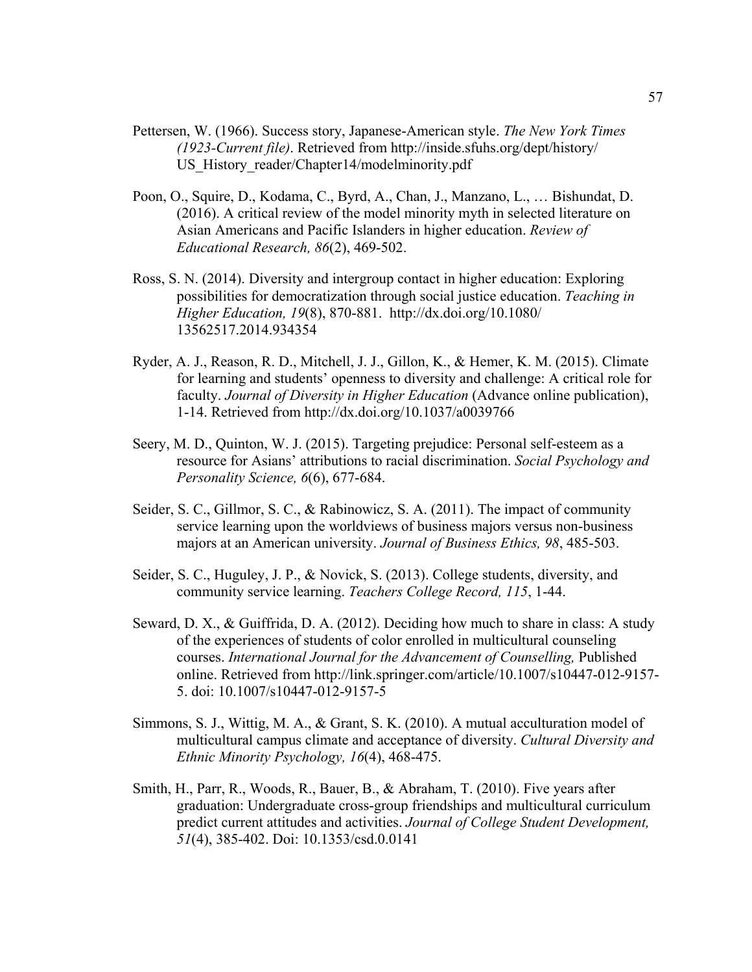- Pettersen, W. (1966). Success story, Japanese-American style. *The New York Times (1923-Current file)*. Retrieved from http://inside.sfuhs.org/dept/history/ US History reader/Chapter14/modelminority.pdf
- Poon, O., Squire, D., Kodama, C., Byrd, A., Chan, J., Manzano, L., … Bishundat, D. (2016). A critical review of the model minority myth in selected literature on Asian Americans and Pacific Islanders in higher education. *Review of Educational Research, 86*(2), 469-502.
- Ross, S. N. (2014). Diversity and intergroup contact in higher education: Exploring possibilities for democratization through social justice education. *Teaching in Higher Education, 19*(8), 870-881. http://dx.doi.org/10.1080/ 13562517.2014.934354
- Ryder, A. J., Reason, R. D., Mitchell, J. J., Gillon, K., & Hemer, K. M. (2015). Climate for learning and students' openness to diversity and challenge: A critical role for faculty. *Journal of Diversity in Higher Education* (Advance online publication), 1-14. Retrieved from http://dx.doi.org/10.1037/a0039766
- Seery, M. D., Quinton, W. J. (2015). Targeting prejudice: Personal self-esteem as a resource for Asians' attributions to racial discrimination. *Social Psychology and Personality Science, 6*(6), 677-684.
- Seider, S. C., Gillmor, S. C., & Rabinowicz, S. A. (2011). The impact of community service learning upon the worldviews of business majors versus non-business majors at an American university. *Journal of Business Ethics, 98*, 485-503.
- Seider, S. C., Huguley, J. P., & Novick, S. (2013). College students, diversity, and community service learning. *Teachers College Record, 115*, 1-44.
- Seward, D. X., & Guiffrida, D. A. (2012). Deciding how much to share in class: A study of the experiences of students of color enrolled in multicultural counseling courses. *International Journal for the Advancement of Counselling,* Published online. Retrieved from http://link.springer.com/article/10.1007/s10447-012-9157- 5. doi: 10.1007/s10447-012-9157-5
- Simmons, S. J., Wittig, M. A., & Grant, S. K. (2010). A mutual acculturation model of multicultural campus climate and acceptance of diversity. *Cultural Diversity and Ethnic Minority Psychology, 16*(4), 468-475.
- Smith, H., Parr, R., Woods, R., Bauer, B., & Abraham, T. (2010). Five years after graduation: Undergraduate cross-group friendships and multicultural curriculum predict current attitudes and activities. *Journal of College Student Development, 51*(4), 385-402. Doi: 10.1353/csd.0.0141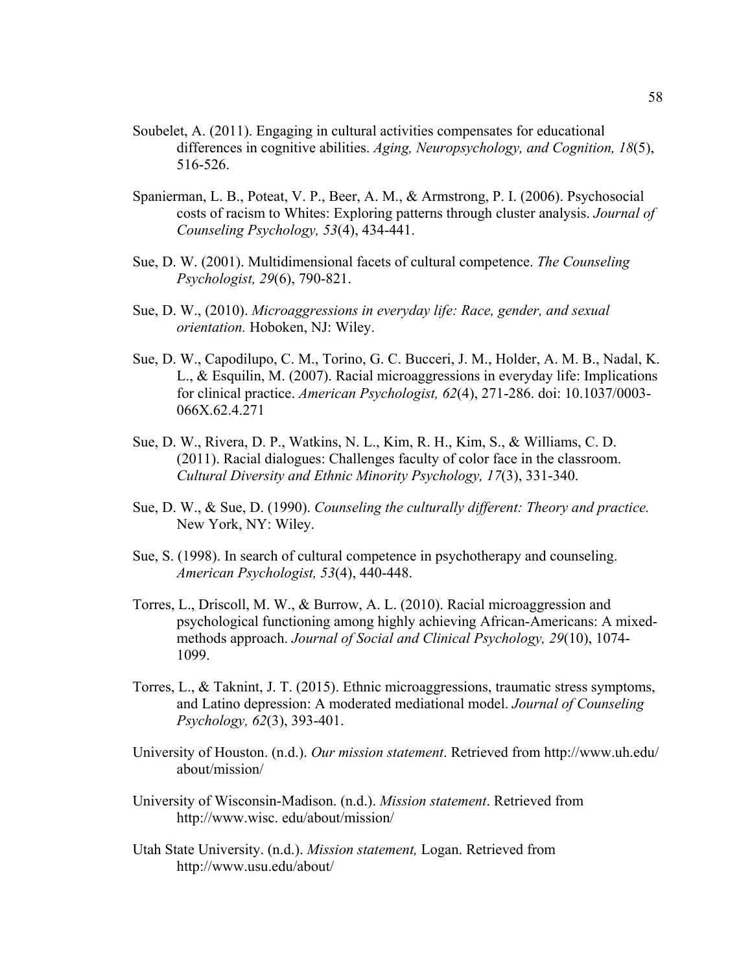- Soubelet, A. (2011). Engaging in cultural activities compensates for educational differences in cognitive abilities. *Aging, Neuropsychology, and Cognition, 18*(5), 516-526.
- Spanierman, L. B., Poteat, V. P., Beer, A. M., & Armstrong, P. I. (2006). Psychosocial costs of racism to Whites: Exploring patterns through cluster analysis. *Journal of Counseling Psychology, 53*(4), 434-441.
- Sue, D. W. (2001). Multidimensional facets of cultural competence. *The Counseling Psychologist, 29*(6), 790-821.
- Sue, D. W., (2010). *Microaggressions in everyday life: Race, gender, and sexual orientation.* Hoboken, NJ: Wiley.
- Sue, D. W., Capodilupo, C. M., Torino, G. C. Bucceri, J. M., Holder, A. M. B., Nadal, K. L., & Esquilin, M. (2007). Racial microaggressions in everyday life: Implications for clinical practice. *American Psychologist, 62*(4), 271-286. doi: 10.1037/0003- 066X.62.4.271
- Sue, D. W., Rivera, D. P., Watkins, N. L., Kim, R. H., Kim, S., & Williams, C. D. (2011). Racial dialogues: Challenges faculty of color face in the classroom. *Cultural Diversity and Ethnic Minority Psychology, 17*(3), 331-340.
- Sue, D. W., & Sue, D. (1990). *Counseling the culturally different: Theory and practice.* New York, NY: Wiley.
- Sue, S. (1998). In search of cultural competence in psychotherapy and counseling. *American Psychologist, 53*(4), 440-448.
- Torres, L., Driscoll, M. W., & Burrow, A. L. (2010). Racial microaggression and psychological functioning among highly achieving African-Americans: A mixedmethods approach. *Journal of Social and Clinical Psychology, 29*(10), 1074- 1099.
- Torres, L., & Taknint, J. T. (2015). Ethnic microaggressions, traumatic stress symptoms, and Latino depression: A moderated mediational model. *Journal of Counseling Psychology, 62*(3), 393-401.
- University of Houston. (n.d.). *Our mission statement*. Retrieved from http://www.uh.edu/ about/mission/
- University of Wisconsin-Madison. (n.d.). *Mission statement*. Retrieved from http://www.wisc. edu/about/mission/
- Utah State University. (n.d.). *Mission statement,* Logan. Retrieved from http://www.usu.edu/about/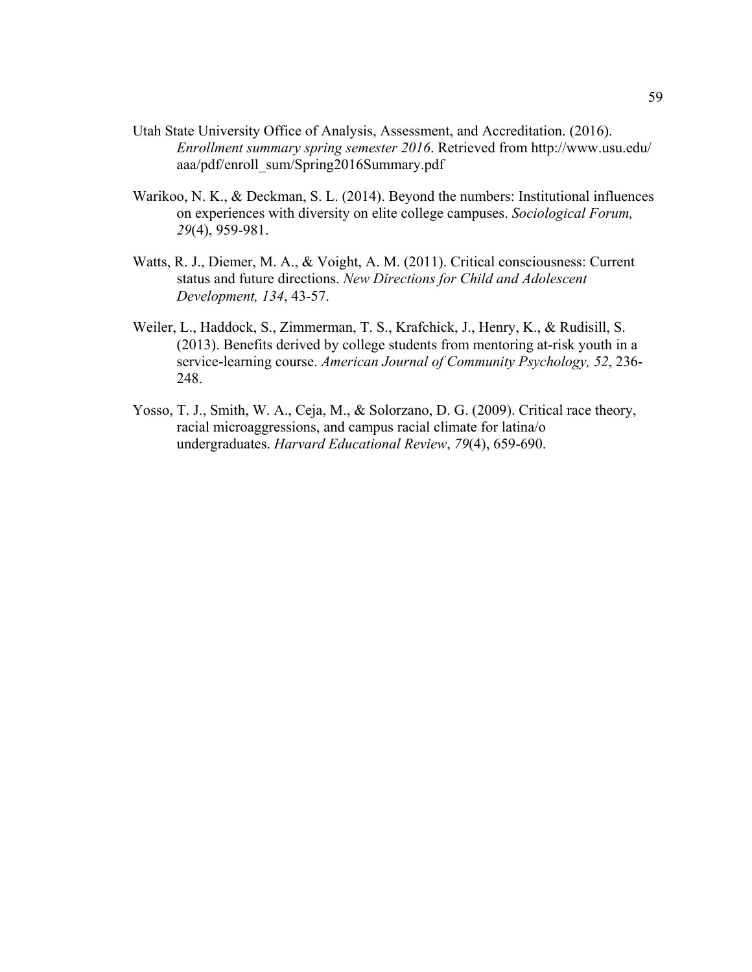- Utah State University Office of Analysis, Assessment, and Accreditation. (2016). *Enrollment summary spring semester 2016*. Retrieved from http://www.usu.edu/ aaa/pdf/enroll\_sum/Spring2016Summary.pdf
- Warikoo, N. K., & Deckman, S. L. (2014). Beyond the numbers: Institutional influences on experiences with diversity on elite college campuses. *Sociological Forum, 29*(4), 959-981.
- Watts, R. J., Diemer, M. A., & Voight, A. M. (2011). Critical consciousness: Current status and future directions. *New Directions for Child and Adolescent Development, 134*, 43-57.
- Weiler, L., Haddock, S., Zimmerman, T. S., Krafchick, J., Henry, K., & Rudisill, S. (2013). Benefits derived by college students from mentoring at-risk youth in a service-learning course. *American Journal of Community Psychology, 52*, 236- 248.
- Yosso, T. J., Smith, W. A., Ceja, M., & Solorzano, D. G. (2009). Critical race theory, racial microaggressions, and campus racial climate for latina/o undergraduates. *Harvard Educational Review*, *79*(4), 659-690.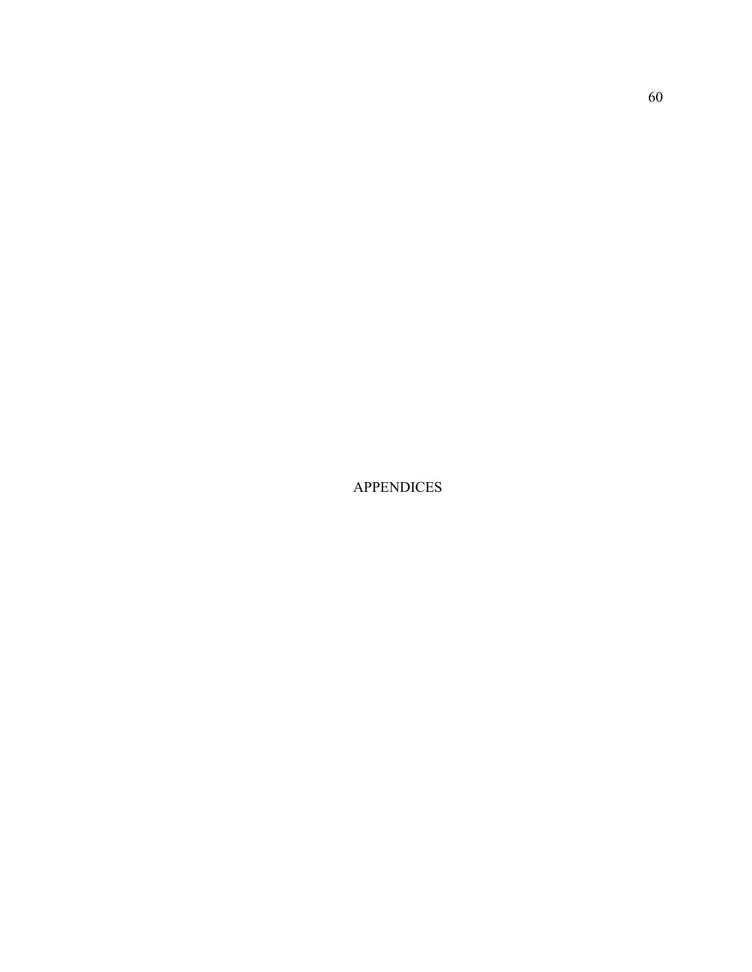APPENDICES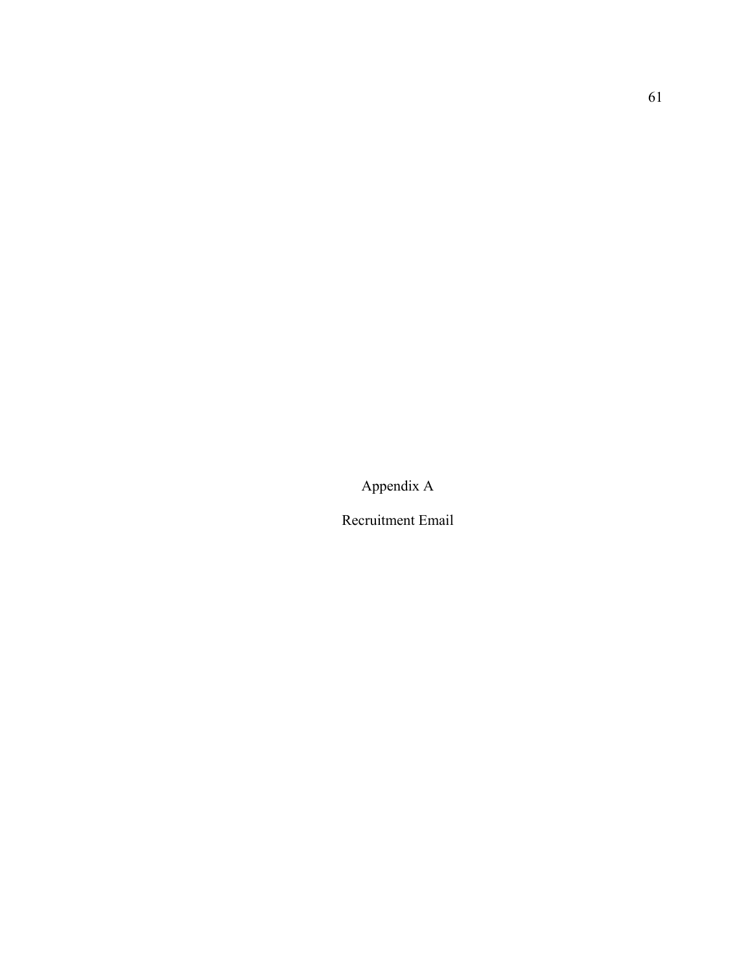Appendix A

Recruitment Email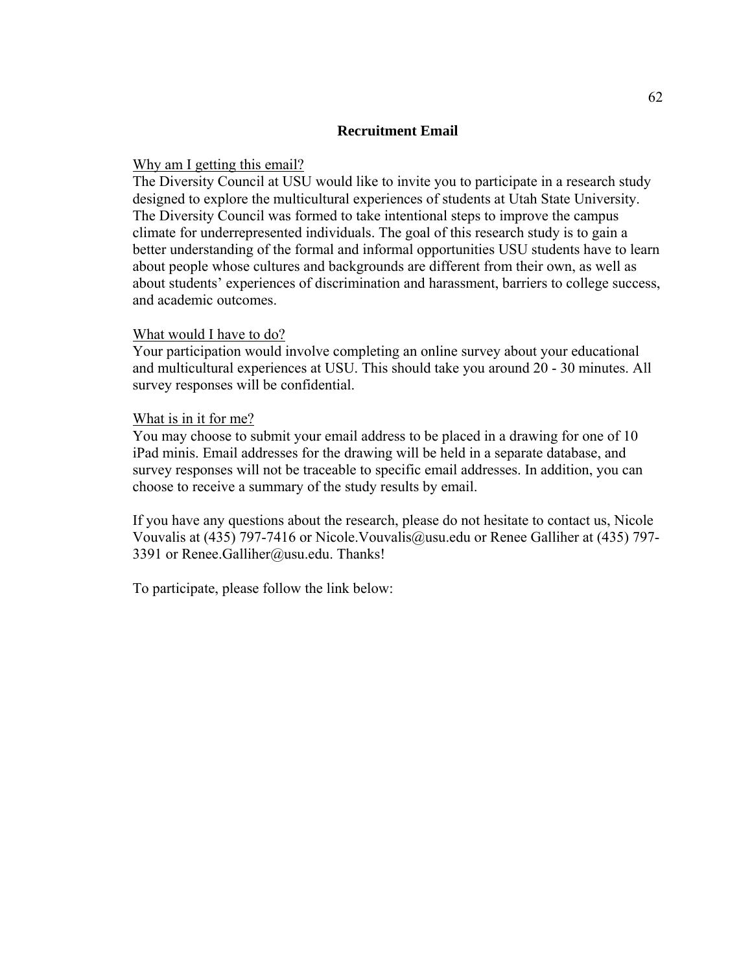# **Recruitment Email**

## Why am I getting this email?

The Diversity Council at USU would like to invite you to participate in a research study designed to explore the multicultural experiences of students at Utah State University. The Diversity Council was formed to take intentional steps to improve the campus climate for underrepresented individuals. The goal of this research study is to gain a better understanding of the formal and informal opportunities USU students have to learn about people whose cultures and backgrounds are different from their own, as well as about students' experiences of discrimination and harassment, barriers to college success, and academic outcomes.

#### What would I have to do?

Your participation would involve completing an online survey about your educational and multicultural experiences at USU. This should take you around 20 - 30 minutes. All survey responses will be confidential.

## What is in it for me?

You may choose to submit your email address to be placed in a drawing for one of 10 iPad minis. Email addresses for the drawing will be held in a separate database, and survey responses will not be traceable to specific email addresses. In addition, you can choose to receive a summary of the study results by email.

If you have any questions about the research, please do not hesitate to contact us, Nicole Vouvalis at (435) 797-7416 or Nicole.Vouvalis@usu.edu or Renee Galliher at (435) 797- 3391 or Renee.Galliher@usu.edu. Thanks!

To participate, please follow the link below: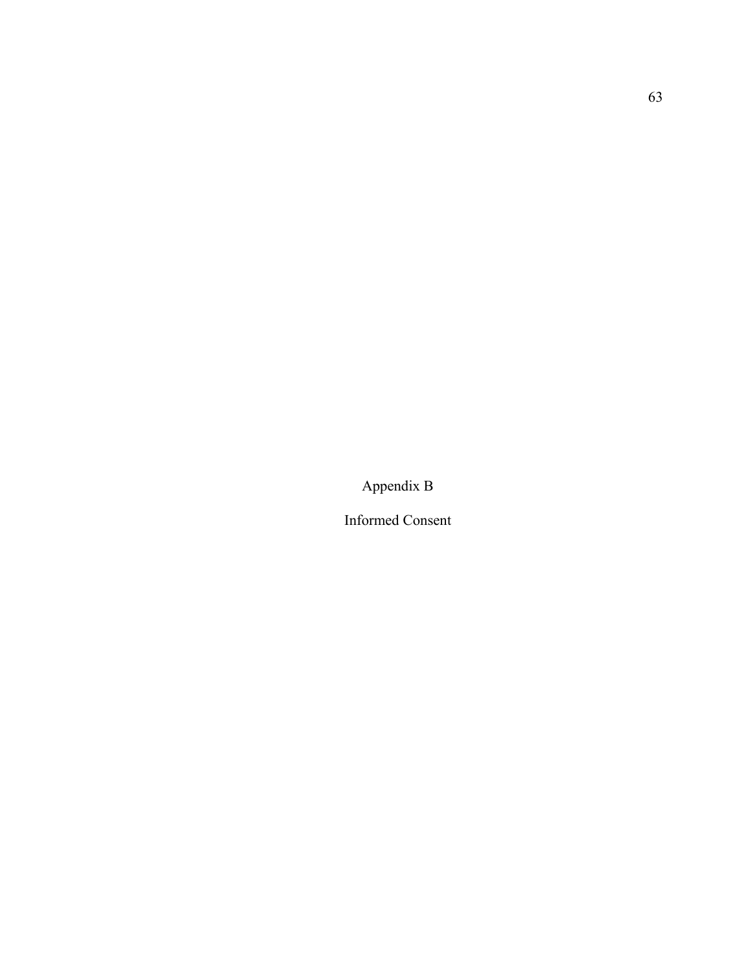Appendix B

Informed Consent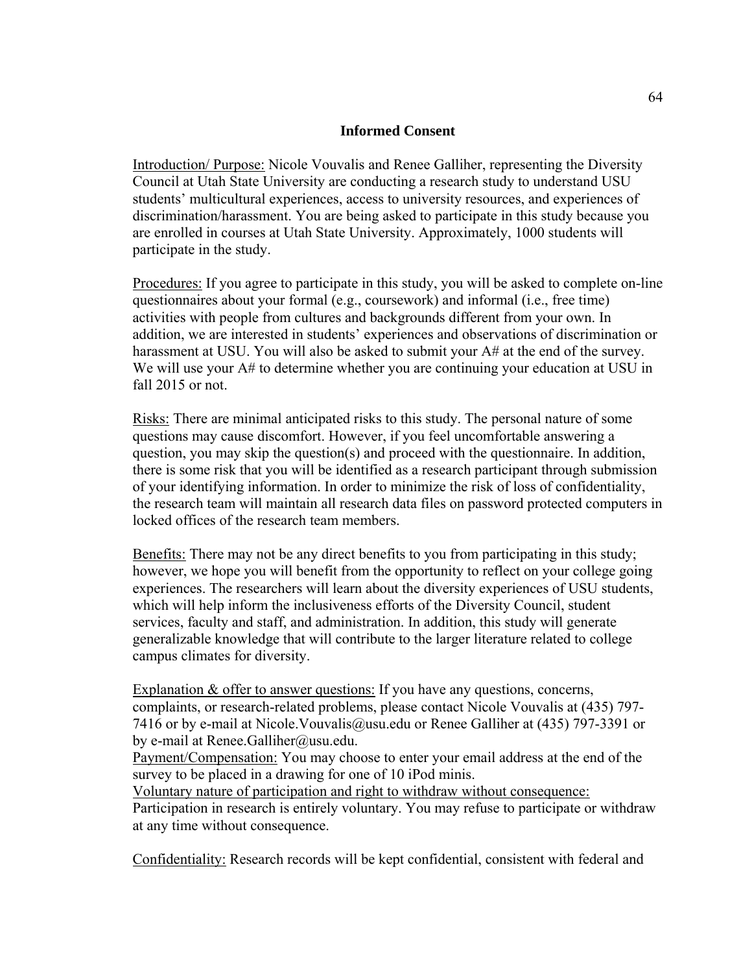# **Informed Consent**

Introduction/ Purpose: Nicole Vouvalis and Renee Galliher, representing the Diversity Council at Utah State University are conducting a research study to understand USU students' multicultural experiences, access to university resources, and experiences of discrimination/harassment. You are being asked to participate in this study because you are enrolled in courses at Utah State University. Approximately, 1000 students will participate in the study.

Procedures: If you agree to participate in this study, you will be asked to complete on-line questionnaires about your formal (e.g., coursework) and informal (i.e., free time) activities with people from cultures and backgrounds different from your own. In addition, we are interested in students' experiences and observations of discrimination or harassment at USU. You will also be asked to submit your A# at the end of the survey. We will use your A# to determine whether you are continuing your education at USU in fall 2015 or not.

Risks: There are minimal anticipated risks to this study. The personal nature of some questions may cause discomfort. However, if you feel uncomfortable answering a question, you may skip the question(s) and proceed with the questionnaire. In addition, there is some risk that you will be identified as a research participant through submission of your identifying information. In order to minimize the risk of loss of confidentiality, the research team will maintain all research data files on password protected computers in locked offices of the research team members.

Benefits: There may not be any direct benefits to you from participating in this study; however, we hope you will benefit from the opportunity to reflect on your college going experiences. The researchers will learn about the diversity experiences of USU students, which will help inform the inclusiveness efforts of the Diversity Council, student services, faculty and staff, and administration. In addition, this study will generate generalizable knowledge that will contribute to the larger literature related to college campus climates for diversity.

Explanation & offer to answer questions: If you have any questions, concerns, complaints, or research-related problems, please contact Nicole Vouvalis at (435) 797- 7416 or by e-mail at Nicole.Vouvalis@usu.edu or Renee Galliher at (435) 797-3391 or by e-mail at Renee.Galliher@usu.edu.

Payment/Compensation: You may choose to enter your email address at the end of the survey to be placed in a drawing for one of 10 iPod minis.

Voluntary nature of participation and right to withdraw without consequence:

Participation in research is entirely voluntary. You may refuse to participate or withdraw at any time without consequence.

Confidentiality: Research records will be kept confidential, consistent with federal and